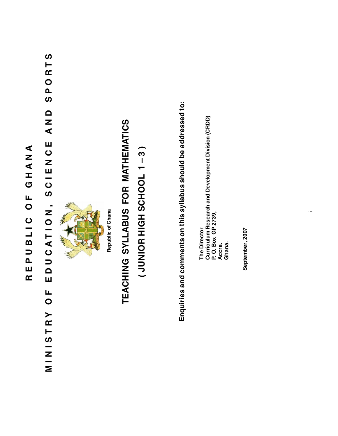# REPUBLIC OF GHANA **REPUBLIC OF GHANA**

## SPORTS **MINISTRY OF EDUCATION, SCIEN CE AND SPORTS** Q<br>N<br>N EDUZE-00, ZOIL40DQU MINISTRY OF



# TEACHING SYLLABUS FOR MATHEMATICS **TEACHING SYLLABUS FOR MATHEMATICS**

# (JUNIOR HIGH SCHOOL 1-3) **( JUNIOR HIGH SCHOOL 1 – 3 )**

Enquiries and comments on this syllabus should be addressed to: **Enquiries and comments on this syllabus should be addressed to:**

The Director<br>Curriculum Research and Development Division (CRDD)<br>P. O. Box GP 2739, **Curriculum Research and Development Division (CRDD) P. O. Box GP 2739, The Director Accra. Ghana.**

September, 2007 **September, 2007**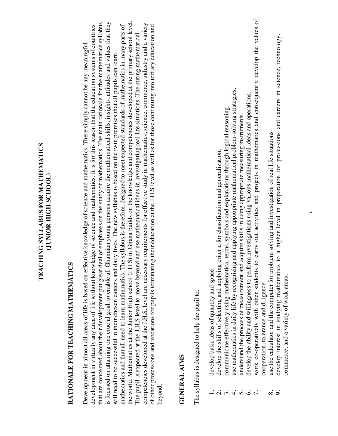#### TEACHING SYLLABUS FOR MATHEMATICS **TEACHING SYLLABUS FOR MATHEMATICS (JUNIOR HIGH SCHOOL)** (JUNIOR HIGH SCHOOL)

# RATIONALE FOR TEACHING MATHEMATICS **RATIONALE FOR TEACHING MATHEMATICS**

the world. Mathematics at the Junior High school (J H S) in Ghana builds on the knowledge and competencies developed at the primary school level. that are concemed about their development put great deal of emphases on the study of mathematics. The main rationale for the mathematics syllabus is focused on attaining one crucial goal: to enable all Ghanaian young persons acquire the mathematical skills, insights, attitudes and values that they the world. Mathematics at the Junior High school (J H S) in Ghana builds on the knowledge and competencies developed at the primary school level. is focused on attaining one crucial goal: to enable all Ghanaian young persons acquire the mathematical skills, insights, attitudes and values that they competencies developed at the J.H.S. level are necessary requirements for effective study in mathematics, science, commerce, industry and a variety that are concerned about their development put great deal of emphases on the study of mathematics. The main rationale for the mathematics syllabus competencies developed at the J.H.S. level are necessary requirements for effective study in mathematics, science, commerce, industry and a variety development in virtually any area of life without knowledge of science and mathematics. It is for this reason that the education systems of countries mathematics and that all need to learn mathematics. The syllabus is therefore, designed to meet expected standards of mathematics in many parts of mathematics and that all need to learn mathematics. The syllabus is therefore, designed to meet expected standards of mathematics in many parts of of other professions and vocations for pupils terminating their education at the J.H.S level as well as for those continuing into tertiary education and of other professions and vocations for pupils terminating their education at the J.H.S level as well as for those continuing into tertiary education and development in virtually any area of life without knowledge of science and mathematics. It is for this reason that the education systems of countries The pupil is expected at the J.H.S level to move beyond and use mathematical ideas in investigating real life situations. The strong mathematical The pupil is expected at the J.H.S level to move beyond and use mathematical ideas in investigating real life situations. The strong mathematical Development in almost all areas of life is based on effective knowledge of science and mathematics. There simply cannot be any meaningful Development in almost all areas of life is based on effective knowledge of science and mathematics. There simply cannot be any meaningful will need to be successful in their chosen careers and daily lives. The new syllabus is based on the twin premises that all pupils can learn will need to be successful in their chosen careers and daily lives. The new syllabus is based on the twin premises that all pupils can learn beyond.

#### **GENERAL AIMS GENERAL AIMS**

The syllabus is designed to help the pupil to: The syllabus is designed to help the pupil to:

- develop basic ideas of quantity and space. 1. develop basic ideas of quantity and space.
- develop the skills of selecting and applying criteria for classification and generalization. 2. develop the skills of selecting and applying criteria for classification and generalization.
- communicate effectively using mathematical terms, symbols and explanations through logical reasoning. 3. communicate effectively using mathematical terms, symbols and explanations through logical reasoning.
- use mathematics in daily life by recognizing and applying appropriate mathematical problem-solving strategies. 4. use mathematics in daily life by recognizing and applying appropriate mathematical problem-solving strategies.
	- understand the process of measurement and acquire skills in using appropriate measuring instruments. 5. understand the process of measurement and acquire skills in using appropriate measuring instruments.
- develop the ability and willingness to perform investigations using various mathematical ideas and operations. 6. develop the ability and willingness to perform investigations using various mathematical ideas and operations.
- work co-operatively with other students to carry out activities and projects in mathematics and consequently develop the values of 7. work co-operatively with other students to carry out activities and projects in mathematics and consequently develop the values of cooperation, tolerance and diligence. cooperation, tolerance and diligence.
	- use the calculator and the computer for problem solving and investigation of real life situations 8. use the calculator and the computer for problem solving and investigation of real life situations  $\dot{\infty}$  or
- develop interest in studying mathematics to a higher level in preparation for professions and careers in science, technology, 9. develop interest in studying mathematics to a higher level in preparation for professions and careers in science, technology, commerce, and a variety of work areas.commerce, and a variety of work areas.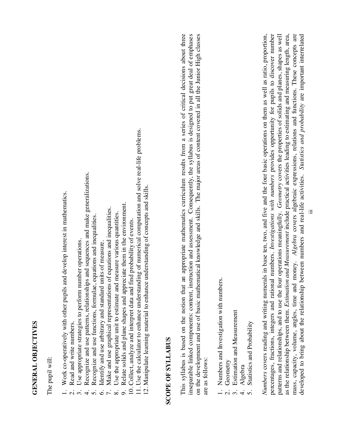### GENERAL OBJECTIVES **GENERAL OBJECTIVES**

The pupil will: The pupil will:

- Work co-operatively with other pupils and develop interest in mathematics. 1. Work co-operatively with other pupils and develop interest in mathematics.
	- Read and write numbers. 2. Read and write numbers.  $\dot{\Omega}$
- Use appropriate strategies to perform number operations. 3. Use appropriate strategies to perform number operations.  $\ddot{\mathcal{E}}$
- Recognize and use patterns, relationships and sequences and make generalizations. 4. Recognize and use patterns, relationships and sequences and make generalizations.  $\vec{r}$ 
	- 5. Recognize and use functions, formulae, equations and inequalities. Recognize and use functions, formulae, equations and inequalities  $\ddot{0}$   $\ddot{0}$   $\ddot{0}$ 
		- Identify and use arbitrary and standard units of measure. 6. Identify and use arbitrary and standard units of measure.
- Make and use graphical representations of equations and inequalities. 7. Make and use graphical representations of equations and inequalities.
	- Use the appropriate unit to estimate and measure various quantities. 8. Use the appropriate unit to estimate and measure various quantities.  $\infty$
- Relate solids and plane shapes and appreciate them in the environment. 9. Relate solids and plane shapes and appreciate them in the environment.  $\mathfrak{S}$ 
	- 10. Collect, analyze and interpret data and find probability of events. 10. Collect, analyze and interpret data and find probability of events.
- 11. Use the calculator to enhance understanding of numerical computation and solve real-life problems. 11. Use the calculator to enhance understanding of numerical computation and solve real-life problems.
- 2. Manipulate learning material to enhance understanding of concepts and skills. 12. Manipulate learning material to enhance understanding of concepts and skills.

#### **SCOPE OF SYLLABUS SCOPE OF SYLLABUS**

This syllabus is based on the notion that an appropriate mathematics curriculum results from a series of critical decisions about three inseparable linked components: content, instruction and assessment. Consequently, the syllabus is designed to put great deal of emphases on the development and use of basic mathematical knowledge and skills. The major areas of content covered in all the Junior High classes This syllabus is based on the notion that an appropriate mathematics curriculum results from a series of critical decisions about three inseparable linked components: content, instruction and assessment. Consequently, the syllabus is designed to put great deal of emphases on the development and use of basic mathematical knowledge and skills. The major areas of content covered in all the Junior High classes are as follows: are as follows:

- Numbers and Investigation with numbers. 1. Numbers and Investigation with numbers.  $\alpha$   $\alpha$ 
	- Geometry 2. Geometry
- Estimation and Measurement 3. Estimation and Measurement
- Algebra 4. Algebra  $4.5$
- Statistics and Probability 5. Statistics and Probability

Numbers covers reading and writing numerals in base ten, two, and five and the four basic operations on them as well as ratio, proportion, percentages, fractions, integers and rational numbers. Investigations with numbers provides opportunity for pupils to discover number as the relationship between them. Estimation and Measurement include practical activities leading to estimating and measuring length, area, mass, capacity, volume, angles, time and money. Algebra covers algebraic expressions, relations and functions. These concepts are *Numbers* covers reading and writing numerals in base ten, two, and five and the four basic operations on them as well as ratio, proportion, percentages, fractions, integers and rational numbers. *Investigations with numbers* provides opportunity for pupils to discover number patterns and relationships, and to use the four operations meaningfully. Geometry covers the properties of solids and planes, shapes as well patterns and relationships, and to use the four operations meaningfully. *Geometry* covers the properties of solids and planes, shapes as well as the relationship between them. *Estimation and Measurement* include practical activities leading to estimating and measuring length, area, mass, capacity, volume, angles, time and money. *Algebra* covers algebraic expressions, relations and functions. These concepts are developed to bring about the relationship between numbers and real-life activities. Statistics and probability are important interrelated developed to bring about the relationship between numbers and real-life activities. *Statistics and probability* are important interrelated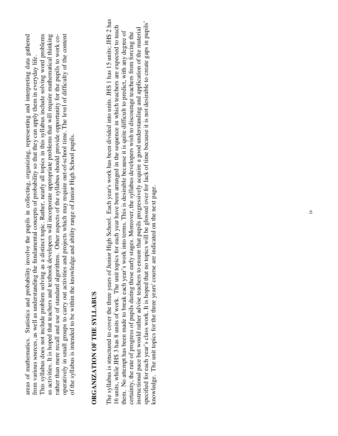This syllabus does not include problem solving as a distinct topic. Rather, nearly all topics in this syllabus include solving word problems as activities. It is hoped that teachers and textbook developers will incorporate appropriate problems that will require mathematical thinking areas of mathematics. Statistics and probability involve the pupils in collecting, organizing, representing and interpreting data gathered rather than mere recall and use of standard algorithms. Other aspects of the syllabus should provide opportunity for the pupils to work cooperatively in small groups to carry out activities and projects which may require out-of-school time. The level of difficulty of the content operatively in small groups to carry out activities and projects which may require out-of-school time. The level of difficulty of the content areas of mathematics. Statistics and probability involve the pupils in collecting, organizing, representing and interpreting data gathered This syllabus does not include problem solving as a distinct topic. Rather, nearly all topics in this syllabus include solving word problems as activities. It is hoped that teachers and textbook developers will incorporate appropriate problems that will require mathematical thinking rather than mere recall and use of standard algorithms. Other aspects of the syllabus should provide opportunity for the pupils to work cofrom various sources, as well as understanding the fundamental concepts of probability so that they can apply them in everyday life. from various sources, as well as understanding the fundamental concepts of probability so that they can apply them in everyday life. of the syllabus is intended to be within the knowledge and ability range of Junior High School pupils. of the syllabus is intended to be within the knowledge and ability range of Junior High School pupils.

## ORGANIZATION OF THE SYLLABUS **ORGANIZATION OF THE SYLLABUS**

The syllabus is structured to cover the three years of Junior High School. Each year's work has been divided into units. JHS 1 has 15 units; JHS 2 has The syllabus is structured to cover the three years of Junior High School. Each year's work has been divided into units. JHS 1 has 15 units; JHS 2 has specified for each year's class work. It is hoped that no topics will be glossed over for lack of time because it is not desirable to create gaps in pupils' specified for each year's class work. It is hoped that no topics will be glossed over for lack of time because it is not desirable to create gaps in pupils' 6 units, while JHS 3 has 8 units of work. The unit topics for each year have been arranged in the sequence in which teachers are expected to teach 16 units, while JHS 3 has 8 units of work. The unit topics for each year have been arranged in the sequence in which teachers are expected to teach instructional pace but would rather advise teachers to ensure that pupils progressively acquire a good understanding and application of the material instructional pace but would rather advise teachers to ensure that pupils progressively acquire a good understanding and application of the material them. No attempt has been made to break each year's work into terms. This is desirable because it is quite difficult to predict, with any degree of them. No attempt has been made to break each year's work into terms. This is desirable because it is quite difficult to predict, with any degree of certainty, the rate of progress of pupils during those early stages. Moreover, the syllabus developers wish to discourage teachers from forcing the certainty, the rate of progress of pupils during those early stages. Moreover, the syllabus developers wish to discourage teachers from forcing the knowledge. The unit topics for the three years' course are indicated on the next page.knowledge. The unit topics for the three years' course are indicated on the next page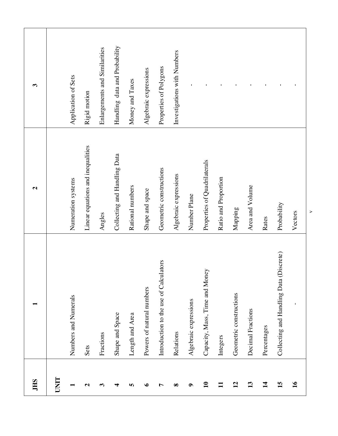| 3<br>$\mathbf{c}$ |             | Application of Sets                        | Rigid motion<br>Linear equations and inequalities | Enlargements and Similarities | Handling data and Probability<br>Collecting and Handling Data | Money and Taxes                     | Algebraic expressions                        | Properties of Polygons                                            | Investigations with Numbers | $\mathbf{I}$                          | $\mathsf I$<br>Properties of Quadrilaterals | $\overline{\phantom{a}}$ | $\mathbf I$                        | $\mathsf I$                          | $\mathbf I$                  | $\mathbf I$                                            |               |
|-------------------|-------------|--------------------------------------------|---------------------------------------------------|-------------------------------|---------------------------------------------------------------|-------------------------------------|----------------------------------------------|-------------------------------------------------------------------|-----------------------------|---------------------------------------|---------------------------------------------|--------------------------|------------------------------------|--------------------------------------|------------------------------|--------------------------------------------------------|---------------|
| −                 |             | Numeration systems<br>Numbers and Numerals |                                                   | Angles                        | Shape and Space                                               | Rational numbers<br>Length and Area | Shape and space<br>Powers of natural numbers | Geometric constructions<br>Introduction to the use of Calculators | Algebraic expressions       | Number Plane<br>Algebraic expressions | rey<br>Capacity, Mass, Time and Mon         | Ratio and Proportion     | Mapping<br>Geometric constructions | Area and Volume<br>Decimal Fractions | Rates                        | Probability<br>Collecting and Handling Data (Discrete) | Vectors       |
| <b>JHS</b>        | <b>UNIT</b> |                                            | Sets<br>$\mathbf{c}$                              | Fractions<br>3                | ₹                                                             | S                                   | $\bullet$                                    | L                                                                 | Relations<br>$\infty$       | $\bullet$                             | $\mathbf{10}$                               | Integers<br>$\mathbf{1}$ | $\mathbf{r}$                       | 13                                   | Percentages<br>$\mathbf{14}$ | 15                                                     | $\mathbf{16}$ |

v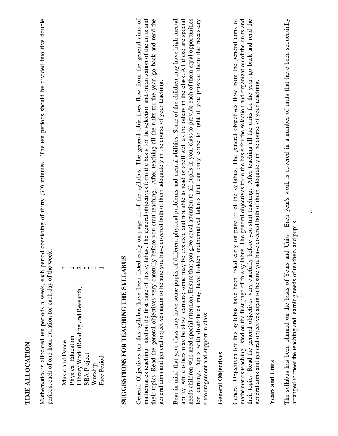Mathematics is allocated ten periods a week, each period consisting of thirty (30) minutes. The ten periods should be divided into five double Mathematics is allocated ten periods a week, each period consisting of thirty (30) minutes. The ten periods should be divided into five double periods, each of one-hour duration for each day of the week. periods, each of one-hour duration for each day of the week.

| Music and Dance                     | 3 |
|-------------------------------------|---|
| Physical Education                  |   |
| Library Work (Reading and Research) |   |
| <b>SBA</b> Project                  |   |
| Worship                             |   |
| Free Period                         |   |

# SUGGESTIONS FOR TEACHING THE SYLLABUS **SUGGESTIONS FOR TEACHING THE SYLLABUS**

General Objectives for this syllabus have been listed early on page iii of the syllabus. The general objectives flow from the general aims of mathematics teaching listed on the first page of this syllabus. The general objectives form the basis for the selection and organization of the units and their topics. Read the general objectives very carefully before you start teaching. After teaching all the units for the year, go back and read the General Objectives for this syllabus have been listed early on page iii of the syllabus. The general objectives flow from the general aims of mathematics teaching listed on the first page of this syllabus. The general objectives form the basis for the selection and organization of the units and their topics. Read the general objectives very carefully before you start teaching. After teaching all the units for the year, go back and read the general aims and general objectives again to be sure you have covered both of them adequately in the course of your teaching. general aims and general objectives again to be sure you have covered both of them adequately in the course of your teaching.

ability, while others may be slow learners; some may be dyslexic and not able to read or spell well as the others in the class. All these are special needs children who need special attention. Ensure that you give equal attention to all pupils in your class to provide each of them equal opportunities for learning. Pupils with disabilities may have hidden mathematical talents that can only come to light if you provide them the necessary Bear in mind that your class may have some pupils of different physical problems and mental abilities. Some of the children may have high mental Bear in mind that your class may have some pupils of different physical problems and mental abilities. Some of the children may have high mental ability, while others may be slow learners; some may be dyslexic and not able to read or spell well as the others in the class. All these are special needs children who need special attention. Ensure that you give equal attention to all pupils in your class to provide each of them equal opportunities for learning. Pupils with disabilities may have hidden mathematical talents that can only come to light if you provide them the necessary encouragement and support in class. encouragement and support in class.

#### **General Objectives General Objectives**

General Objectives for this syllabus have been listed early on page iii of the syllabus. The general objectives flow from the general aims of mathematics teaching listed on the first page of this syllabus. The general objectives form the basis for the selection and organization of the units and their topics. Read the general objectives very carefully before you start teaching. After teaching all the units for the year, go back and read the General Objectives for this syllabus have been listed early on page iii of the syllabus. The general objectives flow from the general aims of mathematics teaching listed on the first page of this syllabus. The general objectives form the basis for the selection and organization of the units and their topics. Read the general objectives very carefully before you start teaching. After teaching all the units for the year, go back and read the general aims and general objectives again to be sure you have covered both of them adequately in the course of your teaching. general aims and general objectives again to be sure you have covered both of them adequately in the course of your teaching.

#### **Years and Units Years and Units**

The syllabus has been planned on the basis of Years and Units. Each year's work is covered in a number of units that have been sequentially The syllabus has been planned on the basis of Years and Units. Each year's work is covered in a number of units that have been sequentially arranged to meet the teaching and learning needs of teachers and pupils. arranged to meet the teaching and learning needs of teachers and pupils.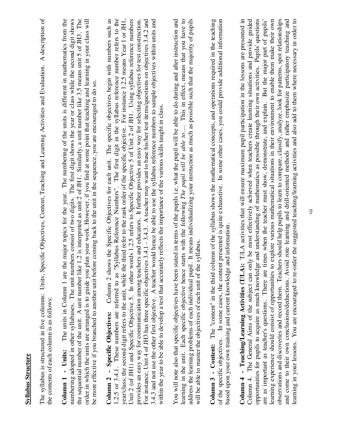| The syllabus is structured in five columns: Units, Specific Objectives, Content, Teaching and Learning Activities and Evaluation. A description of<br>the contents of each column is as follows: | e major topics for the year. The numbering of the units is different in mathematics from the<br>numbering adopted in other syllabuses. The unit numbers consist of two digits. The first digit shows the year or class while the second digit shows<br>the sequential number of the unit. A unit number like 1.2 is interpreted as unit 2 of JH1. Similarly, a unit number like 3.5 means unit 5 of JH3. The<br>order in which the units are arranged is to guide you plan your work. However, if you find at some point that teaching and learning in your class will<br>be more effective if you branched to another unit before coming back to the unit in the sequence, you are encouraged to do so<br>The units in Column 1 are the<br>Column 1 - Units: | 1.2.5 or 3.4.1. These numbers are referred to as "Syllabus Reference Numbers". The first digit in the syllabus reference number refers to the<br>Column 2 shows the Specific Objectives for each unit. The specific objectives begin with numbers such as<br>Unit 2 (of JH1) and Specific Objective 5. In other words 1.2.5 refers to Specific Objective 5 of Unit 2 of JH1. Using syllabus reference numbers<br>For instance, Unit 4 of JH3 has three specific objectives 3.4.1 - 3.4.3. A teacher may want to base his/her test items/questions on objectives 3.4.2 and<br>3.4.3 and not use the other first objective. A teacher would hence be able to use the syllabus reference numbers to sample objectives within units and<br>provides an easy way for communication among teachers and educators. It further provides an easy way for selecting objectives for test construction<br>year/class; the second digit refers to the unit, while the third refer to the rank order of the specific objective. For instance 1.2.5 means Year 1 or JH1<br>ely reflects the importance of the various skills taught in class<br>within the year to be able to develop a test that accurat<br>Column 2 - Specific Objectives: | address the learning problems of each individual pupil. It means individualizing your instruction as much as possible such that the majority of pupils<br>tated in terms of the pupils i.e. what the pupil will be able to do during and after instruction and<br>starts with the following The pupil will be able to  This in effect, means that you have to<br>will be able to master the objectives of each unit of the syllabus<br>You will note also that specific objectives have been s<br>learning in the unit. Each specific objective hence | Column 3 - Content: The "content" in the third column of the syllabus shows the mathematical concepts, and operations required in the teaching<br>of the specific objectives. In some cases, the content presented is quite exhaustive. In some other cases, you could provide additional information<br>and information<br>based upon your own training and current knowledge | observations and discoveries and record them. Teachers should help pupils to learn to compare, classify, analyze, look for pattems, spot relationships<br>T/LA activities that will ensure maximum pupil participation in the lessons are presented in<br>Column 4. The General Aims of the subject can only be most effectively achieved when teachers create learning situations and provide guided<br>opportunities for pupils to acquire as much knowledge and understanding of mathematics as possible through their own activities. Pupils' questions<br>learning experience should consist of opportunities to explore various mathematical situations in their environment to enable them make their own<br>are as important as teacher's questions. There are times when the teacher must show, demonstrate, and explain. But the major part of pupils'<br>and come to their own conclusions/deductions. Avoid rote learning and drill-oriented methods and rather emphasize participatory teaching and<br>learning in your lessons. You are encouraged to re-order the suggested teaching/learning activities and also add to them where necessary in order to<br>Column 4 - Teaching/Learning Activities (T/LA): |
|--------------------------------------------------------------------------------------------------------------------------------------------------------------------------------------------------|---------------------------------------------------------------------------------------------------------------------------------------------------------------------------------------------------------------------------------------------------------------------------------------------------------------------------------------------------------------------------------------------------------------------------------------------------------------------------------------------------------------------------------------------------------------------------------------------------------------------------------------------------------------------------------------------------------------------------------------------------------------|-------------------------------------------------------------------------------------------------------------------------------------------------------------------------------------------------------------------------------------------------------------------------------------------------------------------------------------------------------------------------------------------------------------------------------------------------------------------------------------------------------------------------------------------------------------------------------------------------------------------------------------------------------------------------------------------------------------------------------------------------------------------------------------------------------------------------------------------------------------------------------------------------------------------------------------------------------------------------------------------------------------------------------------------------------------------------------------------------------------------------------------------------------------------------------------------------------------------------------|-------------------------------------------------------------------------------------------------------------------------------------------------------------------------------------------------------------------------------------------------------------------------------------------------------------------------------------------------------------------------------------------------------------------------------------------------------------------------------------------------------------------------------------------------------|--------------------------------------------------------------------------------------------------------------------------------------------------------------------------------------------------------------------------------------------------------------------------------------------------------------------------------------------------------------------------------|-----------------------------------------------------------------------------------------------------------------------------------------------------------------------------------------------------------------------------------------------------------------------------------------------------------------------------------------------------------------------------------------------------------------------------------------------------------------------------------------------------------------------------------------------------------------------------------------------------------------------------------------------------------------------------------------------------------------------------------------------------------------------------------------------------------------------------------------------------------------------------------------------------------------------------------------------------------------------------------------------------------------------------------------------------------------------------------------------------------------------------------------------------------------------------------------------------------------------------|
|--------------------------------------------------------------------------------------------------------------------------------------------------------------------------------------------------|---------------------------------------------------------------------------------------------------------------------------------------------------------------------------------------------------------------------------------------------------------------------------------------------------------------------------------------------------------------------------------------------------------------------------------------------------------------------------------------------------------------------------------------------------------------------------------------------------------------------------------------------------------------------------------------------------------------------------------------------------------------|-------------------------------------------------------------------------------------------------------------------------------------------------------------------------------------------------------------------------------------------------------------------------------------------------------------------------------------------------------------------------------------------------------------------------------------------------------------------------------------------------------------------------------------------------------------------------------------------------------------------------------------------------------------------------------------------------------------------------------------------------------------------------------------------------------------------------------------------------------------------------------------------------------------------------------------------------------------------------------------------------------------------------------------------------------------------------------------------------------------------------------------------------------------------------------------------------------------------------------|-------------------------------------------------------------------------------------------------------------------------------------------------------------------------------------------------------------------------------------------------------------------------------------------------------------------------------------------------------------------------------------------------------------------------------------------------------------------------------------------------------------------------------------------------------|--------------------------------------------------------------------------------------------------------------------------------------------------------------------------------------------------------------------------------------------------------------------------------------------------------------------------------------------------------------------------------|-----------------------------------------------------------------------------------------------------------------------------------------------------------------------------------------------------------------------------------------------------------------------------------------------------------------------------------------------------------------------------------------------------------------------------------------------------------------------------------------------------------------------------------------------------------------------------------------------------------------------------------------------------------------------------------------------------------------------------------------------------------------------------------------------------------------------------------------------------------------------------------------------------------------------------------------------------------------------------------------------------------------------------------------------------------------------------------------------------------------------------------------------------------------------------------------------------------------------------|

**Syllabus Structure**

**Syllabus Structure**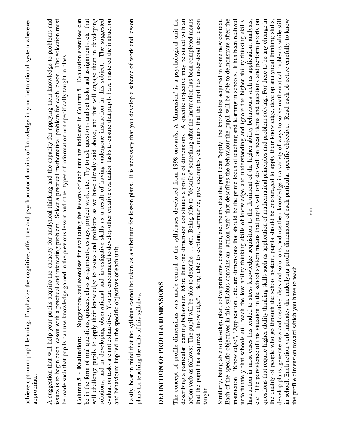| appropriate.           | achieve optimum pupil learning. Emphasize the cognitive, affective and psychomotor domains of knowledge in your instructional system wherever                                                                                                                                                                                                                                                                                                                                                                                                                                                                                                                                                                                                                                                                                                                                                                                                                                                                                                                                                                                                                                                                                                                                                                                                                                                                                                                                                                                                                                                                                                |
|------------------------|----------------------------------------------------------------------------------------------------------------------------------------------------------------------------------------------------------------------------------------------------------------------------------------------------------------------------------------------------------------------------------------------------------------------------------------------------------------------------------------------------------------------------------------------------------------------------------------------------------------------------------------------------------------------------------------------------------------------------------------------------------------------------------------------------------------------------------------------------------------------------------------------------------------------------------------------------------------------------------------------------------------------------------------------------------------------------------------------------------------------------------------------------------------------------------------------------------------------------------------------------------------------------------------------------------------------------------------------------------------------------------------------------------------------------------------------------------------------------------------------------------------------------------------------------------------------------------------------------------------------------------------------|
|                        | issues is to begin each lesson with a practical and interesting problem. Select a practical mathematical problem for each lesson. The selection must<br>A suggestion that will help your pupils acquire the capacity for analytical thinking and the capacity for applying their knowledge to problems and<br>be made such that pupils can use knowledge gained in the previous lesson and other types of information not specifically taught in class.                                                                                                                                                                                                                                                                                                                                                                                                                                                                                                                                                                                                                                                                                                                                                                                                                                                                                                                                                                                                                                                                                                                                                                                      |
| Column 5 - Evaluation: | evaluation tasks are not exhaustive. You are encouraged to develop other creative evaluation tasks to ensure that pupils have mastered the instruction<br>Suggestions and exercises for evaluating the lessons of each unit are indicated in Column 5. Evaluation exercises can<br>be in the form of oral questions, quizzes, class assignments, essays, project work, etc. Try to ask questions and set tasks and assignments, etc. that<br>will challenge pupils to apply their knowledge to issues and problems as we have already said above, and that will engage them in developing<br>solutions, and in developing observational and investigative skills as a result of having undergone instruction in this subject. The suggested<br>and behaviours implied in the specific objectives of each unit.                                                                                                                                                                                                                                                                                                                                                                                                                                                                                                                                                                                                                                                                                                                                                                                                                               |
|                        | as a substitute for lesson plans. It is necessary that you develop a scheme of work and lesson<br>Lastly, bear in mind that the syllabus cannot be taken<br>plans for teaching the units of this syllabus.                                                                                                                                                                                                                                                                                                                                                                                                                                                                                                                                                                                                                                                                                                                                                                                                                                                                                                                                                                                                                                                                                                                                                                                                                                                                                                                                                                                                                                   |
|                        | DEFINITION OF PROFILE DIMENSIONS                                                                                                                                                                                                                                                                                                                                                                                                                                                                                                                                                                                                                                                                                                                                                                                                                                                                                                                                                                                                                                                                                                                                                                                                                                                                                                                                                                                                                                                                                                                                                                                                             |
| taught                 | The concept of profile dimensions was made central to the syllabuses developed from 1998 onwards. A 'dimension' is a psychological unit for<br>action verb as follows: The pupil will be able to describe etc. Being able to "describe" something after the instruction has been completed means<br>one dimension constitutes a profile of dimensions. A specific objective may be stated with an<br>that the pupil has acquired "knowledge". Being able to explain, summarize, give examples, etc. means that the pupil has understood the lesson<br>describing a particular learning behaviour. More than                                                                                                                                                                                                                                                                                                                                                                                                                                                                                                                                                                                                                                                                                                                                                                                                                                                                                                                                                                                                                                  |
|                        | Each of the specific objectives in this syllabus contains an "action verb" that describes the behaviour the pupil will be able to demonstrate after the<br>Similarly, being able to develop, plan, solve problems, construct, etc. means that the pupil can "apply" the knowledge acquired in some new context.<br>Instruction in most cases has tended to stress knowledge acquisition to the detriment of the higher ability behaviours such as application, analysis,<br>etc. The persistence of this situation in the school system means that pupils will only do well on recall items and questions and perform poorly on<br>questions that require higher ability thinking skills such as application of mathematical principles and problem solving. For there to be any change in<br>instruction. "Knowledge", "Application", etc. are dimensions that should be the prime focus of teaching and learning in schools. It has been realized<br>thinking skills of knowledge and understanding and ignore the higher ability thinking skills.<br>the quality of people who go through the school system, pupils should be encouraged to apply their knowledge, develop analytical thinking skills,<br>develop plans, generate new and creative ideas and solutions, and use their knowledge in a variety of ways to solve mathematical problems while still<br>in school. Each action verb indicates the underlying profile dimension of each particular specific objective. Read each objective carefully to know<br>the profile dimension toward which you have to teach.<br>unfortunately that schools still teach the low ability |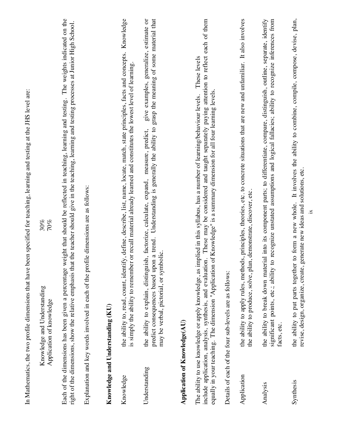|                              |                                                                                                                | In Mathematics, the two profile dimensions that have been specified for teaching, learning and testing at the JHS level are:                                                                                                                                                                                                                                 |
|------------------------------|----------------------------------------------------------------------------------------------------------------|--------------------------------------------------------------------------------------------------------------------------------------------------------------------------------------------------------------------------------------------------------------------------------------------------------------------------------------------------------------|
|                              | Knowledge and Understanding<br>Application of knowledge                                                        | 30%<br>70%                                                                                                                                                                                                                                                                                                                                                   |
|                              | right of the dimensions, show the relative emphasis that                                                       | The weights indicated on the<br>the teacher should give in the teaching, learning and testing processes at Junior High School.<br>Each of the dimensions has been given a percentage weight that should be reflected in teaching, learning and testing.                                                                                                      |
|                              | Explanation and key words involved in each of the profil                                                       | e dimensions are as follows:                                                                                                                                                                                                                                                                                                                                 |
|                              | Knowledge and Understanding (KU)                                                                               |                                                                                                                                                                                                                                                                                                                                                              |
| Knowledge                    |                                                                                                                | the ability to, read, count, identify, define, describe, list, name, locate, match, state principles, facts and concepts. Knowledge<br>is simply the ability to remember or recall material already learned and constitutes the lowest level of learning                                                                                                     |
| Understanding                | may be verbal, pictorial, or symbolic.<br>predict consequences based upon                                      | give examples, generalize, estimate or<br>a trend. Understanding is generally the ability to grasp the meaning of some material that<br>the ability to explain, distinguish, factorize, calculate, expand, measure, predict,                                                                                                                                 |
| Application of Knowledge(AU) |                                                                                                                |                                                                                                                                                                                                                                                                                                                                                              |
|                              | include application, analysis, synthesis, and evaluation                                                       | These may be considered and taught separately paying attention to reflect each of them<br>These levels<br>equally in your teaching. The dimension "Application of Knowledge" is a summary dimension for all four learning levels<br>The ability to use knowledge or apply knowledge, as implied in this syllabus, has a number of learning/behaviour levels. |
|                              | Details of each of the four sub-levels are as follows:                                                         |                                                                                                                                                                                                                                                                                                                                                              |
| Application                  | the ability to produce, solve, plan,                                                                           | the ability to apply rules, methods, principles, theories, etc. to concrete situations that are new and unfamiliar. It also involves<br>demonstrate, discover, etc                                                                                                                                                                                           |
| Analysis                     | significant points, etc.; ability to<br>facts, etc.                                                            | recognize unstated assumptions and logical fallacies; ability to recognize inferences from<br>the ability to break down material into its component parts; to differentiate, compare, distinguish, outline, separate, identify                                                                                                                               |
| Synthesis                    | revise, design, organize, create, generate new ideas and solutions, etc<br>the ability to put parts together t | It involves the ability to combine, compile, compose, devise, plan,<br>to form a new whole.                                                                                                                                                                                                                                                                  |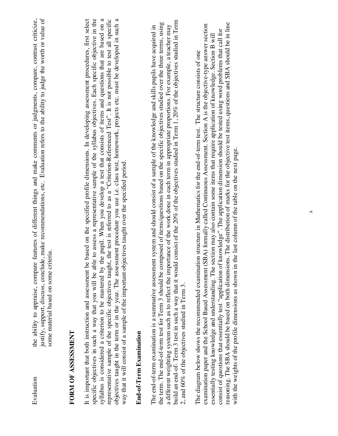| ivaluation                       | features of different things and make comments or judgments, compare, contrast criticize,<br>ustify, support, discuss, conclude, make recommendations, etc. Evaluation refers to the ability to judge the worth or value of<br>the ability to appraise, compare " |
|----------------------------------|-------------------------------------------------------------------------------------------------------------------------------------------------------------------------------------------------------------------------------------------------------------------|
|                                  | some material based on some criteria.                                                                                                                                                                                                                             |
|                                  |                                                                                                                                                                                                                                                                   |
| <b>FINITAL ACCESS AND ACCESS</b> |                                                                                                                                                                                                                                                                   |

### FORM OF ASSESSMENT **FORM OF ASSESSMENT**

syllabus is considered a criterion to be mastered by the pupil. When you develop a test that consists of items and questions that are based on a It is important that both instruction and assessment be based on the specified profile dimensions. In developing assessment procedures, first select specific objectives in such a way that you will be able to assess a representative sample of the syllabus objectives. Each specific objective in the representative sample of the specific objectives taught, the test is referred to as a "Criterion-Referenced Test". It is not possible to test all specific objectives taught in the term or in the year. The assessment procedure you use i.e. class test, homework, projects etc. must be developed in such a syllabus is considered a criterion to be mastered by the pupil. When you develop a test that consists of items and questions that are based on a objectives taught in the term or in the year. The assessment procedure you use i.e. class test, homework, projects etc. must be developed in such a It is important that both instruction and assessment be based on the specified profile dimensions. In developing assessment procedures, first select specific objectives in such a way that you will be able to assess a representative sample of the syllabus objectives. Each specific objective in the representative sample of the specific objectives taught, the test is referred to as a "Criterion-Referenced Test". It is not possible to test all specific way that it will consist of a sample of the important objectives taught over the specified period. way that it will consist of a sample of the important objectives taught over the specified period.

### End-of-Term Examination **End-of-Term Examination**

build an end-of- Term 3 test in such a way that it would consist of the 20% of the objectives studied in Term 1, 20% of the objectives studied in Term build an end-of- Term 3 test in such a way that it would consist of the 20% of the objectives studied in Term 1, 20% of the objectives studied in Term the term. The end-of-term test for Term 3 should be composed of items/questions based on the specific objectives studied over the three terms, using the term. The end-of-term test for Term 3 should be composed of items/questions based on the specific objectives studied over the three terms, using a different weighting system such as to reflect the importance of the work done in each term in appropriate proportions. For example, a teacher may The end-of-term examination is a summative assessment system and should consist of a sample of the knowledge and skills pupils have acquired in a different weighting system such as to reflect the importance of the work done in each term in appropriate proportions. For example, a teacher may The end-of-term examination is a summative assessment system and should consist of a sample of the knowledge and skills pupils have acquired in 2, and 60% of the objectives studied in Term 3. 2, and 60% of the objectives studied in Term 3.

ceasoning. The SBA should be based on both dimensions. The distribution of marks for the objective test items, questions and SBA should be in line reasoning. The SBA should be based on both dimensions. The distribution of marks for the objective test items, questions and SBA should be in line examination paper and the School Based Assessment (SBA) formally called Continuous Assessment. Section A is the objective-type answer section examination paper and the School Based Assessment (SBA) formally called Continuous Assessment. Section A is the objective-type answer section consist of questions that essentially test "application of knowledge". The application dimension should be tested using word problems that call for consist of questions that essentially test "application of knowledge". The application dimension should be tested using word problems that call for essentially testing knowledge and understanding. The section may also contain some items that require application of knowledge. Section B will essentially testing knowledge and understanding. The section may also contain some items that require application of knowledge. Section B will The diagram below shows the recommended examination structure in Mathematics for the end-of-term test. The structure consists of one The diagram below shows the recommended examination structure in Mathematics for the end-of-term test. The structure consists of one with the weights of the profile dimensions as shown in the last column of the table on the next page. with the weights of the profile dimensions as shown in the last column of the table on the next page.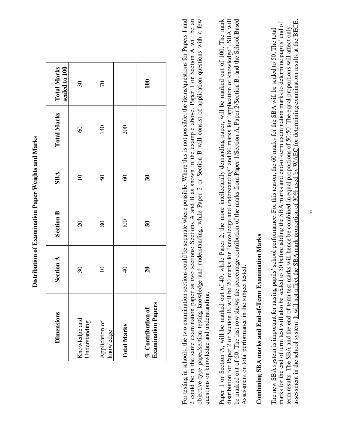| ahta oma Nion                                                                                                            |
|--------------------------------------------------------------------------------------------------------------------------|
| D<br>י<br>ו                                                                                                              |
| -<br>-<br>-<br>-<br>í<br>Í                                                                                               |
| -<br>-<br>-<br>-<br>-                                                                                                    |
| ֚֡֕<br>ׇׇ֧֧ׅ֧֧֧֧ׅ֧ׅ֧֧֧֧֧֧֧֧֧֪ׅ֧֚֚֚֚֚֚֚֚֚֚֚֚֚֚֚֚֚֚֚֚֚֚֚֚֚֚֚֚֚֚֝֡֟֓֡֡֡֓֟֓֡֡֬֝֓֩֩֓֝֬֝֬֝֬֝֬<br>֧֪֪֪֪֪֪֪֪֪֪֪֪֪֪֪֪֪֪֪֪֪֪֪֪֪֪֪֪ |
| ļ<br>j                                                                                                                   |
|                                                                                                                          |
|                                                                                                                          |

| <b>Dimensions</b>                                | Section A                  | <b>Section B</b>        | <b>SBA</b>                 | <b>Total Marks</b> | scaled to 100<br><b>Total Marks</b> |
|--------------------------------------------------|----------------------------|-------------------------|----------------------------|--------------------|-------------------------------------|
| Knowledge and<br>Understanding                   | $\infty$                   | $\overline{c}$          | $\Xi$                      | $\infty$           | $\overline{\omega}$                 |
| Application of<br>knowledge                      | $\Xi$                      | 80                      | 50                         | 140                | 70                                  |
| <b>Total Marks</b>                               | $\Theta$                   | 100                     | $\infty$                   | 200                |                                     |
| <b>Examination Papers</b><br>$%$ Contribution of | $\boldsymbol{\mathcal{Z}}$ | $\overline{\mathbf{5}}$ | $\boldsymbol{\mathcal{E}}$ |                    | 100                                 |

For testing in schools, the two examination sections could be separate where possible. Where this is not possible, the items/questions for Papers 1 and 2 could be in the same examination paper as two sections; Sections A and B as shown in the example above. Paper 1 or Section A will be an objective-type paper/section testing knowledge and understanding, while Paper 2 or Section B will consist of application questions with a few For testing in schools, the two examination sections could be separate where possible. Where this is not possible, the items/questions for Papers 1 and 2 could be in the same examination paper as two sections; Sections A and B as shown in the example above. Paper 1 or Section A will be an objective-type paper/section testing knowledge and understanding, while Paper 2 or Section B will consist of application questions with a few questions on knowledge and understanding. questions on knowledge and understanding. Paper 1 or Section A, will be marked out of 40, while Paper 2, the more intellectually demanding paper, will be marked out of 100. The mark be marked out of 60. The last row shows the percentage contribution of the marks from Paper 1/Section A, Paper 2/Section B, and the School Based Paper 1 or Section A, will be marked out of 40, while Paper 2, the more intellectually demanding paper, will be marked out of 100. The mark distribution for Paper 2 or Section B, will be 20 marks for "knowledge and understanding" and 80 marks for "application of knowledge". SBA will distribution for Paper 2 or Section B, will be 20 marks for "knowledge and understanding" and 80 marks for "application of knowledge". SBA will be marked out of 60. The last row shows the percentage contribution of the marks from Paper 1/Section A, Paper 2/Section B, and the School Based Assessment on total performance in the subject tested. Assessment on total performance in the subject tested.

# Combining SBA marks and End-of-Term Examination Marks **Combining SBA marks and End-of-Term Examination Marks**

assessment in the school system. It will not affect the SBA mark proportion of 30% used by WAEC for determining examination results at the BECE. assessment in the school system. It will not affect the SBA mark proportion of 30% used by WAEC for determining examination results at the BECE. marks for the end of term test will also be scaled to 50 before adding the SBA marks and end-of-term examination marks to determine pupils' end of marks for the end of term test will also be scaled to 50 before adding the SBA marks and end-of-term examination marks to determine pupils' end of term results. The SBA and the end-of-term test marks will hence be combined in equal proportions of 50:50. The equal proportions will affect only term results. The SBA and the end-of-term test marks will hence be combined in equal proportions of 50:50. The equal proportions will affect only The new SBA system is important for raising pupils' school performance. For this reason, the 60 marks for the SBA will be scaled to 50. The total The new SBA system is important for raising pupils' school performance. For this reason, the 60 marks for the SBA will be scaled to 50. The total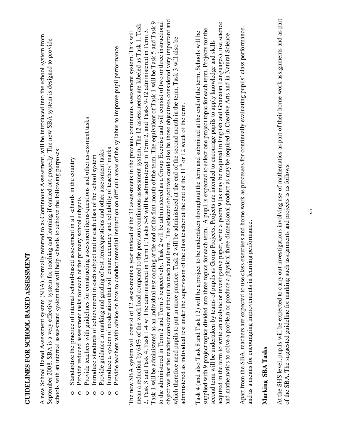**GUIDELINES FOR SCHOOL BASED ASSESSMENT**

GUIDELINES FOR SCHOOL BASED ASSESSMENT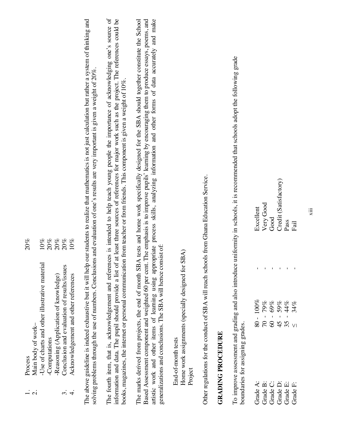| Process                                                                                  | $20\%$ |
|------------------------------------------------------------------------------------------|--------|
| Main body of work-                                                                       |        |
| Use of charts and other illustrative material                                            | $10\%$ |
| -Computations                                                                            | 20%    |
| -Reasoning (Application of knowledge)                                                    | 20%    |
| Conclusion and evaluation of results/issues                                              | $20\%$ |
| Acknowledgement and other references                                                     | $10\%$ |
|                                                                                          |        |
| above guideline is indeed exhaustive but it will help our students to realize that ma    |        |
| $\alpha$ problems through the use of numbers. Conclusions and evaluation of one's result |        |

thematics is not just calculation but rather a system of thinking and The above guideline is indeed exhaustive but it will help our students to realize that mathematics is not just calculation but rather a system of thinking and tts are very important is given a weight of 20%. solving problems through the use of numbers. Conclusions and evaluation of one's results are very important is given a weight of 20%. á solving p The ab

The fourth item, that is, acknowledgement and references is intended to help teach young people the importance of acknowledging one's source of information and data. The pupil should provide a list of at least three sources of references for major work such as the project. The references could be The fourth item, that is, acknowledgement and references is intended to help teach young people the importance of acknowledging one's source of information and data. The pupil should provide a list of at least three sources of references for major work such as the project. The references could be books, magazines, the internet or personal communication from teacher or from friends. This component is given a weight of 10%. books, magazines, the internet or personal communication from teacher or from friends. This component is given a weight of 10%.

The marks derived from projects, the end of month SBA tests and home work specifically designed for the SBA should together constitute the School Based Assessment component and weighted 60 per cent. The emphasis is to improve pupils' learning by encouraging them to produce essays, poems, and artistic work and other items of learning using appropriate process skills, analyzing information and other forms of data accurately and make The marks derived from projects, the end of month SBA tests and home work specifically designed for the SBA should together constitute the School Based Assessment component and weighted 60 per cent. The emphasis is to improve pupils' learning by encouraging them to produce essays, poems, and artistic work and other items of learning using appropriate process skills, analyzing information and other forms of data accurately and make generalizations and conclusions. The SBA will hence consist of: generalizations and conclusions. The SBA will hence consist of:

Home work assignments (specially designed for SBA) Home work assignments (specially designed for SBA) End-of-month tests End-of-month tests Project Other regulations for the conduct of SBA will reach schools from Ghana Education Service. Other regulations for the conduct of SBA will reach schools from Ghana Education Service.

### **GRADING PROCEDURE GRADING PROCEDURE**

To improve assessment and grading and also introduce uniformity in schools, it is recommended that schools adopt the following grade To improve assessment and grading and also introduce uniformity in schools, it is recommended that schools adopt the following grade boundaries for assigning grades. boundaries for assigning grades.

|  | Excellent<br>Very Good<br>Good<br>Credit (Satisfactory)<br>Pass<br>Pass                      |  |  |
|--|----------------------------------------------------------------------------------------------|--|--|
|  |                                                                                              |  |  |
|  | $80 - 100\%$<br>$70 - 79\%$<br>$60 - 69\%$<br>$45 - 59\%$<br>$44\%$<br>$35 - 44\%$<br>$\leq$ |  |  |
|  | Grade A:<br>Grade B:<br>Grade C:<br>Grade E:<br>Grade F:<br>Grade F:                         |  |  |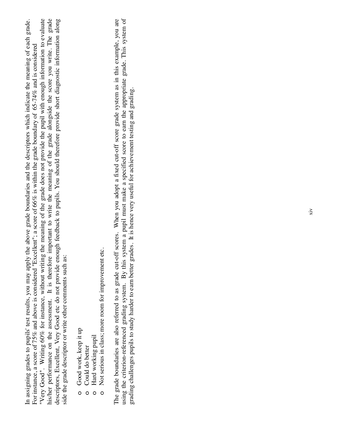his/her performance on the assessment. It is therefore important to write the meaning of the grade alongside the score you write. The grade descriptors, Excellent, Very Good etc do not provide enough feedback to pupils. You should therefore provide short diagnostic information along In assigning grades to pupils' test results, you may apply the above grade boundaries and the descriptors which indicate the meaning of each grade. "Very Good". Writing 60% for instance, without writing the meaning of the grade does not provide the pupil with enough information to evaluate In assigning grades to pupils' test results, you may apply the above grade boundaries and the descriptors which indicate the meaning of each grade. "Very Good". Writing 60% for instance, without writing the meaning of the grade does not provide the pupil with enough information to evaluate his/her performance on the assessment. It is therefore important to write the meaning of the grade alongside the score you write. The grade descriptors, Excellent, Very Good etc do not provide enough feedback to pupils. You should therefore provide short diagnostic information along For instance, a score of 75% and above is considered "Excellent"; a score of 66% is within the grade boundary of 65-74% and is considered For instance, a score of 75% and above is considered "Excellent"; a score of 66% is within the grade boundary of 65-74% and is considered side the grade descriptor or write other comments such as: side the grade descriptor or write other comments such as:

- Good work, keep it up Good work, keep it up o
- Could do better Could do better o
- o Hard working pupil Hard working pupil
- Not serious in class; more room for improvement etc. Not serious in class; more room for improvement etc. o

The grade boundaries are also referred to as grade cut-off scores. When you adopt a fixed cut-off score grade system as in this example, you are using the criterion-referenced grading system. By this system a pupil must make a specified score to earn the appropriate grade. This system of using the criterion-referenced grading system. By this system a pupil must make a specified score to earn the appropriate grade. This system of The grade boundaries are also referred to as grade cut-off scores. When you adopt a fixed cut-off score grade system as in this example, you are grading challenges pupils to study harder to earn better grades. It is hence very useful for achievement testing and grading. grading challenges pupils to study harder to earn better grades. It is hence very useful for achievement testing and grading.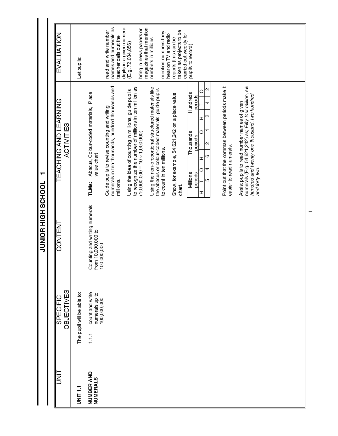| <b>UNL</b>             | OBJECTIVES<br><b>SPECIFIC</b>                             | CONTENT                                                            | TEACHING AND LEARNING<br><b>ACTIVITIES</b>                                                                                                                              | EVALUATION                                                                 |
|------------------------|-----------------------------------------------------------|--------------------------------------------------------------------|-------------------------------------------------------------------------------------------------------------------------------------------------------------------------|----------------------------------------------------------------------------|
| <b>TINE</b>            | The pupil will be able to:                                |                                                                    |                                                                                                                                                                         | Let pupils:                                                                |
| NUMBER AND<br>NUMERALS | count and write<br>numerals up to<br>100,000,000<br>1.1.1 | Counting and writing numerals<br>from 10,000,000 to<br>100,000,000 | Abacus, Colour-coded materials, Place<br>value chart<br>TLMs:                                                                                                           |                                                                            |
|                        |                                                           |                                                                    | numerals in ten thousands, hundred thousands and<br>Guide pupils to revise counting and writing<br>millions.                                                            | names and numerals as<br>read and write number<br>teacher calls out the    |
|                        |                                                           |                                                                    | to recognize the number of millions in ten million as<br>Using the idea of counting in millions, guide pupils<br>$(10,000,000 = 10 \times 1,000,000)$                   | digits in a given numeral<br>bring in news papers or<br>(E.9.72, 034, 856) |
|                        |                                                           |                                                                    | Using the non-proportional structured materials like<br>the abacus or colour-coded materials, guide pupils<br>to count in ten millions.                                 | magazines that mention<br>mention numbers they<br>numbers in millions      |
|                        |                                                           |                                                                    | Show, for example, 54,621,242 on a place value<br>chart.                                                                                                                | taken as projects to be<br>hear on TV and radio<br>reports (this can be    |
|                        |                                                           |                                                                    | Hundreds<br>periods<br>Thousands<br>periods<br>Millions<br>periods                                                                                                      | carried out weekly for<br>pupils to record)                                |
|                        |                                                           |                                                                    | 2<br>$\circ$<br>4<br>$\scriptstyle\sim$<br>I<br>$\circ$<br>$\mathbf{\Omega}$<br>ဖ<br>H<br>4<br>$\circ$<br>ю<br>I                                                        |                                                                            |
|                        |                                                           |                                                                    | Point out that the commas between periods make it<br>easier to read numerals.                                                                                           |                                                                            |
|                        |                                                           |                                                                    | numerals (E.g. 54,621,242) as; Fifty four million, six<br>hundred and twenty one thousand, two hundred<br>Assist pupils to read number names of given<br>and forty two. |                                                                            |
|                        |                                                           |                                                                    |                                                                                                                                                                         |                                                                            |
|                        |                                                           |                                                                    |                                                                                                                                                                         |                                                                            |

**JUNIOR HIGH SCHOOL 1 TOOHOS HIGH SCHOOL** 

 $\blacksquare$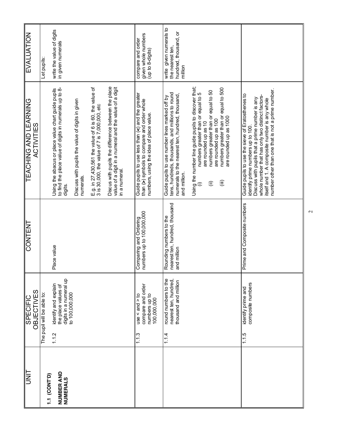| <b>EVALUATION</b>                                 | Let pupils:                | write the value of digits<br>in given numerals                                                                          |                                                               |                                                                                                        |                                                                                                                                | given whole numbers<br>compare and order<br>(up to 8-digits)                                                                                  | write given numerals to<br>hundred, thousand, or<br>the nearest ten,<br>million                                                                                       |                                                                                                                                                                                                                                                                                         |                                                                                                                                                                                                                                                                                                   |
|---------------------------------------------------|----------------------------|-------------------------------------------------------------------------------------------------------------------------|---------------------------------------------------------------|--------------------------------------------------------------------------------------------------------|--------------------------------------------------------------------------------------------------------------------------------|-----------------------------------------------------------------------------------------------------------------------------------------------|-----------------------------------------------------------------------------------------------------------------------------------------------------------------------|-----------------------------------------------------------------------------------------------------------------------------------------------------------------------------------------------------------------------------------------------------------------------------------------|---------------------------------------------------------------------------------------------------------------------------------------------------------------------------------------------------------------------------------------------------------------------------------------------------|
| <b>TEACHING AND LEARNING</b><br><b>ACTIVITIES</b> |                            | Using the abacus or place value chart guide pupils<br>to find the place value of digits in numerals up to 8-<br>digits. | Discuss with pupils the value of digits in given<br>numerals. | E.g. in 27,430,561 the value of 6 is 60, the value of<br>3 is 30,000, the value of 7 is 7,000,000, etc | Discus with pupils the difference between the place<br>value of a digit in a numeral and the value of a digit<br>in a numeral. | Guide pupils to use less than $(<)$ and the greater<br>than (>) symbols to compare and order whole<br>numbers, using the idea of place value. | tens, hundreds, thousands, and millions to round<br>numerals to the nearest ten, hundred, thousand,<br>Guide pupils to use number lines marked off by<br>and million. | Using the number line guide pupils to discover that;<br>(i) mumbers greater than or equal to 5<br>numbers greater than or equal to 500<br>numbers greater than or equal to 50<br>are rounded up as 1000<br>are rounded up as 100<br>are rounded up as 10<br>(iii)<br>$\widehat{\equiv}$ | number other than one that is not a prime number.<br>Guide pupils to use the sieve of Eratosthenes to<br>whole number that has only two distinct factors-<br>Discuss with pupils that a prime number is any<br>itself and 1. A composite number is any whole<br>identify prime numbers up to 100. |
| <b>CONTENT</b>                                    |                            | Place value                                                                                                             |                                                               |                                                                                                        |                                                                                                                                | Comparing and Ordering<br>numbers up to 100,000,000                                                                                           | nearest ten, hundred, thousand<br>Rounding numbers to the<br>and million                                                                                              |                                                                                                                                                                                                                                                                                         | Prime and Composite numbers                                                                                                                                                                                                                                                                       |
| <b>OBJECTIVES</b><br><b>SPECIFIC</b>              | The pupil will be able to: | digits in a numeral up<br>identify and explain<br>the place values of<br>to 100,000,000<br>1.1.2                        |                                                               |                                                                                                        |                                                                                                                                | compare and order<br>numbers up to<br>$1$ se < and > to<br>100,000,000<br>1.1.3                                                               | round numbers to the<br>nearest ten, hundred,<br>thousand and million<br>1.14                                                                                         |                                                                                                                                                                                                                                                                                         | composite numbers<br>identify prime and<br>1.1.5                                                                                                                                                                                                                                                  |
| <b>SEAR</b>                                       | 1.1 (CONT <sup>.</sup> D)  | NUMBER AND<br>NUMERALS                                                                                                  |                                                               |                                                                                                        |                                                                                                                                |                                                                                                                                               |                                                                                                                                                                       |                                                                                                                                                                                                                                                                                         |                                                                                                                                                                                                                                                                                                   |

 $\mathbf{\sim}$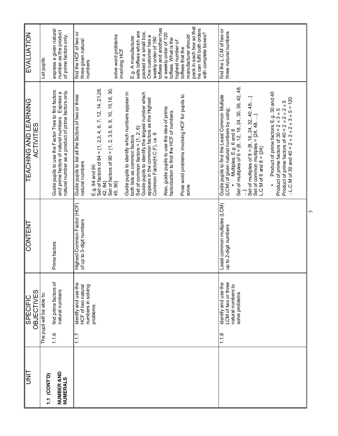| <b>TINL</b>            | <b>OBJECTIVES</b><br><b>SPECIFIC</b>                                                        | <b>CONTENT</b>                                          | <b>TEACHING AND LEARNING</b><br><b>ACTIVITIES</b>                                                                                                                                                                                                                                                                                                                                                                                                                                                                                                                                                                                                                 | EVALUATION                                                                                                                                                                                                                                                                                                                                                                                                                                             |
|------------------------|---------------------------------------------------------------------------------------------|---------------------------------------------------------|-------------------------------------------------------------------------------------------------------------------------------------------------------------------------------------------------------------------------------------------------------------------------------------------------------------------------------------------------------------------------------------------------------------------------------------------------------------------------------------------------------------------------------------------------------------------------------------------------------------------------------------------------------------------|--------------------------------------------------------------------------------------------------------------------------------------------------------------------------------------------------------------------------------------------------------------------------------------------------------------------------------------------------------------------------------------------------------------------------------------------------------|
| 1.1 (CONT'D)           | The pupil will be able to:                                                                  |                                                         |                                                                                                                                                                                                                                                                                                                                                                                                                                                                                                                                                                                                                                                                   | Let pupils                                                                                                                                                                                                                                                                                                                                                                                                                                             |
| NUMBER AND<br>NUMERALS | find prime factors of<br>natural numbers<br>1.1.6                                           | Prime factors                                           | Guide pupils to use the Factor Tree to find factors<br>natural number as a product of prime factors only.<br>and prime factors of natural numbers. Express a                                                                                                                                                                                                                                                                                                                                                                                                                                                                                                      | express a given natural<br>number as the product<br>of prime factors only.                                                                                                                                                                                                                                                                                                                                                                             |
|                        | identify and use the<br>numbers in solving<br>HCF of two natural<br>problems<br>1.1.7       | Highest Common Factor (HCF)<br>of up to 3-digit numbers | E.g. 84 and 90<br>Set of factors of 84 = {1, 2,3, 4, 6, 7, 12, 14, 21,28,<br>Set of factors of 90 = $\{1, 2, 3.5, 6, 9, 10, 15, 18, 30,$<br>Guide pupils to identify the largest number which<br>Guide pupils to identify which numbers appear in<br>Guide pupils to list all the factors of two or three<br>Pose word problems involving HCF for pupils to<br>appears in the common factors as the Highest<br>Also, guide pupils to use the idea of prime<br>factorization to find the HCF of numbers.<br>Set of common factors = $\{1, 2, 6\}$<br>Common Factor(H.C.F), i.e. 6<br>both lists as common factors<br>natural numbers<br>42, 84}<br>45,90}<br>solve | pack in each box so that<br>toffees and another has<br>he can fulfil both orders<br>sells toffees which are<br>packed in a small box.<br>find the HCF of two or<br>with complete boxes?<br>a weekly order of 120<br>solve word problems<br>manufacturer should<br>One customer has a<br>E.g. A manufacturer<br>weekly order of 180<br>toffees. What is the<br>three given natural<br>highest number of<br>toffees that the<br>involving HCF<br>numbers |
|                        | LCM of two or three<br>identify and use the<br>natural numbers to<br>solve problems<br>1.18 | Least common multiples (LCM)<br>up to 2-digit numbers   | Set of multiples of $6 = \{6, 12, 18, 24, 30, 36, 42, 48,$<br>Product of prime factors; E.g. 30 and 40<br>Guide pupils to find the Least Common Multiple<br>Set of multiples of $8 = \{8, 16, 24, 32, 40, 48, \}$<br>:. L.C.M of 30 and 40 = $2 \times 2 \times 2 \times 3 \times 5 = 120$<br>Product of prime factors of $30 = 2 \times 3 \times 5$<br>Product of prime factors of $40 = 2 \times 2 \times 2 \times 5$<br>(LCM) of given natural numbers by using;<br>Set of common multiples = $\{24, 48, \}$<br>Multiples; E.g. 6 and 8<br>L.C.M of 6 and 8 = $\{24\}$                                                                                         | find the L.C.M of two or<br>three natural numbers                                                                                                                                                                                                                                                                                                                                                                                                      |

 $\omega$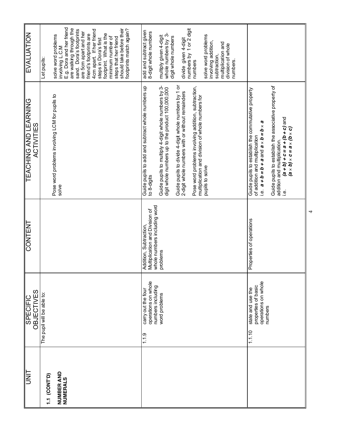| <b>EVALUATION</b>                                 | E.g. Dora and her friend<br>are walking through the<br>should take before their<br>footprints match again?<br>sand. Dora's footprints<br>4cm apart. If her friend<br>are 5cm apart and her<br>friend's footprints are<br>footprint. What is the<br>solve word problems<br>minimum number of<br>steps that her friend<br>steps in Dora's first<br>involving L.C.M<br>Let pupils: | 1 or 2 digit<br>add and subtract given<br>8-digit whole numbers<br>whole numbers by 3-<br>solve word problems<br>multiply given 4-digit<br>digit whole numbers<br>divide given 4-digit<br>involving addition,<br>multiplication and<br>division of whole<br>numbers by<br>subtraction,<br>numbers<br>numbers                                                                                                            |                                                                                                                                                                                                                                                                                                                                                    |
|---------------------------------------------------|---------------------------------------------------------------------------------------------------------------------------------------------------------------------------------------------------------------------------------------------------------------------------------------------------------------------------------------------------------------------------------|-------------------------------------------------------------------------------------------------------------------------------------------------------------------------------------------------------------------------------------------------------------------------------------------------------------------------------------------------------------------------------------------------------------------------|----------------------------------------------------------------------------------------------------------------------------------------------------------------------------------------------------------------------------------------------------------------------------------------------------------------------------------------------------|
| <b>TEACHING AND LEARNING</b><br><b>ACTIVITIES</b> | Pose word problems involving LCM for pupils to<br>solve                                                                                                                                                                                                                                                                                                                         | Guide pupils to divide 4-digit whole numbers by 1 or<br>2-digit whole numbers with or without remainders<br>Guide pupils to add and subtract whole numbers up<br>Guide pupils to multiply 4-digit whole numbers by 3-<br>digit whole numbers up to the product 100,000,000<br>Pose word problems involving addition, subtraction,<br>multiplication and division of whole numbers for<br>pupils to solve<br>to 8-digits | Guide pupils to establish the associative property of<br>Guide pupils to establish the commutative property<br>$\frac{1}{2}$ (a + d) + c = a + (d + c) and<br>i.e. $a + b = b + a$ and $a \times b = b \times a$<br>$(a \times d) \times c = a \times (b \times c)$<br>of addition and multiplication<br>addition and multiplication.<br><u>نه</u> |
| <b>CONTENT</b>                                    |                                                                                                                                                                                                                                                                                                                                                                                 | whole numbers including word<br>Multiplication and Division of<br>Addition, Subtraction<br>problems                                                                                                                                                                                                                                                                                                                     | Properties of operations                                                                                                                                                                                                                                                                                                                           |
| <b>OBJECTIVES</b><br><b>SPECIFIC</b>              | The pupil will be able to:                                                                                                                                                                                                                                                                                                                                                      | operations on whole<br>numbers including<br>carry out the four<br>word problems<br>1.19                                                                                                                                                                                                                                                                                                                                 | operations on whole<br>properties of basic<br>state and use the<br>numbers<br>1.1.10                                                                                                                                                                                                                                                               |
| <b>UNIT</b>                                       | NUMBER AND<br>1.1 (CONT'D)<br>NUMERALS                                                                                                                                                                                                                                                                                                                                          |                                                                                                                                                                                                                                                                                                                                                                                                                         |                                                                                                                                                                                                                                                                                                                                                    |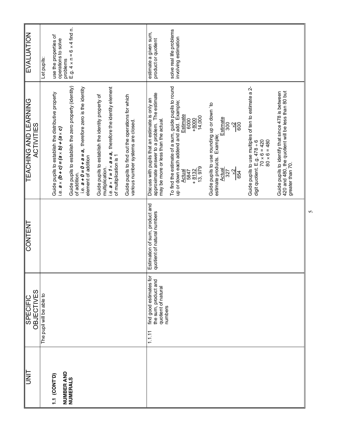| UNIT                       | <b>OBJECTIVES</b><br><b>SPECIFIC</b>                                                        | CONTENT                                                       | <b>TEACHING AND LEARNING</b><br><b>ACTIVITIES</b>                                                                                                                                       | EVALUATION                                         |
|----------------------------|---------------------------------------------------------------------------------------------|---------------------------------------------------------------|-----------------------------------------------------------------------------------------------------------------------------------------------------------------------------------------|----------------------------------------------------|
|                            | The pupil will be able to                                                                   |                                                               |                                                                                                                                                                                         | Let pupils:                                        |
| NUMBER AND<br>1.1 (CONT'D) |                                                                                             |                                                               | Guide pupils to establish the distributive property<br>i.e. $a \times (b + c) = (a \times b) + (a \times c)$                                                                            | use the properties of<br>operations to solve       |
| <b>NUMERALS</b>            |                                                                                             |                                                               | Guide pupils to establish the zero property (identity)<br>i.e. $a + 0 = 0 + a = a$ , therefore zero is the identity<br>element of addition<br>of addition.                              | problems<br>E.g. $4 \times n = 6 \times 4$ find n. |
|                            |                                                                                             |                                                               | i.e. $a \times 1 = 1 \times a = a$ , therefore the identity element<br>Guide pupils to establish the identity property of<br>of multiplication is 1<br>multiplication.                  |                                                    |
|                            |                                                                                             |                                                               | Guide pupils to find out the operations for which<br>various number systems are closed                                                                                                  |                                                    |
|                            | find good estimates for<br>the sum, product and<br>quotient of natural<br>numbers<br>1.1.11 | Estimation of sum, product and<br>quotient of natural numbers | approximate answer to a problem. The estimate<br>Discuss with pupils that an estimate is only an<br>may be more or less than the actual.                                                | estimate a given sum,<br>product or quotient       |
|                            |                                                                                             |                                                               | To find the estimate of a sum, guide pupils to round<br>up or down each addend and add. Example;<br><b>Estimate</b><br>14,000<br>6000<br>$+8000$<br>13,979<br>$+8132$<br>Actual<br>5847 | solve real life problems<br>involving estimation   |
|                            |                                                                                             |                                                               | Guide pupils to use rounding up or down 'to<br><b>Estimate</b><br>300<br>$\frac{2}{6}$<br>estimate products. Example;<br><b>Actual</b><br>327<br>$\times$<br>654                        |                                                    |
|                            |                                                                                             |                                                               | Guide pupils to use multiples of ten to estimate a 2-<br>$70 \times 6 = 420$<br>$80 \times 6 = 480$<br>digit quotient. $E.g. 478 \div 6$                                                |                                                    |
|                            |                                                                                             |                                                               | 420 and 480, the quotient will be less than 80 but<br>Guide pupils to identify that since 478 is between<br>greater than 70.                                                            |                                                    |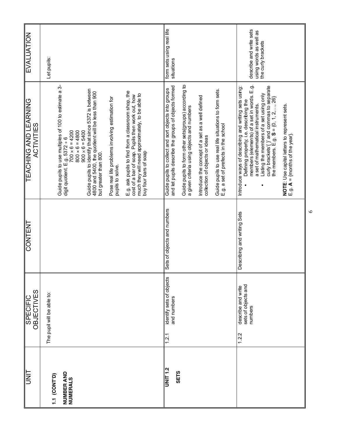| lum<br>S                       | <b>OBJECTIVES</b><br><b>SPECIFIC</b>                          | <b>CONTENT</b>              | <b>TEACHING AND LEARNING</b><br>ACTIVITIES                                                                                                                                          | EVALUATION                                   |
|--------------------------------|---------------------------------------------------------------|-----------------------------|-------------------------------------------------------------------------------------------------------------------------------------------------------------------------------------|----------------------------------------------|
| 1.1 (CONT <sup>.</sup> D)      | The pupil will be able to:                                    |                             |                                                                                                                                                                                     | Let pupils:                                  |
| NUMBER AND<br><b>NUMERALS</b>  |                                                               |                             | Guide pupils to use multiples of 100 to estimate a 3-<br>$700 \times 6 = 4200$<br>$800 \times 6 = 4800$<br>$900 \times 6 = 5400$<br>digit quotient. E.g. $5372 \div 6$              |                                              |
|                                |                                                               |                             | Guide pupils to identify that since 5372 is between<br>4800 and 5400, the quotient will be less than 900<br>but greater than 800.                                                   |                                              |
|                                |                                                               |                             | Pose real life problems involving estimation for<br>pupils to solve.                                                                                                                |                                              |
|                                |                                                               |                             | E.g. ask pupils to find from a classroom shop, the<br>much they will need approximately, to be able to<br>cost of a bar of soap. Pupils then work out, how<br>buy four bars of soap |                                              |
|                                |                                                               |                             |                                                                                                                                                                                     |                                              |
| <b>UNIT 1.2</b><br><b>SETS</b> | identify sets of objects<br>and numbers<br>1.2.1              | Sets of objects and numbers | and let pupils describe the groups of objects formed<br>Guide pupils to collect and sort objects into groups                                                                        | form sets using real life<br>situations      |
|                                |                                                               |                             | Guide pupils to form other sets(groups) according to<br>a given criteria using objects and numbers                                                                                  |                                              |
|                                |                                                               |                             | Introduce the concept of a set as a well defined<br>collection of objects or ideas                                                                                                  |                                              |
|                                |                                                               |                             | Guide pupils to use real life situations to form sets.<br>E.g. a set of prefects in the school                                                                                      |                                              |
|                                | sets of objects and<br>describe and write<br>numbers<br>1.2.2 | Describing and writing Sets | members (elements) of a set in words. E.g.<br>Introduce ways of describing and writing sets using:<br>Defining property, i.e. describing the<br>a set of mathematical instruments.  | describe and write sets                      |
|                                |                                                               |                             | curly brackets'{ }' and commas to separate<br>Listing the members of a set using only<br>the members. E.g. $S = \{0, 1, 2, , 26\}$                                                  | using words as well as<br>the curly brackets |
|                                |                                                               |                             | NOTE: Use capital letters to represent sets<br>E.g. A = {months of the year}.                                                                                                       |                                              |

 $\circ$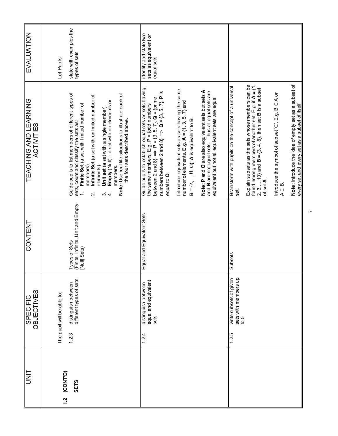| <b>EVALUATION</b>                                 | Let Pupils:                 | state with examples the<br>types of sets                                                                                                                                                                                                                                                                                                                                                                                                              | identify and state two<br>sets as equivalent or<br>equal sets                                                                                                                                                                                             |                                                                                                                                                                                                                                                                                                                                            |                                                                                                                                                                                                                                                                   |                                                                                                                                                |                                               |
|---------------------------------------------------|-----------------------------|-------------------------------------------------------------------------------------------------------------------------------------------------------------------------------------------------------------------------------------------------------------------------------------------------------------------------------------------------------------------------------------------------------------------------------------------------------|-----------------------------------------------------------------------------------------------------------------------------------------------------------------------------------------------------------------------------------------------------------|--------------------------------------------------------------------------------------------------------------------------------------------------------------------------------------------------------------------------------------------------------------------------------------------------------------------------------------------|-------------------------------------------------------------------------------------------------------------------------------------------------------------------------------------------------------------------------------------------------------------------|------------------------------------------------------------------------------------------------------------------------------------------------|-----------------------------------------------|
| <b>TEACHING AND LEARNING</b><br><b>ACTIVITIES</b> |                             | Guide pupils to list members of different types of<br>Note: Use real life situations to illustrate each of<br>Infinite Set (a set with unlimited number of<br>Empty (Null): - a set with no elements or<br>Finite Set (a set with limited number of<br>Unit set (a set with a single member)<br>the four sets described above<br>sets, count and classify the sets as:<br>members)<br>elements).<br>members.<br>$\omega$ 4<br>$\overline{\mathsf{N}}$ | Guide pupils to establish equal sets as sets having<br>numbers between 2 and 8} $\Rightarrow$ Q = {3, 5, 7}, P is<br>between 2 and 8} $\Rightarrow$ <b>P</b> = {3, 5, 7}. <b>Q</b> = {prime<br>the same members. E.g. $P = \{odd \ number$<br>equal to Q. | Introduce equivalent sets as sets having the same<br>number of elements. E.g. $\mathbf{A} = \{1, 3, 5, 7\}$ and<br>Note: P and Q are also equivalent sets but sets A<br>and B are not equal sets. Thus all equal sets are<br>equivalent but not all equivalent sets are equal<br>$B = \{\Delta, , \Theta, \Omega\}$ ; A is equivalent to B | found among members of another set. E.g. if $A = \{1, 2, 3, , 10\}$ and $B = \{3, 4, 8\}$ , then set <b>B</b> is a subset<br>of set <b>A</b> .<br>Explain subsets as the sets whose members can be<br>Brainstorm with pupils on the concept of a universal<br>ಕ್ಷ | Note: Introduce the idea of empty set as a subset of<br>Introduce the symbol of subset ' $\subset$ '. E.g. B $\subset$ A or<br>$A \supset B$ . | every set and every set as a subset of itself |
| <b>CONTENT</b>                                    |                             | (Finite, Infinite, Unit and Empty<br>Types of Sets<br>[Null] Sets)                                                                                                                                                                                                                                                                                                                                                                                    | Equal and Equivalent Sets                                                                                                                                                                                                                                 |                                                                                                                                                                                                                                                                                                                                            | Subsets                                                                                                                                                                                                                                                           |                                                                                                                                                |                                               |
| OBJECTIVES<br><b>SPECIFIC</b>                     | The pupil will be able to:  | distinguish between<br>different types of sets<br>1.2.3                                                                                                                                                                                                                                                                                                                                                                                               | equal and equivalent<br>distinguish between<br>sets<br>1.2.4                                                                                                                                                                                              |                                                                                                                                                                                                                                                                                                                                            | sets with members up<br>to 5<br>write subsets of given<br>1.2.5                                                                                                                                                                                                   |                                                                                                                                                |                                               |
| <b>UNIT</b>                                       | (CONT <sup>D</sup> )<br>1.2 | <b>SETS</b>                                                                                                                                                                                                                                                                                                                                                                                                                                           |                                                                                                                                                                                                                                                           |                                                                                                                                                                                                                                                                                                                                            |                                                                                                                                                                                                                                                                   |                                                                                                                                                |                                               |

 $\overline{ }$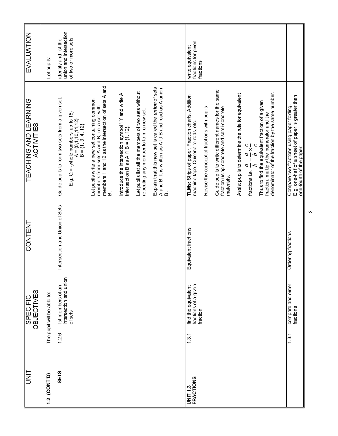| I<br>Is                             | <b>OBJECTIVES</b><br><b>SPECIFIC</b>                             | <b>CONTENT</b>                 | <b>TEACHING AND LEARNING</b><br>ACTIVITIES                                                                                                            | <b>EVALUATION</b>                                                      |
|-------------------------------------|------------------------------------------------------------------|--------------------------------|-------------------------------------------------------------------------------------------------------------------------------------------------------|------------------------------------------------------------------------|
| 1.2 (CONT'D)                        | The pupil will be able to:                                       |                                |                                                                                                                                                       | Let pupils:                                                            |
| <b>SETS</b>                         | intersection and union<br>list members of an<br>of sets<br>1.2.6 | Intersection and Union of Sets | Guide pupils to form two sets from a given set.<br>E.g. $Q = \{$ whole numbers up to 15}<br>$A = \{0, 1, 10, 11, 12\}$<br>B = {1, 3, 4, 12}           | union and intersection<br>of two or more sets<br>identify and list the |
|                                     |                                                                  |                                | members 1 and 12 as the intersection of sets A and<br>Let pupils write a new set containing common<br>members from sets A and B, i.e. a set with<br>മ |                                                                        |
|                                     |                                                                  |                                | Introduce the intersection symbol 'n' and write A<br>intersection B as $A \cap B = \{1, 12\}$ .                                                       |                                                                        |
|                                     |                                                                  |                                | Let pupils list all the members of two sets without<br>repeating any member to form a new set.                                                        |                                                                        |
|                                     |                                                                  |                                | Explain that this new set is called the <i>union</i> of sets<br>A and B. It is written as A ∪ B and read as A union<br>B.                             |                                                                        |
| <b>FRACTIONS</b><br><b>UNIT 1.3</b> | fractions of a given<br>find the equivalent<br>fraction<br>1.3.1 | Equivalent fractions           | TLMs: Strips of paper, Fraction charts, Addition<br>machine tape, Cuisenaire rods, etc.                                                               | fractions for given<br>write equivalent<br>fractions                   |
|                                     |                                                                  |                                | Revise the concept of fractions with pupils                                                                                                           |                                                                        |
|                                     |                                                                  |                                | Guide pupils to write different names for the same<br>fraction using concrete and semi-concrete<br>materials.                                         |                                                                        |
|                                     |                                                                  |                                | Assist pupils to determine the rule for equivalent<br>fractions i.e. $\frac{a}{b} = \frac{a}{b} \times \frac{c}{c}$                                   |                                                                        |
|                                     |                                                                  |                                | denominator of the fraction by the same number.<br>Thus to find the equivalent fraction of a given<br>fraction, multiply the numerator and the        |                                                                        |
|                                     | compare and order<br>fractions<br>1.3.1                          | Ordering fractions             | E.g. one-half of a sheet of paper is greater than<br>one-fourth of the paper.<br>Compare two fractions using paper folding                            |                                                                        |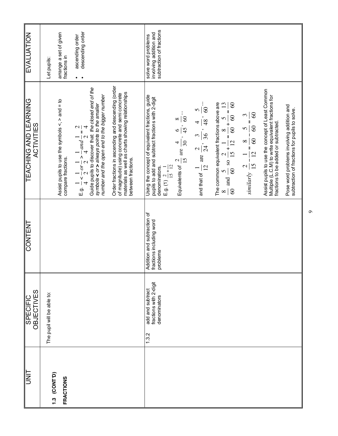| <b>EVALUATION</b>                                 | Let pupils:                | arrange a set of given<br>fractions in                                       | descending order<br>ascending order                                                                                                                                                                                                                    |                                                                                                                                                                                 | subtraction of fractions<br>involving addition and<br>solve word problems                                                                                                                                                                                                         |                                                                                                       |                                                                                                                                                                 |                                                                                                     |                                                                                                                                                |                                                                                            |
|---------------------------------------------------|----------------------------|------------------------------------------------------------------------------|--------------------------------------------------------------------------------------------------------------------------------------------------------------------------------------------------------------------------------------------------------|---------------------------------------------------------------------------------------------------------------------------------------------------------------------------------|-----------------------------------------------------------------------------------------------------------------------------------------------------------------------------------------------------------------------------------------------------------------------------------|-------------------------------------------------------------------------------------------------------|-----------------------------------------------------------------------------------------------------------------------------------------------------------------|-----------------------------------------------------------------------------------------------------|------------------------------------------------------------------------------------------------------------------------------------------------|--------------------------------------------------------------------------------------------|
| <b>TEACHING AND LEARNING</b><br><b>ACTIVITIES</b> |                            | Assist pupils to use the symbols $\leq$ , $>$ and = to<br>compare fractions. | Guide pupils to discover that: the closed end of the<br>number and the open end to the bigger number<br>symbols < or > always points to the smaller<br>E.g. $\frac{1}{4} < \frac{1}{2}$ or $\frac{1}{2} > \frac{1}{4}$ and $\frac{1}{2} = \frac{2}{4}$ | Order fractions in ascending and descending (order<br>materials as well as charts showing relationships<br>of magnitude) using concrete and semi concrete<br>between fractions. | Using the concept of equivalent fractions, guide<br>pupils to add and subtract fractions with 2-digit<br>$\infty$<br>$\infty$<br>$\frac{6}{45}$<br>30<br>$\overline{\mathcal{A}}$<br>Equivalents of $\frac{2}{15}$ are<br>E.g. (1) $\frac{2}{15} + \frac{1}{12}$<br>denominators. | $\frac{1}{48}$ , 60<br>$\mathbf{c}$<br>and that of $\frac{1}{12}$ are $\frac{2}{24}$ , $\frac{3}{36}$ | The common equivalent fractions above are<br>13<br>$\infty$<br>$\frac{8}{60}$ and $\frac{5}{60}$ so $\frac{2}{15} + \frac{1}{12} = \frac{8}{60} + \frac{5}{60}$ | $\frac{1}{60}$<br>$\infty$<br>similarly $\frac{2}{15} - \frac{1}{12} = \frac{8}{60} - \frac{5}{60}$ | Assist pupils to use the concept of Least Common<br>Multiple (L.C.M) to write equivalent fractions for<br>fractions to be added or subtracted. | Pose word problems involving addition and<br>subtraction of fractions for pupils to solve. |
| <b>CONTENT</b>                                    |                            |                                                                              |                                                                                                                                                                                                                                                        |                                                                                                                                                                                 | Addition and subtraction of<br>fractions including word<br>problems                                                                                                                                                                                                               |                                                                                                       |                                                                                                                                                                 |                                                                                                     |                                                                                                                                                |                                                                                            |
| OBJECTIVES<br><b>SPECIFIC</b>                     | The pupil will be able to: |                                                                              |                                                                                                                                                                                                                                                        |                                                                                                                                                                                 | fractions with 2-digit<br>add and subtract<br>denominators<br>1.3.2                                                                                                                                                                                                               |                                                                                                       |                                                                                                                                                                 |                                                                                                     |                                                                                                                                                |                                                                                            |
| <b>UNL</b>                                        | 1.3 (CONT'D)               | <b>FRACTIONS</b>                                                             |                                                                                                                                                                                                                                                        |                                                                                                                                                                                 |                                                                                                                                                                                                                                                                                   |                                                                                                       |                                                                                                                                                                 |                                                                                                     |                                                                                                                                                |                                                                                            |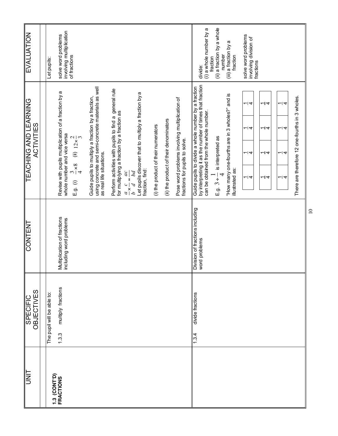| <b>EVALUATION</b>                          | Let pupils:                | involving multiplication<br>solve word problems<br>of fractions                                                                                                     |                                                                                                                                      |                                                                                                                                                                                                                                                      |                                     |                                        |                                                                                  | (ii) a fraction by a whole<br>(i) a whole number by a<br>solve word problems<br>involving division of<br>(iii) a fraction by a<br>number<br>fraction<br>fraction<br>fractions<br>divide:                                                                                                                                                                                                                                        |
|--------------------------------------------|----------------------------|---------------------------------------------------------------------------------------------------------------------------------------------------------------------|--------------------------------------------------------------------------------------------------------------------------------------|------------------------------------------------------------------------------------------------------------------------------------------------------------------------------------------------------------------------------------------------------|-------------------------------------|----------------------------------------|----------------------------------------------------------------------------------|---------------------------------------------------------------------------------------------------------------------------------------------------------------------------------------------------------------------------------------------------------------------------------------------------------------------------------------------------------------------------------------------------------------------------------|
| <b>TEACHING AND LEARNING</b><br>ACTIVITIES |                            | Revise with pupils multiplication of a fraction by a<br>whole number and vice versa<br>(ii) $12 \times \frac{2}{3}$<br>$\frac{8}{3}$<br>$\frac{8}{4}$<br>$E.g.$ (i) | using concrete and semi-concrete materials as well<br>Guide pupils to multiply a fraction by a fraction,<br>as real life situations. | Perform activities with pupils to find a general rule<br>Let pupils discover that to multiply a fraction by a<br>for multiplying a fraction by a fraction as<br>fraction, find:<br>$\frac{d}{d} \times \frac{c}{d} = \frac{d}{d} \times \frac{d}{d}$ | (i) the product of their numerators | (ii) the product of their denominators | Pose word problems involving multiplication of<br>fractions for pupils to solve. | by interpreting it as the number of times that fraction<br>Guide pupils to divide a whole number by a fraction<br>"How many one-fourths are in 3 wholes?" and is<br>There are therefore 12 one-fourths in 3 wholes.<br>ہ ا<br>ᅴ<br>$\overline{\phantom{a}}$<br>can be obtained from the whole number.<br>ᅴ4<br>ᅴ<br>ᅴ 4<br>E.g. $3 \div \frac{1}{4}$ is interpreted as<br>ہ ا<br>ᅴ 4<br>ᅴ<br>illustrated as:<br>ᅴ 4<br>ᅴ 4<br>ᅴ |
| <b>CONTENT</b>                             |                            | Multiplication of fractions<br>including word problems                                                                                                              |                                                                                                                                      |                                                                                                                                                                                                                                                      |                                     |                                        |                                                                                  | Division of fractions including<br>word problems                                                                                                                                                                                                                                                                                                                                                                                |
| <b>OBJECTIVES</b><br>SPECIFIC              | The pupil will be able to: | multiply fractions<br>1.3.3                                                                                                                                         |                                                                                                                                      |                                                                                                                                                                                                                                                      |                                     |                                        |                                                                                  | divide fractions<br>1.3.4                                                                                                                                                                                                                                                                                                                                                                                                       |
|                                            |                            | 1.3 (CONT'D)<br>FRACTIONS                                                                                                                                           |                                                                                                                                      |                                                                                                                                                                                                                                                      |                                     |                                        |                                                                                  |                                                                                                                                                                                                                                                                                                                                                                                                                                 |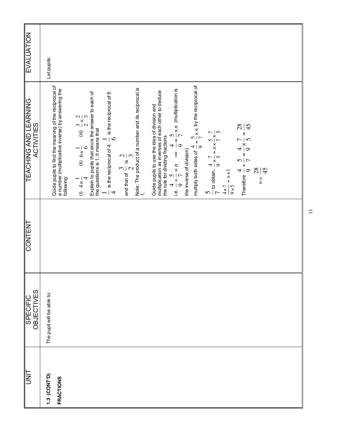| <b>EVALUATION</b>                              | Let pupils:                                                                                                                                                                                                                                                                                                                                                                                                                                                                                                                                                                                                                                                                                                                                                                                                                                                                                                                                                                                                                                                                                                                     |                                       |
|------------------------------------------------|---------------------------------------------------------------------------------------------------------------------------------------------------------------------------------------------------------------------------------------------------------------------------------------------------------------------------------------------------------------------------------------------------------------------------------------------------------------------------------------------------------------------------------------------------------------------------------------------------------------------------------------------------------------------------------------------------------------------------------------------------------------------------------------------------------------------------------------------------------------------------------------------------------------------------------------------------------------------------------------------------------------------------------------------------------------------------------------------------------------------------------|---------------------------------------|
| TEACHING AND LEARNING<br>TEACHING AND LEARNING | multiply both sides of $\frac{4}{9} = \frac{5}{7} \times n$ by the reciprocal of<br>Guide pupils to find the meaning of the reciprocal of<br>a number (multiplicative inverse) by answering the<br>following:<br>Note: The product of a number and its reciprocal is<br>1.<br>i.e. $\frac{4}{9} \div \frac{5}{7} = n \implies \frac{4}{9} \div \frac{5}{7} \times n$ (multiplication is the inverse of division)<br>Guide pupils to use the idea of division and<br>multiplication as inverses of each other to deduce<br>Explain to pupils that since the answer to each of<br>the questions is 1, it means that<br>$\frac{1}{4}$ is the reciprocal of 4, $\frac{1}{6}$ is the reciprocal of 6<br>(i) $4 \times \frac{1}{4}$ (ii) $6 \times \frac{1}{6}$ (iii) $\frac{3}{2} \times \frac{2}{3}$<br>Therefore $\frac{4}{9} \div \frac{5}{7} = \frac{4}{9} \times \frac{7}{5} = \frac{28}{45}$<br>$rac{5}{7}$ to obtain, $rac{4}{9} \times \frac{7}{5} = n \times \frac{5}{7} \times \frac{7}{5}$<br>$rac{4 \times 7}{9 \times 5} = n \times 1$<br>the rule for dividing fractions<br>and that of $\frac{3}{2}$ is $\frac{2}{3}$ | $\frac{28}{1}$<br>45<br>$\frac{1}{2}$ |
| <b>CONTENT</b>                                 |                                                                                                                                                                                                                                                                                                                                                                                                                                                                                                                                                                                                                                                                                                                                                                                                                                                                                                                                                                                                                                                                                                                                 |                                       |
| <b>SPECIFIC<br/>OBJECTIVES</b>                 | The pupil will be able to:                                                                                                                                                                                                                                                                                                                                                                                                                                                                                                                                                                                                                                                                                                                                                                                                                                                                                                                                                                                                                                                                                                      |                                       |
| <b>TINU</b>                                    | 1.3 (CONT'D)<br><b>FRACTIONS</b>                                                                                                                                                                                                                                                                                                                                                                                                                                                                                                                                                                                                                                                                                                                                                                                                                                                                                                                                                                                                                                                                                                |                                       |

 $\Box$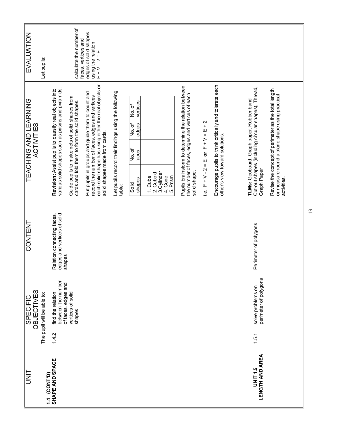| <b>SINT</b>                              | OBJECTIVES<br><b>SPECIFIC</b>                                           | <b>CONTENT</b>                                                     | <b>TEACHING AND LEARNING</b><br><b>ACTIVITIES</b>                                                                                                                                            | <b>EVALUATION</b>                                              |
|------------------------------------------|-------------------------------------------------------------------------|--------------------------------------------------------------------|----------------------------------------------------------------------------------------------------------------------------------------------------------------------------------------------|----------------------------------------------------------------|
| 1.4 (CONT'D)                             | The pupil will be able to:                                              |                                                                    |                                                                                                                                                                                              | Let pupils:                                                    |
| SHAPE AND SPACE                          | between the number<br>of faces, edges and<br>find the relation<br>1.4.2 | edges and vertices of solid<br>Relation connecting faces<br>shapes | various solid shapes such as prisms and pyramids.<br>Revision: Assist pupils to classify real objects into                                                                                   |                                                                |
|                                          | vertices of solid<br>shapes                                             |                                                                    | Guide pupils to make nets of solid shapes from<br>cards and fold them to form the solid shapes.                                                                                              | calculate the number of<br>faces, vertices and                 |
|                                          |                                                                         |                                                                    | each solid shape has using either the real objects or<br>Put pupils in groups and guide them to count and<br>record the number of faces, edges and vertices<br>solid shapes made from cards. | edges of solid shapes<br>using the relation<br>$F + V - 2 = E$ |
|                                          |                                                                         |                                                                    | Let pupils record their findings using the following<br>table:                                                                                                                               |                                                                |
|                                          |                                                                         |                                                                    | vertices<br>No. of<br>No. of<br>edges<br>No. of<br>faces<br>shapes<br>Solid                                                                                                                  |                                                                |
|                                          |                                                                         |                                                                    | 3. Cylinder<br>2. Cuboid<br>4. Cone<br>1. Cube                                                                                                                                               |                                                                |
|                                          |                                                                         |                                                                    | 5. Prism                                                                                                                                                                                     |                                                                |
|                                          |                                                                         |                                                                    | Pupils brainstorm to determine the relation between<br>the number of faces, edges and vertices of each<br>solid shape.                                                                       |                                                                |
|                                          |                                                                         |                                                                    | i.e. $F + V - 2 = E$ or $F + V = E + 2$                                                                                                                                                      |                                                                |
|                                          |                                                                         |                                                                    | Encourage pupils to think critically and tolerate each<br>other's view toward solutions.                                                                                                     |                                                                |
|                                          |                                                                         |                                                                    |                                                                                                                                                                                              |                                                                |
| <b>LENGTH AND AREA</b><br><b>UNIT1.5</b> | perimeter of polygons<br>solve problems on<br>1.5.1                     | Perimeter of polygons                                              | Cut-out shapes (including circular shapes), Thread,<br>TLMs: Geoboard, Graph paper, Rubber band<br>Graph Paper                                                                               |                                                                |
|                                          |                                                                         |                                                                    | Revise the concept of perimeter as the total length<br>or measure round a plane shape using practical<br>activities.                                                                         |                                                                |
|                                          |                                                                         |                                                                    |                                                                                                                                                                                              |                                                                |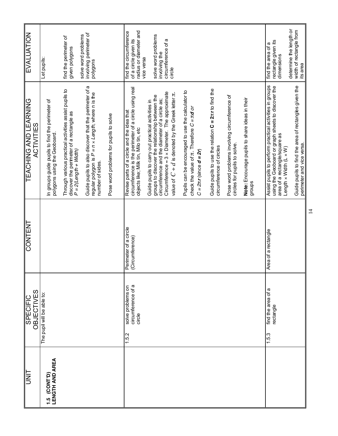| EVALUATION                                        | Let pupils:                                                                    | find the perimeter of<br>given polygons                                                                                       | involving perimeter of<br>solve word problems<br>polygons                                                                              |                                        | radius or diameter and<br>find the circumference<br>of a circle given its<br>vice versa                                                      | solve word problems<br>circumference of a<br>involving the<br>circle                                                                                                                                                                                                       |                                                                                                                                            |                                                                                       |                                                                               |                                                          | rectangle given its<br>find the area of a<br>dimensions                                                                                        | determine the length or<br>width of rectangle from<br>its area                                                             |
|---------------------------------------------------|--------------------------------------------------------------------------------|-------------------------------------------------------------------------------------------------------------------------------|----------------------------------------------------------------------------------------------------------------------------------------|----------------------------------------|----------------------------------------------------------------------------------------------------------------------------------------------|----------------------------------------------------------------------------------------------------------------------------------------------------------------------------------------------------------------------------------------------------------------------------|--------------------------------------------------------------------------------------------------------------------------------------------|---------------------------------------------------------------------------------------|-------------------------------------------------------------------------------|----------------------------------------------------------|------------------------------------------------------------------------------------------------------------------------------------------------|----------------------------------------------------------------------------------------------------------------------------|
| <b>TEACHING AND LEARNING</b><br><b>ACTIVITIES</b> | In groups guide pupils to find the perimeter of<br>polygons using the Geoboard | Through various practical activities assist pupils to<br>discover the perimeter of a rectangle as<br>$P = 2$ (Length + Width) | Guide pupils to also discover that the perimeter of a<br>regular polygon is $P = n \times Length$ , where n is the<br>number of sides. | Pose word problems for pupils to solve | circumference is the perimeter of a circle using real<br>objects like; Milk tin, Milo tin, etc<br>Revise parts of a circle and the idea that | Circumference $\approx$ 3 x Diameter. The approximate<br>value of $C + d$ is denoted by the Greek letter $\pi$ .<br>groups to discover the relationship between the<br>circumference and the diameter of a circle as;<br>Guide pupils to carry out practical activities in | Pupils can be encouraged to use the calculator to<br>check the value of $\pi$ . Therefore $C = \pi d$ or<br>$C = 2\pi r$ (since $d = 2r$ ) | Guide pupils to use the relation $C = 2\pi r$ to find the<br>circumference of circles | Pose word problems involving circumference of<br>circles for pupils to solve. | Note: Encourage pupils to share ideas in their<br>groups | Assist pupils to perform practical activities in groups<br>using the Geoboard or graph sheets to discover the<br>area of a rectangle/square as | Guide pupils to find the area of rectangles given the<br>perimeter and vice versa.<br>Length $\times$ Width (L $\times$ W) |
| CONTENT                                           |                                                                                |                                                                                                                               |                                                                                                                                        |                                        | Perimeter of a circle<br>(Circumference)                                                                                                     |                                                                                                                                                                                                                                                                            |                                                                                                                                            |                                                                                       |                                                                               |                                                          | Area of a rectangle                                                                                                                            |                                                                                                                            |
| <b>OBJECTIVES</b><br><b>SPECIFIC</b>              | The pupil will be able to:                                                     |                                                                                                                               |                                                                                                                                        |                                        | circumference of a<br>solve problems on<br>circle<br>1.5.2                                                                                   |                                                                                                                                                                                                                                                                            |                                                                                                                                            |                                                                                       |                                                                               |                                                          | find the area of a<br>rectangle<br>1.5.3                                                                                                       |                                                                                                                            |
| <b>TINU</b>                                       | <b>LENGTH AND AREA</b><br>(CONT <sup>D</sup> )<br>$\frac{15}{1}$               |                                                                                                                               |                                                                                                                                        |                                        |                                                                                                                                              |                                                                                                                                                                                                                                                                            |                                                                                                                                            |                                                                                       |                                                                               |                                                          |                                                                                                                                                |                                                                                                                            |

 $\overline{4}$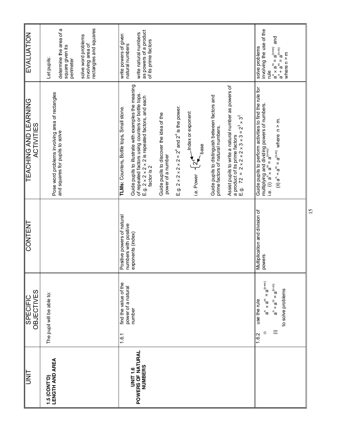|                                                                                                                                                                                                        |                                                                                                                                                                                                 | 15                                         |                                                                                                                                                                                                                                                              |                                                |
|--------------------------------------------------------------------------------------------------------------------------------------------------------------------------------------------------------|-------------------------------------------------------------------------------------------------------------------------------------------------------------------------------------------------|--------------------------------------------|--------------------------------------------------------------------------------------------------------------------------------------------------------------------------------------------------------------------------------------------------------------|------------------------------------------------|
| involving the use of the<br>and<br>solve problems<br>$\begin{array}{c} \mathbf{g}^n \div \mathbf{g}^m \equiv \mathbf{g}^{(n+n)} \\ \mathbf{g}^m \div \mathbf{g}^m \end{array}$<br>where $n > m$<br>plu | Guide pupils to perform activities to find the rule for<br>multiplying and dividing powers of numbers.<br>i.e. (i) $a^n \times a^m = a^{(n+m)}$<br>(ii) $a^n + a^m = a^{(n-m)}$ where $n > m$ . | Multiplication and division of<br>powers   | $\overset{\mathbf{e}}{=} \mathbf{a}^{(n+m)}$<br>$(\mathsf{u} \cdot \mathsf{u})^{\mathsf{B}} = \mathsf{u}^{\mathsf{B}} \mathsf{e} + \mathsf{u}^{\mathsf{B}}$<br>to solve problems<br>$\mathbf{p} \times \mathbf{p}$<br>use the rule<br>$\oplus$<br>⊜<br>1.6.2 |                                                |
|                                                                                                                                                                                                        | Assist pupils to write a natural number as powers of<br>a product of its prime factors<br>E.g. $72 = 2 \times 2 \times 2 \times 3 \times 3 = 2^3 \times 3^2$                                    |                                            |                                                                                                                                                                                                                                                              |                                                |
|                                                                                                                                                                                                        | Guide pupils to distinguish between factors and<br>prime factors of natural numbers.                                                                                                            |                                            |                                                                                                                                                                                                                                                              |                                                |
|                                                                                                                                                                                                        | 4 <sup>1</sup> Index or exponent<br>base <sup>-</sup><br>$\frac{1}{\gamma}$<br>i.e. Power                                                                                                       |                                            |                                                                                                                                                                                                                                                              |                                                |
|                                                                                                                                                                                                        | E.g. $2 \times 2 \times 2 \times 2 = 2^4$ and $2^4$ is the power.                                                                                                                               |                                            |                                                                                                                                                                                                                                                              |                                                |
|                                                                                                                                                                                                        | Guide pupils to discover the idea of the<br>power of a number                                                                                                                                   |                                            |                                                                                                                                                                                                                                                              |                                                |
| as powers of a product<br>write natural numbers<br>of its prime factors<br>natural numbers                                                                                                             | Guide pupils to illustrate with examples the meaning<br>of repeated factors using counters or bottle tops.<br>E.g. $2 \times 2 \times 2 \times 2$ is repeated factors, and each<br>factor is 2  | numbers with positive<br>exponents (index) | power of a natural<br>number                                                                                                                                                                                                                                 | POWERS OF NATURAL<br>NUMBERS<br><b>UNIT1.6</b> |
| write powers of given                                                                                                                                                                                  | TLMs: Counters, Bottle tops, Small stone.                                                                                                                                                       | Positive powers of natural                 | find the value of the<br>1.6.1                                                                                                                                                                                                                               |                                                |
| rectangles and squares<br>solve word problems<br>involving area of                                                                                                                                     |                                                                                                                                                                                                 |                                            |                                                                                                                                                                                                                                                              |                                                |
| determine the area of a<br>square given its<br>perimeter                                                                                                                                               | and squares for pupils to solve                                                                                                                                                                 |                                            |                                                                                                                                                                                                                                                              |                                                |
| Let pupils:                                                                                                                                                                                            | Pose word problems involving area of rectangles                                                                                                                                                 |                                            | The pupil will be able to:                                                                                                                                                                                                                                   | 1.5 (CONT'D)<br>LENGTH AND AREA                |
| <b>EVALUATION</b>                                                                                                                                                                                      | <b>TEACHING AND LEARNING</b><br><b>ACTIVITIES</b>                                                                                                                                               | <b>CONTENT</b>                             | OBJECTIVES<br><b>SPECIFIC</b>                                                                                                                                                                                                                                | <b>TINU</b>                                    |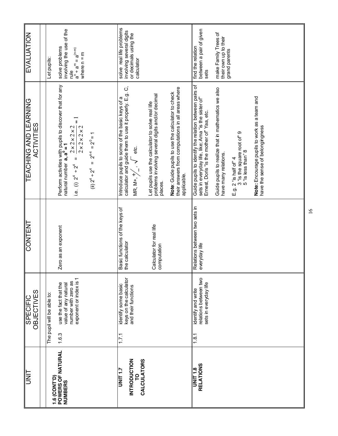| EVALUATION                                 | Let pupils:                | involving the use of the<br>solve problems<br>$(a_{u+u})^B = u^B + u^B$<br>where $n = m$<br>elp                                                                                                                                                                                                                                                                                                                                                                                                                                                                                                                                                                                                                                                                                                                  | solve real life problems<br>involving several digits<br>or decimals using the<br>calculator                                                                                                      |                                                                                                                 |                                                                                                                        | between a pair of given<br>find the relation<br>sets                                                                                                        | make Family Trees of<br>their own up to their<br>grand parents              |                                                                             |                                                                                 |  |
|--------------------------------------------|----------------------------|------------------------------------------------------------------------------------------------------------------------------------------------------------------------------------------------------------------------------------------------------------------------------------------------------------------------------------------------------------------------------------------------------------------------------------------------------------------------------------------------------------------------------------------------------------------------------------------------------------------------------------------------------------------------------------------------------------------------------------------------------------------------------------------------------------------|--------------------------------------------------------------------------------------------------------------------------------------------------------------------------------------------------|-----------------------------------------------------------------------------------------------------------------|------------------------------------------------------------------------------------------------------------------------|-------------------------------------------------------------------------------------------------------------------------------------------------------------|-----------------------------------------------------------------------------|-----------------------------------------------------------------------------|---------------------------------------------------------------------------------|--|
| <b>TEACHING AND LEARNING</b><br>ACTIVITIES |                            | Perform activities with pupils to discover that for any<br>natural number <b>a</b> , <b>a</b> <sup>0</sup> = 1<br>$\mathbf{I}$<br>$2 \times 2 \times 2 \times 2$<br>$2 \times 2 \times 2 \times 2$<br>$2^{4-4}$ = $2^0$ = 1<br>$\mathbf{H}% _{0}\left( t\right) \equiv\mathbf{H}_{\mathrm{H}}\left( t\right) \equiv\mathbf{H}_{\mathrm{H}}\left( t\right) \equiv\mathbf{H}_{\mathrm{H}}\left( t\right) \equiv\mathbf{H}_{\mathrm{H}}\left( t\right) \equiv\mathbf{H}_{\mathrm{H}}\left( t\right) \equiv\mathbf{H}_{\mathrm{H}}\left( t\right) \equiv\mathbf{H}_{\mathrm{H}}\left( t\right) \equiv\mathbf{H}_{\mathrm{H}}\left( t\right) \equiv\mathbf{H}_{\mathrm{H}}\left( t\right) \equiv\mathbf{H}_{\mathrm{H}}\left( t\right) \equiv\math$<br>$\mathbf{I}$<br>i.e. (i) $2^4 \div 2^4$<br>(ii) $2^4 \div 2^4$ | calculator and guide them to use it properly. E.g. C,<br>Introduce pupils to some of the basic keys of a<br>$\begin{array}{ccc} \n\diagup & \text{etc.} \n\end{array}$<br>MR, M+, <sup>+</sup> / | problems involving several digits and/or decimal<br>Let pupils use the calculator to solve real life<br>places. | their answers from computations in all areas where<br>Note: Guide pupils to use the calculator to check<br>applicable. | Guide pupils to identify the relation between pairs of<br>sets in everyday life, like; Ama "is the sister of"<br>Ernest, Doris "is the mother of" Yaa, etc. | Guide pupils to realize that in mathematics we also<br>have many relations. | 3 "is the square root of" 9<br>5 "is less than" 8<br>E.g. 2 "is half of $4$ | Note: Encourage pupils to work as a team and<br>have the sense of belongingness |  |
| <b>CONTENT</b>                             |                            | Zero as an exponent                                                                                                                                                                                                                                                                                                                                                                                                                                                                                                                                                                                                                                                                                                                                                                                              | Basic functions of the keys of<br>the calculator                                                                                                                                                 | Calculator for real life<br>computation                                                                         |                                                                                                                        | Relations between two sets in<br>everyday life                                                                                                              |                                                                             |                                                                             |                                                                                 |  |
| <b>OBJECTIVES</b><br><b>SPECIFIC</b>       | The pupil will be able to: | ↽<br>exponent or index is<br>number with zero as<br>use the fact that the<br>value of any natural<br>1.6.3                                                                                                                                                                                                                                                                                                                                                                                                                                                                                                                                                                                                                                                                                                       | keys on the calculator<br>identify some basic<br>and their functions<br>1.7.1                                                                                                                    |                                                                                                                 |                                                                                                                        | relations between two<br>sets in everyday life<br>identify and write<br>1.8.1                                                                               |                                                                             |                                                                             |                                                                                 |  |
| $\frac{1}{2}$                              | 1.6 (CONT'D)               | POWERS OF NATURAL<br>NUMBERS                                                                                                                                                                                                                                                                                                                                                                                                                                                                                                                                                                                                                                                                                                                                                                                     | <b>INTRODUCTION</b><br><b>CALCULATORS</b><br>UNIT 1.7<br>P                                                                                                                                       |                                                                                                                 |                                                                                                                        | <b>RELATIONS</b><br><b>UNIT 1.8</b>                                                                                                                         |                                                                             |                                                                             |                                                                                 |  |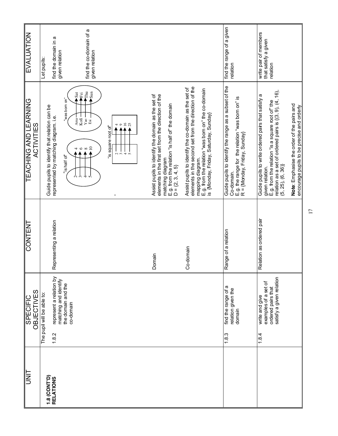| <b>TEACHING AND LEARNING</b><br>Guide pupils to identify that relation can be                                                                                                                                                                                                                         |
|-------------------------------------------------------------------------------------------------------------------------------------------------------------------------------------------------------------------------------------------------------------------------------------------------------|
| represented by matching diagram. i.e.<br>"is half of<br>5                                                                                                                                                                                                                                             |
| $\sim$<br>'n<br>4                                                                                                                                                                                                                                                                                     |
| $\blacksquare$                                                                                                                                                                                                                                                                                        |
| elements in the first set from the direction of the<br>Assist pupils to identify the domain as the set of<br>E.g. from the relation "is half of" the domain<br>D = {2, 3, 4, 5}<br>matching diagram                                                                                                   |
| elements in the second set from the direction of the<br>Assist pupils to identify the co-domain as the set of<br>E.g. from the relation "was bom on" the co-domain<br>is {Monday, Friday, Saturday, Sunday}<br>mapping diagram.                                                                       |
| Guide pupils to identify the range as a subset of the<br>E.g. the range for the relation "was born on" is<br>R = {Monday, Friday, Sunday}<br>Co-domain.                                                                                                                                               |
| relation as a set of ordered pairs is {(3, 9), (4, 16),<br>(5, 25), (6, 36)}<br>Guide pupils to write ordered pairs that satisfy a<br>given relation.<br>E.g. from the relation "is a square root of" the<br>Note: Emphasise the order of the pairs and<br>encourage pupils to be precise and orderly |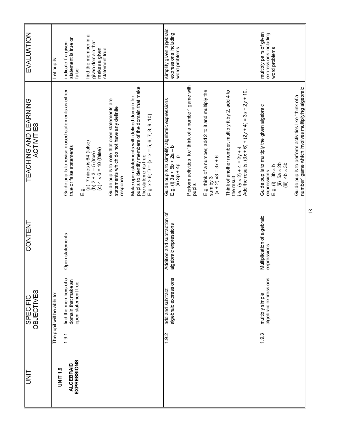| EVALUATION                                        | Let pupils:                | statement is true or<br>indicate if a given<br>false                           | find the member in a<br>given domain that<br>makes a given<br>statement true            |                                                                                                         |                                                                                                                                                                           | simplify given algebraic<br>expressions including<br>word problems                              |                                                                 |                                                                                                   |                                                                   |                                                                                             | multiply pairs of given<br>expressions including                                        | word problems                               |                                                                                                          |    |
|---------------------------------------------------|----------------------------|--------------------------------------------------------------------------------|-----------------------------------------------------------------------------------------|---------------------------------------------------------------------------------------------------------|---------------------------------------------------------------------------------------------------------------------------------------------------------------------------|-------------------------------------------------------------------------------------------------|-----------------------------------------------------------------|---------------------------------------------------------------------------------------------------|-------------------------------------------------------------------|---------------------------------------------------------------------------------------------|-----------------------------------------------------------------------------------------|---------------------------------------------|----------------------------------------------------------------------------------------------------------|----|
| <b>TEACHING AND LEARNING</b><br><b>ACTIVITIES</b> |                            | Guide pupils to revise closed statements as either<br>true or false statements | $(a)$ 7 nines is 64 (false)<br>(b) 2 + 3 = 5 (true)<br>(c) 4 × 6 = 10 (false)<br>а<br>Ш | Guide pupils to note that open statements are<br>statements which do not have any definite<br>response. | Make open statements with defined domain for<br>pupils to identify members of the domain that make<br>the statements true.<br>E.g. x > 6; D = {x : x = 5, 6, 7, 8, 9, 10} | Guide pupils to simplify algebraic expressions<br>E.g. (i) 3a + 5b + 2a – b<br>(ii) 3p + 4p – p | Perform activities like "think of a number" game with<br>pupils | E.g. think of a number, add 2 to it and multiply the sum by 3<br>sum by 3<br>(x + 2) x3 = 3x + 6. | Think of another number, multiply it by 2, add 4 to<br>the result | i.e. $(y \times 2) + 4 = 2y + 4$<br>Add the results; $(3x + 6) + (2y + 4) = 3x + 2y + 10$ . | Guide pupils to multiply the given algebraic<br>expressions<br>E.g. $(i)$ 3b $\times$ b | (ii) $5a \times 2b$<br>(iii) $4b \times 3b$ | number" game which involves multiplying algebraic<br>Guide pupils to perform activities like "think of a |    |
| <b>CONTENT</b>                                    |                            | Open statements                                                                |                                                                                         |                                                                                                         |                                                                                                                                                                           | Addition and subtraction of<br>algebraic expressions                                            |                                                                 |                                                                                                   |                                                                   |                                                                                             | Multiplication of algebraic<br>expressions                                              |                                             |                                                                                                          | 18 |
| <b>OBJECTIVES</b><br><b>SPECIFIC</b>              | The pupil will be able to: | find the members of a<br>domain that make an<br>open statement true<br>1.9.1   |                                                                                         |                                                                                                         |                                                                                                                                                                           | algebraic expressions<br>add and subtract<br>1.9.2                                              |                                                                 |                                                                                                   |                                                                   |                                                                                             | algebraic expressions<br>multiply simple<br>1.9.3                                       |                                             |                                                                                                          |    |
| <b>TINU</b>                                       | <b>UNIT 1.9</b>            | <b>EXPRESSIONS</b><br>ALGEBRAIC                                                |                                                                                         |                                                                                                         |                                                                                                                                                                           |                                                                                                 |                                                                 |                                                                                                   |                                                                   |                                                                                             |                                                                                         |                                             |                                                                                                          |    |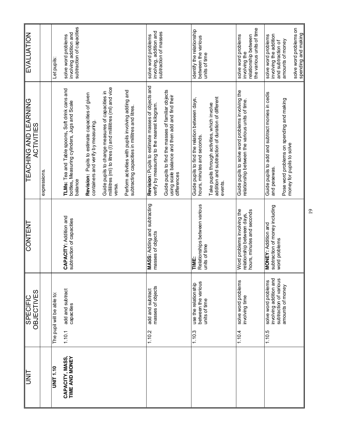| UNIT                              | <b>OBJECTIVES</b><br><b>SPECIFIC</b>                                              | <b>CONTENT</b>                                                                          | <b>TEACHING AND LEARNING</b><br><b>ACTIVITIES</b>                                                                          | EVALUATION                                                                 |
|-----------------------------------|-----------------------------------------------------------------------------------|-----------------------------------------------------------------------------------------|----------------------------------------------------------------------------------------------------------------------------|----------------------------------------------------------------------------|
|                                   |                                                                                   |                                                                                         | expressions.                                                                                                               |                                                                            |
| OTT TIME                          | The pupil will be able to:                                                        |                                                                                         |                                                                                                                            | Let pupils                                                                 |
| CAPACITY, MASS,<br>TIME AND MONEY | add and subtract<br>capacities<br>1.10.1                                          | CAPACITY: Addition and<br>subtraction of capacities                                     | TLMs: Tea and Table spoons, Soft drink cans and<br>bottles, Measuring cylinders, Jugs and Scale<br>balance                 | subtraction of capacities<br>involving addition and<br>solve word problems |
|                                   |                                                                                   |                                                                                         | Revision: Pupils to estimate capacities of given<br>containers and verify by measuring.                                    |                                                                            |
|                                   |                                                                                   |                                                                                         | millilitres (ml) to litres (I) and millilitres (ml) and vice<br>Guide pupils to change measures of capacities in<br>versa. |                                                                            |
|                                   |                                                                                   |                                                                                         | Perform activities with pupils involving adding and<br>subtracting capacities in millitres and litres.                     |                                                                            |
|                                   | masses of objects<br>add and subtract<br>1.10.2                                   | MASS: Adding and subtracting<br>masses of objects                                       | Revision: Pupils to estimate masses of objects and<br>verify by measuring to the nearest kilogram.                         | involving, addition and<br>subtraction of masses<br>solve word problems    |
|                                   |                                                                                   |                                                                                         | Guide pupils to find the masses of familiar objects<br>using scale balance and then add and find their<br>differences      |                                                                            |
|                                   | between the various<br>use the relationship<br>units of time<br>1.10.3            | Relationships between various<br>units of time<br>TIME:                                 | Guide pupils to find the relation between days,<br>hours, minutes and seconds.                                             | identify the relationship<br>between the various<br>units of time          |
|                                   |                                                                                   |                                                                                         | addition and subtraction of duration of different<br>Take pupils through activities, which involve<br>events.              |                                                                            |
|                                   | solve word problems<br>involving time<br>1.10.4                                   | Word problems involving the<br>hours, minutes and seconds<br>relationship between days, | Guide pupils to solve word problems involving the<br>relationship between the various units of time.                       | solve word problems<br>relationship between<br>involving the               |
|                                   |                                                                                   |                                                                                         |                                                                                                                            | the various units of time                                                  |
|                                   | involving addition and<br>subtraction of various<br>solve word problems<br>1.10.5 | subtraction of money including<br><b>MONEY: Addition and</b>                            | Guide pupils to add and subtract monies in cedis<br>and pesewas.                                                           | involving the addition<br>solve word problems<br>and subtraction of        |
|                                   | amounts of money                                                                  | word problems                                                                           | Pose word problems on spending and making<br>money for pupils to solve                                                     | amounts of money                                                           |
|                                   |                                                                                   |                                                                                         |                                                                                                                            | solve word problems on<br>spending and making                              |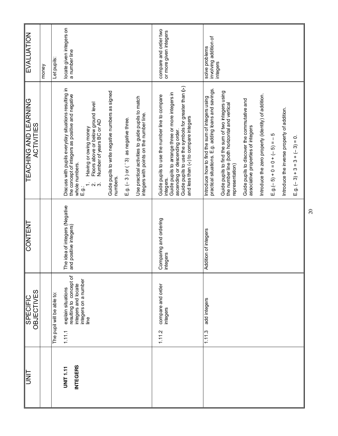|                                     | <b>OBJECTIVES</b><br><b>SPECIFIC</b>                                                                   | CONTENT                                                  | <b>TEACHING AND LEARNING</b><br><b>ACTIVITIES</b>                                                                                       | EVALUATION                                          |
|-------------------------------------|--------------------------------------------------------------------------------------------------------|----------------------------------------------------------|-----------------------------------------------------------------------------------------------------------------------------------------|-----------------------------------------------------|
|                                     |                                                                                                        |                                                          |                                                                                                                                         | money                                               |
|                                     | The pupil will be able to:                                                                             |                                                          |                                                                                                                                         | Let pupils:                                         |
| <b>INTEGERS</b><br><b>UNIT 1.11</b> | resulting to concept of<br>integers on a number<br>integers and locate<br>explain situations<br>1.11.1 | The idea of integers (Negative<br>and positive integers) | Discuss with pupils everyday situations resulting in<br>the concept of integers as positive and negative<br>whole numbers.<br>$\Xi$ g.: | locate given integers on<br>a number line           |
|                                     | line                                                                                                   |                                                          | Floors above or below ground level<br>Number of years BC or AD<br>Having or owing money<br>റ് ന്                                        |                                                     |
|                                     |                                                                                                        |                                                          | Guide pupils to write negative numbers as signed<br>numbers.                                                                            |                                                     |
|                                     |                                                                                                        |                                                          | $E.g.$ (-3) or ( $-3$ ) as negative three.                                                                                              |                                                     |
|                                     |                                                                                                        |                                                          | Use practical activities to guide pupils to match<br>integers with points on the number line.                                           |                                                     |
|                                     | compare and order<br>integers<br>1.11.2                                                                | Comparing and ordering<br>integers                       | Guide pupils to use the number line to compare<br>integers.                                                                             | compare and order two<br>or more given integers     |
|                                     |                                                                                                        |                                                          | Guide pupils to arrange three or more integers in<br>ascending or descending order.                                                     |                                                     |
|                                     |                                                                                                        |                                                          | Guide pupils to use the symbols for greater than (>)<br>and less than $(<)$ to compare integers                                         |                                                     |
|                                     | add integers<br>1.11.3                                                                                 | Addition of integers                                     | practical situations. E.g. adding loans and savings.<br>Introduce how to find the sum of integers using                                 | solve problems<br>involving addition of<br>integers |
|                                     |                                                                                                        |                                                          | Guide pupils to find the sum of two integers using<br>the number line (both horizontal and vertical<br>representation)                  |                                                     |
|                                     |                                                                                                        |                                                          | Guide pupils to discover the commutative and<br>associative properties of integers                                                      |                                                     |
|                                     |                                                                                                        |                                                          | Introduce the zero property (identity) of addition.                                                                                     |                                                     |
|                                     |                                                                                                        |                                                          | $E.g.(-5) + 0 = 0 + (-5) = -5$                                                                                                          |                                                     |
|                                     |                                                                                                        |                                                          | Introduce the inverse property of addition.                                                                                             |                                                     |
|                                     |                                                                                                        |                                                          | $E.g. (-3) + 3 = 3 + (2) - (3) = 0.$                                                                                                    |                                                     |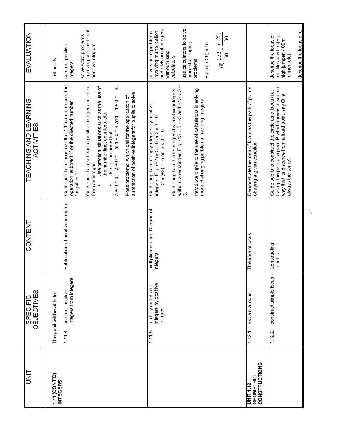| UNT<br>D                                                     | <b>OBJECTIVES</b><br><b>SPECIFIC</b>                                                | <b>CONTENT</b>                             | <b>TEACHING AND LEARNING</b><br>ACTIVITIES                                                                                                                                                                                                                                                                                                                                                                                                                                              | <b>EVALUATION</b>                                                                                                                                                                                                                                          |
|--------------------------------------------------------------|-------------------------------------------------------------------------------------|--------------------------------------------|-----------------------------------------------------------------------------------------------------------------------------------------------------------------------------------------------------------------------------------------------------------------------------------------------------------------------------------------------------------------------------------------------------------------------------------------------------------------------------------------|------------------------------------------------------------------------------------------------------------------------------------------------------------------------------------------------------------------------------------------------------------|
|                                                              |                                                                                     |                                            |                                                                                                                                                                                                                                                                                                                                                                                                                                                                                         |                                                                                                                                                                                                                                                            |
| 1.11 (CONT'D)<br><b>INTEGERS</b>                             | integers from integers<br>subtract positive<br>The pupil will be able to:<br>1.11.4 | Subtraction of positive integers           | Guide pupils to recognize that '-1' can represent the<br>operation 'subtract 1' or the directed number<br>Use practical situations such as the use of<br>$a + 0 = a$ ; $a = 0 + 0 = 0 + 0 = 0 + 0 = 0 + 0 = 0 + 0$<br>Guide pupils to subtract a positive integer and zero<br>subtraction of positive integers for pupils to solve.<br>Pose problems, which call for the application of<br>the number line, counters, etc.<br>Use the property that<br>from an integer.<br>negative 1'. | involving subtraction of<br>solve word problems<br>positive integers<br>subtract positive<br>Let pupils:<br>integers                                                                                                                                       |
|                                                              | Integers by positive<br>multiply and divide<br>integers<br>1.11.5                   | multiplication and Division of<br>integers | without a remainder. E.g. -15 $\div$ 5 = -3 and +15 $\div$ 5 = 3.<br>Introduce pupils to the use of calculators in solving<br>Guide pupils to divide integers by positive integers<br>more challenging problems involving integers.<br>Guide pupils to multiply integers by positive<br>integers. E.g. $(+2) \times 3 = 6$ or $2 \times 3 = 6$<br>$-2 \times (+3) = -6$ or $-2 \times 3 = -6$                                                                                           | use calculators to solve<br>and division of integers<br>involving multiplication<br>solve simple problems<br>(ii) $\frac{252}{30} \times \frac{(-20)}{30}$<br>more challenging<br>$E.9.$ (i) (-26) $\times$ 15<br>without using<br>calculators<br>problems |
| <b>CONSTRUCTIONS</b><br><b>GEOMETRIC</b><br><b>UNIT 1.12</b> | explain a locus<br>1.12.1                                                           | The idea of locus                          | Demonstrate the idea of locus as the path of points<br>obeying a given condition                                                                                                                                                                                                                                                                                                                                                                                                        |                                                                                                                                                                                                                                                            |
|                                                              | construct simple locus<br>1.12.2                                                    | Constructing:<br>- circles                 | tracing the path of a point P which moves in such a<br>Guide pupils to construct the circle as a locus (i.e.<br>way that its distance from a fixed point, say O is<br>always the same).                                                                                                                                                                                                                                                                                                 | describe the locus of a<br>real life activities(E.g.<br>describe the locus of<br>high jumper, 400m<br>runner, etc)                                                                                                                                         |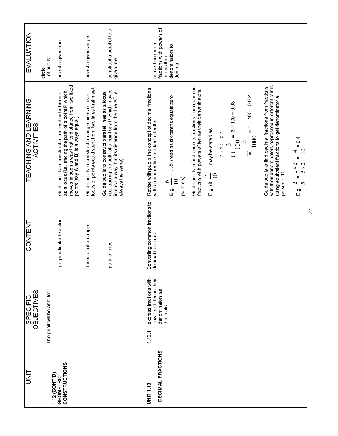| EVALUATION                           | circle<br>Let pupils:      | bisect a given line                                                                                                                                                                                          | bisect a given angle                                                                                      | construct a parallel to a<br>given line                                                                                                                                                | fractions with powers of<br>convert common<br>ten as their                                  | denominators to<br>decimal                                                 |                                                                                                           |                                            |                  |                                       |                                                |                                                                                                                                                                                 |                                                                                                               |    |
|--------------------------------------|----------------------------|--------------------------------------------------------------------------------------------------------------------------------------------------------------------------------------------------------------|-----------------------------------------------------------------------------------------------------------|----------------------------------------------------------------------------------------------------------------------------------------------------------------------------------------|---------------------------------------------------------------------------------------------|----------------------------------------------------------------------------|-----------------------------------------------------------------------------------------------------------|--------------------------------------------|------------------|---------------------------------------|------------------------------------------------|---------------------------------------------------------------------------------------------------------------------------------------------------------------------------------|---------------------------------------------------------------------------------------------------------------|----|
| TEACHING AND LEARNING<br>ACTIVITIES  |                            | moves in such a way that its distance from two fixed<br>points [say A and B] is always equal).<br>Guide pupils to construct a perpendicular bisector<br>as a locus (i.e. tracing the path of a point P which | Guide pupils to construct an angle bisector as a<br>locus of points equidistant from two lines that meet. | (i.e. tracing the path of a point say P which moves<br>in such a way that its distance from the line AB is<br>Guide pupils to construct parallel lines as a locus<br>always the same). | Revise with pupils the concept of decimal fractions<br>with a number line marked in tenths. | E.g. $\frac{6}{10}$ = $0.6$ (read as six-tenths equals zero<br>point six). | Guide pupils to find decimal fractions from common<br>fractions with powers of ten as their denominators. | E.g. (i) $\frac{7}{10}$ = may be stated as | $7 ÷ 10 = 0.7$ . | (ii) $\frac{3}{100}$ = 3 ÷ 100 = 0.03 | (iii) $\frac{1}{1000}$ = 4 ÷ 100 = 0.004.<br>4 | with their denominators expressed in different forms<br>Guide pupils to find decimal fractions from fractions<br>using equivalent fractions to get denominator a<br>power of 10 | $= 0.4$<br>$\overline{10}$<br>4<br>Ш<br>$2 \times 2$<br>$5 \times 2$<br>$\mathbf{I}$<br>$\frac{1}{2}$<br>E.g. |    |
| CONTENT                              |                            | - perpendicular bisector                                                                                                                                                                                     | - bisector of an angle                                                                                    | -parallel lines                                                                                                                                                                        | Converting common fractions to<br>decimal fractions                                         |                                                                            |                                                                                                           |                                            |                  |                                       |                                                |                                                                                                                                                                                 |                                                                                                               | 22 |
| <b>OBJECTIVES</b><br><b>SPECIFIC</b> | The pupil will be able to: |                                                                                                                                                                                                              |                                                                                                           |                                                                                                                                                                                        | express fractions with<br>powers of ten in their<br>denominators as<br>decimals<br>1.13.1   |                                                                            |                                                                                                           |                                            |                  |                                       |                                                |                                                                                                                                                                                 |                                                                                                               |    |
| <b>UNIT</b>                          | 1.12 (CONT'D)              | <b>CONSTRUCTIONS</b><br><b>GEOMETRIC</b>                                                                                                                                                                     |                                                                                                           |                                                                                                                                                                                        | DECIMAL FRACTIONS<br><b>UNIT 1.13</b>                                                       |                                                                            |                                                                                                           |                                            |                  |                                       |                                                |                                                                                                                                                                                 |                                                                                                               |    |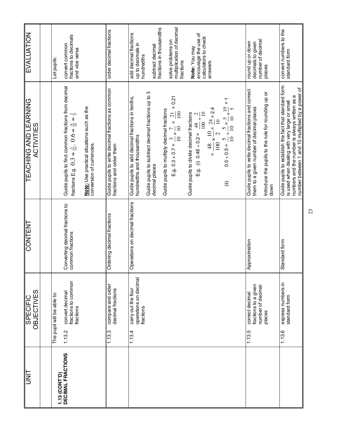| EVALUATION                                        | Let pupils:                | fractions to decimals<br>convert common<br>and vice versa                                                                      |                                                                         | order decimal fractions                                                       | add decimal fractions<br>up to decimals in<br>hundredths                        | fractions in thousandths<br>subtract decimal                         | multiplication of decimal<br>solve problems on<br>fractions                                                                                                  | encourage the use of<br>calculators to check<br>Note: You may                                           | answers                                                                                                              |                                                                                                                                      | number of decimal<br>round up or down<br>decimals to given                                      | places                                                      | convert numbers to the<br>standard form                                                                                                                                                                     |
|---------------------------------------------------|----------------------------|--------------------------------------------------------------------------------------------------------------------------------|-------------------------------------------------------------------------|-------------------------------------------------------------------------------|---------------------------------------------------------------------------------|----------------------------------------------------------------------|--------------------------------------------------------------------------------------------------------------------------------------------------------------|---------------------------------------------------------------------------------------------------------|----------------------------------------------------------------------------------------------------------------------|--------------------------------------------------------------------------------------------------------------------------------------|-------------------------------------------------------------------------------------------------|-------------------------------------------------------------|-------------------------------------------------------------------------------------------------------------------------------------------------------------------------------------------------------------|
| <b>TEACHING AND LEARNING</b><br><b>ACTIVITIES</b> |                            | Guide pupils to find common fractions from decimal<br>fractions E.g. $0.3 = \frac{3}{10}$ , $0.6 = \frac{6}{10} = \frac{3}{5}$ | Note: Use practical situations such as the<br>conversion of currencies. | Guide pupils to write decimal fractions as common<br>fractions and order them | Guide pupils to add decimal fractions in tenths,<br>hund redths and thousandths | Guide pupils to subtract decimal fractions up to 3<br>decimal places | $= 0.21$<br>Guide pupils to multiply decimal fractions<br>100<br>$\overline{21}$<br>$\mathbf{u}$<br>E.g. $0.3 \times 0.7 = \frac{3}{10} \times \frac{7}{10}$ | E.g. (i) $0.48 \div 0.2 = \frac{48}{100} \div \frac{2}{10}$<br>Guide pupils to divide decimal fractions | $\times \frac{10}{10} = \frac{24}{10} = 2.4$<br>$\overline{10}$<br>$\mathbf{C}$<br>$rac{1}{100}$ $\times$<br>48<br>П | $\overline{1}$<br>$\frac{2}{10}$ $\frac{3}{10}$ $\times \frac{10}{5}$ =<br>$\frac{1}{10}$<br>$0.5 + 0.5 =$<br>$\widehat{\mathbf{U}}$ | Guide pupils to write decimal fractions and correct<br>them to a given number of decimal places | Introduce the pupils to the rule for rounding up or<br>down | Guide pupils to establish the fact that standard form<br>number between 1 and 10 multiplied by a power of<br>numbers and the number is always written as a<br>is used when dealing with very large or small |
| <b>CONTENT</b>                                    |                            | Converting decimal fractions to<br>common fractions                                                                            |                                                                         | Ordering decimal fractions                                                    | Operations on decimal fractions                                                 |                                                                      |                                                                                                                                                              |                                                                                                         |                                                                                                                      |                                                                                                                                      | Approximation                                                                                   |                                                             | Standard form                                                                                                                                                                                               |
| <b>OBJECTIVES</b><br><b>SPECIFIC</b>              | The pupil will be able to: | fractions to common<br>convert decimal<br>fractions<br>1.13.2                                                                  |                                                                         | compare and order<br>decimal fractions<br>1.13.3                              | operations on decimal<br>carry out the four<br>fractions<br>1.13.4              |                                                                      |                                                                                                                                                              |                                                                                                         |                                                                                                                      |                                                                                                                                      | fractions to a given<br>number of decimal<br>correct decimal<br>1.13.5                          | places                                                      | express numbers in<br>standard form<br>1.13.6                                                                                                                                                               |
| <b>UNIT</b>                                       | 1.13 (CONT'D)              | DECIMAL FRACTIONS                                                                                                              |                                                                         |                                                                               |                                                                                 |                                                                      |                                                                                                                                                              |                                                                                                         |                                                                                                                      |                                                                                                                                      |                                                                                                 |                                                             |                                                                                                                                                                                                             |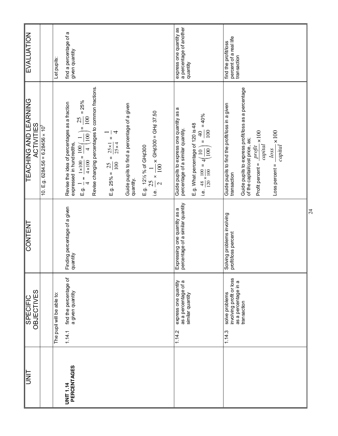| EVALUATION                                 |                                                     | Let pupils:                | find a percentage of a<br>given quantity                                                                                                                                                                                                                                                                                                                                                                                                                                                                  | a percentage of another<br>express one quantity as<br>quantity                                                                                                                                                                | percent of a real life<br>find the profit/loss<br>transaction                                                                                                                                                                                                             |                 |
|--------------------------------------------|-----------------------------------------------------|----------------------------|-----------------------------------------------------------------------------------------------------------------------------------------------------------------------------------------------------------------------------------------------------------------------------------------------------------------------------------------------------------------------------------------------------------------------------------------------------------------------------------------------------------|-------------------------------------------------------------------------------------------------------------------------------------------------------------------------------------------------------------------------------|---------------------------------------------------------------------------------------------------------------------------------------------------------------------------------------------------------------------------------------------------------------------------|-----------------|
| <b>TEACHING AND LEARNING</b><br>ACTIVITIES | 10. E.g. 6284.56 = 6.28456 $\times$ 10 <sup>3</sup> |                            | Revise changing percentages to common fractions.<br>E.g. $\frac{1}{4} = \frac{1 \times 100}{4 \times 100} = \frac{100}{4} \left(\frac{1}{100}\right) = \frac{25}{100} = 25\%$<br>Revise the idea of percentages as a fraction<br>Guide pupils to find a percentage of a given<br>quantity.<br>i.e. $\frac{25}{2} \times \frac{1}{100} \times$ GH¢300 = GH¢ 37.50<br>E.g. 25% = $\frac{25}{100}$ = $\frac{25 \times 1}{25 \times 4}$ = $\frac{1}{4}$<br>expressed in hundredths,<br>E.g. 121/2 % of GH¢300 | Guide pupils to express one quantity as a<br>i.e. $\frac{48}{120} \times \frac{100}{100} = 4 \left( \frac{10}{100} \right) = \frac{40}{100} = 40\%$<br>E.g. What percentage of 120 is 48<br>percentage of a similar quantity. | Guide pupils to express profit/loss as a percentage<br>of the capital/cost price, as;<br>Guide pupils to find the profit/loss in a given<br>$capital \times 100$<br>$capital \times 100$<br>Profit percent = $\frac{projit}{}$<br>loss<br>$Loss$ percent =<br>transaction |                 |
| CONTENT                                    |                                                     |                            | Finding percentage of a given<br>quantity                                                                                                                                                                                                                                                                                                                                                                                                                                                                 | percentage of a similar quantity<br>Expressing one quantity as a                                                                                                                                                              | Solving problems involving<br>profit/loss percent                                                                                                                                                                                                                         | $\overline{24}$ |
| <b>OBJECTIVES</b><br><b>SPECIFIC</b>       |                                                     | The pupil will be able to: | find the percentage of<br>a given quantity<br>1.14.1                                                                                                                                                                                                                                                                                                                                                                                                                                                      | express one quantity<br>as a percentage of a<br>similar quantity<br>1.14.2                                                                                                                                                    | involving profit or loss<br>as a percentage in a<br>solve problems<br>transaction<br>1.14.3                                                                                                                                                                               |                 |
| UNIT                                       |                                                     |                            | PERCENTAGES<br><b>UNIT 1.14</b>                                                                                                                                                                                                                                                                                                                                                                                                                                                                           |                                                                                                                                                                                                                               |                                                                                                                                                                                                                                                                           |                 |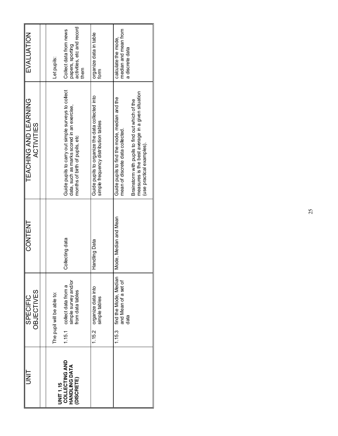| <b>HINU</b>                                                              | <b>OBJECTIVES</b><br><b>SPECIFIC</b>                                                                 | CONTENT               | TEACHING AND LEARNING<br><b>ACTIVITIES</b>                                                                                                                                                                             | EVALUATION                                                                                      |
|--------------------------------------------------------------------------|------------------------------------------------------------------------------------------------------|-----------------------|------------------------------------------------------------------------------------------------------------------------------------------------------------------------------------------------------------------------|-------------------------------------------------------------------------------------------------|
|                                                                          |                                                                                                      |                       |                                                                                                                                                                                                                        |                                                                                                 |
| <b>COLLECTING AND</b><br>HANDLING DATA<br>(DISCRETE)<br><b>JNIT 1.15</b> | 1.15.1 collect data from a<br>simple survey and/or<br>from data tables<br>The pupil will be able to: | Collecting data       | Guide pupils to carry out simple surveys to collect<br>data, such as marks scored in an exercise,<br>months of birth of pupils, etc                                                                                    | activities, etc and record<br>Collect data from news<br>papers, sporting<br>Let pupils:<br>them |
|                                                                          | organize data into<br>simple tables<br>1.15.2                                                        | Handling Data         | Guide pupils to organize the data collected into<br>simple frequency distribution tables                                                                                                                               | organize data in table<br>form                                                                  |
|                                                                          | find the Mode, Median<br>and Mean of a set of<br>data<br>1.15.3                                      | Mode, Median and Mean | measures is the best average in a given situation<br>Guide pupils to find the mode, median and the<br>Brainstorm with pupils to find out which of the<br>mean of discrete data collected.<br>(use practical examples). | median and mean from<br>calculate the mode,<br>a discrete data                                  |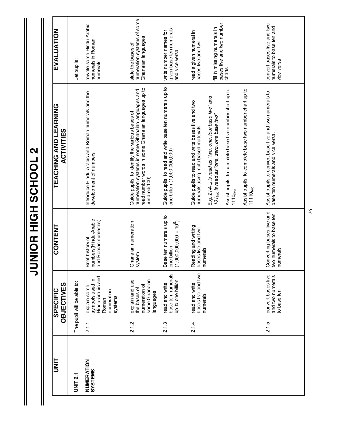| I<br>N<br>D           |       | <b>OBJECTIVES</b><br>SPECIFIC                                                         | <b>CONTENT</b>                                                          | TEACHING AND LEARNING<br><b>ACTIVITIES</b>                                                                                                                                                         | EVALUATION                                                             |
|-----------------------|-------|---------------------------------------------------------------------------------------|-------------------------------------------------------------------------|----------------------------------------------------------------------------------------------------------------------------------------------------------------------------------------------------|------------------------------------------------------------------------|
| <b>UNIT 2.1</b>       |       | The pupil will be able to:                                                            |                                                                         |                                                                                                                                                                                                    | Let pupils:                                                            |
| NUMERATION<br>SYSTEMS | 2.1.1 | Hindu-Arabic and<br>symbols used in<br>explain some<br>numeration<br>systems<br>Roman | Brief history of<br>numbers(Hindu-Arabic<br>and Roman numerals)         | Introduce Hindu-Arabic and Roman numerals and the<br>development of numbers                                                                                                                        | rewrite some Hindu-Arabic<br>numerals in Roman<br>numerals             |
|                       | 2.12  | some Ghanaian<br>explain and use<br>numeration of<br>the bases of<br>languages        | Ghanaian numeration<br>system                                           | read number words in some Ghanaian languages up to<br>numeration systems in some Ghanaian languages and<br>Guide pupils to identify the various bases of<br>hundred(100)                           | numeration systems of some<br>Ghanaian languages<br>state the bases of |
|                       | 2.1.3 | base ten numerals<br>up to one billion<br>read and write                              | Base ten numerals up to<br>one billion<br>$(600,000,000 = 10^{9})$<br>C | Guide pupils to read and write base ten numerals up to<br>one billion (1,000,000,000)                                                                                                              | given base ten numerals<br>write number names for<br>and vice versa    |
|                       | 2.14  | bases five and two<br>read and write<br>numerals                                      | Reading and writing<br>bases five and two<br>numerals                   | Guide pupils to read and write bases five and two<br>numerals using multi-based materials.                                                                                                         | read a given numeral in<br>bases five and two                          |
|                       |       |                                                                                       |                                                                         | Assist pupils to complete base five number chart up to<br>$E.g. 214_{\text{fwe}}$ is read as "two, one, four base five" and<br>101two is read as "one, zero, one base two"<br>1110 <sub>five</sub> | bases five and two number<br>fill in missing numerals in<br>charts     |
|                       |       |                                                                                       |                                                                         | Assist pupils to complete base two number chart up to<br>11110 <sub>two</sub>                                                                                                                      |                                                                        |
|                       | 2.1.5 | convert bases five<br>and two numerals<br>to base ten                                 | Converting bases five and<br>two numerals to base ten<br>numerals       | Assist pupils to convert base five and two numerals to<br>base ten numerals and vice versa.                                                                                                        | convert bases five and two<br>numerals to base ten and<br>vice versa   |

**JUNIOR HIGH SCHOOL 2 JUNIOR HIGH SCHOOL 2**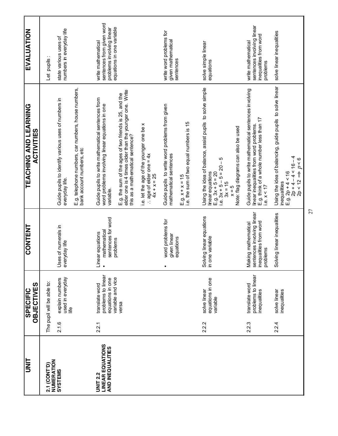| <b>S</b>                                                       |       | <b>OBJECTIVES</b><br><b>SPECIFIC</b>                                          | <b>CONTENT</b>                                                                          | <u>TEACHING AND LEARNING</u><br><b>ACTIVITIES</b>                                                                                                                                                 | <b>EVALUATION</b>                                                                                         |
|----------------------------------------------------------------|-------|-------------------------------------------------------------------------------|-----------------------------------------------------------------------------------------|---------------------------------------------------------------------------------------------------------------------------------------------------------------------------------------------------|-----------------------------------------------------------------------------------------------------------|
| NUMERATION<br>2.1 (CONT'D)                                     |       | The pupil will be able to:                                                    |                                                                                         |                                                                                                                                                                                                   | Let pupils                                                                                                |
| SVSTEMS                                                        | 2.1.6 | used in everyday<br>explain numbers<br>life                                   | Uses of numerals in<br>everyday life                                                    | Guide pupils to identify various uses of numbers in<br>everyday life.                                                                                                                             | numbers in everyday life<br>state various uses of                                                         |
|                                                                |       |                                                                               |                                                                                         | E.g. telephone numbers, car numbers, house numbers,<br>bank account numbers, etc                                                                                                                  |                                                                                                           |
| <b>LINEAR EQUATIONS</b><br>AND INEQUALITIES<br><b>UNIT 2.2</b> | 2.2.1 | problems to linear<br>variable and vice<br>equations in one<br>translate word | sentences for word<br>mathematical<br>Linear equations<br>• mathematica                 | Guide pupils to write mathematical sentences from<br>word problems involving linear equations in one<br>variable.                                                                                 | sentences from given word<br>equations in one variable<br>problems involving linear<br>write mathematical |
|                                                                |       | versa                                                                         | problems                                                                                | elder one is 4 times older than the younger one. Write<br>E.g. the sum of the ages of two friends is 25, and the<br>this as a mathematical sentence?                                              |                                                                                                           |
|                                                                |       |                                                                               |                                                                                         | i.e. let the age of the younger one be x<br>$\therefore$ age of elder one = 4x<br>$4x + x = 25$                                                                                                   |                                                                                                           |
|                                                                |       |                                                                               | word problems for<br>given linear<br>$\bullet$                                          | Guide pupils to write word problems from given<br>mathematical sentences                                                                                                                          | write word problems for<br>given mathematical<br>sentences                                                |
|                                                                |       |                                                                               | equations                                                                               | i.e. the sum of two equal numbers is 15<br>$E.g. x + x = 15$                                                                                                                                      |                                                                                                           |
|                                                                | 2.2.2 | equations in one<br>solve linear<br>variable                                  | Solving linear equations<br>in one variable<br>one variable                             | Using the idea of balance, assist pupils to solve simple<br>Note: flag diagrams can also be used<br>ю<br>E.g. $3x + 5 = 20$<br>i.e. $3x + 5 - 5 = 20$<br>linear equations<br>$3x = 15$<br>$x = 5$ | solve simple linear<br>equations                                                                          |
|                                                                | 2.2.3 | problems to linear<br>translate word<br>inequalities                          | Making mathematical<br>sentences involving linear<br>inequalities from word<br>problems | Guide pupils to write mathematical sentences involving<br>E.g. think of a whole number less than 17<br>linear inequalities from word problems.<br>i.e. $x < 17$                                   | sentences involving linear<br>inequalities from word<br>write mathematical<br>problems                    |
|                                                                | 2.24  | solve linear<br>inequalities                                                  | Solving linear inequalities                                                             | Using the idea of balancing, guide pupils to solve linear<br>$2p + 4 - 4 < 16 - 4$<br>$\Rightarrow p < 6$<br>$E.g. 2p + 4 < 16$<br>2p < 12<br>inequalities                                        | solve linear inequalities                                                                                 |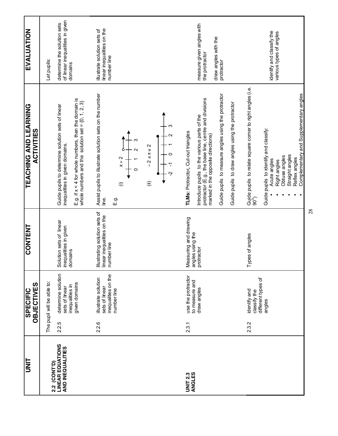| llis                                        |       | <b>OBJECTIVES</b><br><b>SPECIFIC</b>                                        | <b>CONTENT</b>                                                             | <u>TEACHING AND LEARNING</u><br><b>ACTIVITIES</b>                                                                                                                                                                                                                                             | <b>EVALUATION</b>                                                                 |
|---------------------------------------------|-------|-----------------------------------------------------------------------------|----------------------------------------------------------------------------|-----------------------------------------------------------------------------------------------------------------------------------------------------------------------------------------------------------------------------------------------------------------------------------------------|-----------------------------------------------------------------------------------|
| 2.2 (CONT'D)                                |       | The pupil will be able to:                                                  |                                                                            |                                                                                                                                                                                                                                                                                               | Let pupils:                                                                       |
| <b>LINEAR EQUATIONS</b><br>AND INEQUALITIES | 2.2.5 | determine solution<br>given domains<br>inequalities in<br>sets of linear    | Solution sets of linear<br>inequalities in given<br>domains                | E.g. if $x < 4$ for whole numbers, then the domain is<br>whole numbers and the solution set = $\{0, 1, 2, 3\}$<br>Guide pupils to determine solution sets of linear<br>inequalities in given domains                                                                                          | of linear inequalities in given<br>determine the solution sets<br>domains         |
|                                             | 2.2.6 | inequalities on the<br>illustrate solution<br>sets of linear<br>number line | Illustrating solution sets of<br>linear inequalities on the<br>number line | Assist pupils to illustrate solution sets on the number<br>N<br>$\mathsf{V}$<br>$2 \leq x$<br>$\sum_{\lambda}^{\infty}$<br>$\widehat{\equiv}$<br>$\widehat{=}$<br>jine.<br>E.g.                                                                                                               | linear inequalities on the<br>illustrate solution sets of<br>number line          |
| ANGLES<br><b>UNIT 2.3</b>                   | 2.3.1 | use the protractor<br>to measure and<br>draw angles                         | Measuring and drawing<br>angles using the<br>protractor                    | Guide pupils to measure angles using the protractor<br>protractor (E.g., the base line, centre and divisions<br>Guide pupils to draw angles using the protractor<br>Introduce pupils to the various parts of the<br>TLMs: Protractor, Cut-out triangles<br>marked in the opposite directions) | measure given angles with<br>draw angles with the<br>the protractor<br>protractor |
|                                             | 2.3.2 | different types of<br>identify and<br>classify the<br>angles                | Types of angles                                                            | Guide pupils to relate square comer to right angles (i.e.<br>90 <sup>0</sup> )<br>Complementary and Supplementary angles<br>Guide pupils to identify and classify:<br>Straight angles<br>Obtuse angles<br>Reflex angles<br>Acute angles<br>Right angles                                       | identify and classify the<br>various types of angles                              |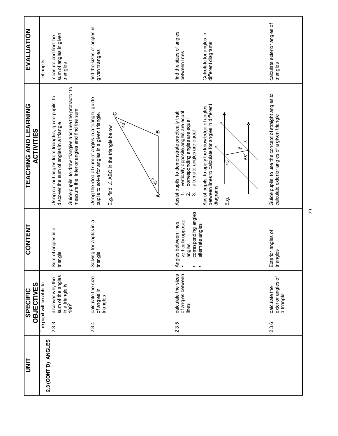| <b>EVALUATION</b>                                 | Let pupils                 | sum of angles in given<br>measure and find the<br>triangles                                                                                                                                                  | find the sizes of angles in<br>given triangles                                                                                                                                                       | find the sizes of angles<br>between lines                                                                                                                                  | Calculate for angles in<br>different diagrams                                                                                                                   | calculate exterior angles of<br>triangles                                                              |
|---------------------------------------------------|----------------------------|--------------------------------------------------------------------------------------------------------------------------------------------------------------------------------------------------------------|------------------------------------------------------------------------------------------------------------------------------------------------------------------------------------------------------|----------------------------------------------------------------------------------------------------------------------------------------------------------------------------|-----------------------------------------------------------------------------------------------------------------------------------------------------------------|--------------------------------------------------------------------------------------------------------|
| <b>TEACHING AND LEARNING</b><br><b>ACTIVITIES</b> |                            | Guide pupils to draw triangles and use the protractor to<br>measure the interior angles and find the sum<br>Using cut-out angles from triangles, guide pupils to<br>discover the sum of angles in a triangle | Using the idea of sum of angles in a triangle, guide<br>ပ<br>pupils to solve for angles in a given triangle.<br>$\sqrt{6}$<br>E.g. find $\angle$ ABC in the triangle below<br>മ<br>$45^{\circ}$<br>⋖ | Assist pupils to demonstrate practically that:<br>vertically opposite angles are equal<br>corresponding angles are equal<br>alternate angles are equal<br>$\alpha$ $\beta$ | between lines to calculate for angles in different<br>Assist pupils to apply the knowledge of angles<br>×<br>55 <sup>0</sup><br>$45^{0}$<br>diagrams<br>ć.<br>E | Guide pupils to use the concept of straight angles to<br>calculate exterior angles of a given triangle |
| <b>CONTENT</b>                                    |                            | Sum of angles in a<br>triangle                                                                                                                                                                               | Solving for angles in a<br>triangle                                                                                                                                                                  | corresponding angles<br>vertically opposite<br>Angles between lines<br>• vertically opposite<br>alternate angles<br>angles<br>$\bullet$                                    |                                                                                                                                                                 | Exterior angles of<br>triangles                                                                        |
| OBJECTIVES<br><b>SPECIFIC</b>                     | The pupil will be able to: | sum of the angles<br>discover why the<br>in a triangle is<br>180 <sup>0</sup>                                                                                                                                | calculate the size<br>of angles in<br>triangles                                                                                                                                                      | of angles between<br>calculate the sizes<br>lines                                                                                                                          |                                                                                                                                                                 | exterior angles of<br>calculate the<br>a triangle                                                      |
|                                                   |                            | 2.3.3                                                                                                                                                                                                        | 2.3.4                                                                                                                                                                                                | 2.3.5                                                                                                                                                                      |                                                                                                                                                                 | 2.3.6                                                                                                  |
| <b>UNIT</b>                                       | 2.3 (CONT'D) ANGLES        |                                                                                                                                                                                                              |                                                                                                                                                                                                      |                                                                                                                                                                            |                                                                                                                                                                 |                                                                                                        |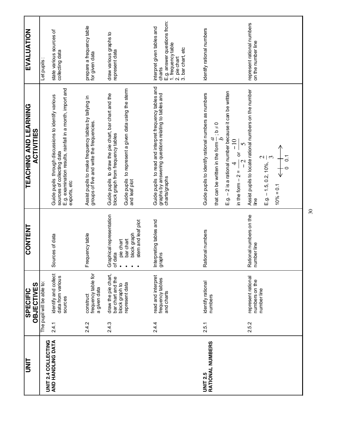| TINN                                |       | <b>OBJECTIVES</b><br><b>SPECIFIC</b>                                         | <b>CONTENT</b>                                                                                                               | <b>TEACHING AND LEARNING</b><br><b>ACTIVITIES</b>                                                                                                                                                                                    | <b>EVALUATION</b>                                                                                                              |
|-------------------------------------|-------|------------------------------------------------------------------------------|------------------------------------------------------------------------------------------------------------------------------|--------------------------------------------------------------------------------------------------------------------------------------------------------------------------------------------------------------------------------------|--------------------------------------------------------------------------------------------------------------------------------|
| UNIT 2.4 COLLECTING                 |       | The pupil will be able to:                                                   |                                                                                                                              |                                                                                                                                                                                                                                      | Let pupils                                                                                                                     |
| AND HANDLING DATA                   | 2.4.1 | identify and collect<br>data from various<br>sources                         | Sources of data                                                                                                              | E.g. examination results, rainfall in a month, import and<br>Guide pupils through discussions to identify various<br>sources of collecting data<br>exports, etc                                                                      | state various sources of<br>collecting data                                                                                    |
|                                     | 242   | frequency table for<br>a given data<br>construct                             | Frequency table                                                                                                              | Assist pupils to make frequency tables by tallying in<br>groups of five and write the frequencies.                                                                                                                                   | prepare a frequency table<br>for given data                                                                                    |
|                                     | 2.4.3 | draw the pie chart,<br>bar chart and the<br>represent data<br>block graph to | Graphical representation<br>of data<br>stem and leaf plot<br>block graph<br>bar chart<br>pie chart<br>$\bullet$<br>$\bullet$ | Guide pupils to represent a given data using the sterm<br>Guide pupils to draw the pie chart, bar chart and the<br>block graph from frequency tables<br>and leaf plot                                                                | draw various graphs to<br>represent data                                                                                       |
|                                     | 2.4.4 | read and interpret<br>frequency tables<br>and charts                         | Interpreting tables and<br>graphs                                                                                            | Guide pupils to read and interpret frequency tables and<br>graphs by answering questions relating to tables and<br>charts/graphs                                                                                                     | E.g. answer questions from:<br>1. frequency table<br>interpret given tables and<br>2. pie chart<br>3. bar chart, etc<br>charts |
| RATIONAL NUMBERS<br><b>UNIT 2.5</b> | 2.5.1 | identify rational<br>numbers                                                 | Rational numbers                                                                                                             | E.g. - 2 is a rational number because it can be written<br>Guide pupils to identify rational numbers as numbers<br>that can be written in the form $\frac{a}{b}$ ; b $\neq$ 0<br>in the form – 2 = $\frac{4}{-2}$ or $\frac{-10}{5}$ | identify rational numbers                                                                                                      |
|                                     | 2.5.2 | represent rational<br>numbers on the<br>number line                          | Rational numbers on the<br>number line                                                                                       | Assist pupils to locate rational numbers on the number<br>line<br>$10\% = 0.1$ $\leftarrow +$<br>0 0.1<br>E.g. – 1.5, 0.2, 10%, $\frac{2}{3}$<br>10% = 0.1                                                                           | represent rational numbers<br>on the number line                                                                               |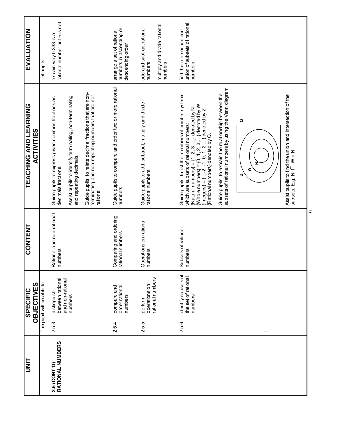| <b>EVALUATION</b>                                 | Let pupils                 | rational number but $\pi$ is not<br>explain why 0.333 is a               |                                                                                   |                                                                                                                          | numbers in ascending or<br>arrange a set of rational<br>descending order | add and subtract rational<br>numbers                                    | multiply and divide rational<br>numbers | union of subsets of rational<br>find the intersection and<br>numbers                                                                                                                                                                                                                 |                                                                                                               |           |                                                                                       |
|---------------------------------------------------|----------------------------|--------------------------------------------------------------------------|-----------------------------------------------------------------------------------|--------------------------------------------------------------------------------------------------------------------------|--------------------------------------------------------------------------|-------------------------------------------------------------------------|-----------------------------------------|--------------------------------------------------------------------------------------------------------------------------------------------------------------------------------------------------------------------------------------------------------------------------------------|---------------------------------------------------------------------------------------------------------------|-----------|---------------------------------------------------------------------------------------|
| <u>TEACHING AND LEARNING</u><br><b>ACTIVITIES</b> |                            | Guide pupils to express given common fractions as<br>decimals fractions. | Assist pupils to identify terminating, non-terminating<br>and repeating decimals. | Guide pupils to relate decimal fractions that are non-<br>terminating and non-repeating numbers that are not<br>rational | Guide pupils to compare and order two or more rational<br>numbers        | Guide pupils to add, subtract, multiply and divide<br>rational numbers. |                                         | Guide pupils to list the members of number systems<br>{Natural numbers} = {1, 2, 3, } denoted by N<br>{Whole numbers} = {0, 1, 2, 3, } denoted by W.<br>{Integers} = {-2, -1, 0, 1, 2, } denoted by W.<br>which are subsets of rational numbers:<br>[Rational numbers] denoted by Q. | subsets of rational numbers by using the Venn diagram<br>Guide pupils to explain the relationship between the | O<br>N    | Assist pupils to find the union and intersection of the subsets. E.g. N $\cap$ W = N. |
| <b>CONTENT</b>                                    |                            | Rational and non-rational<br>numbers                                     |                                                                                   |                                                                                                                          | Comparing and ordering<br>rational numbers                               | Operations on rational<br>numbers                                       |                                         | Subsets of rational<br>numbers                                                                                                                                                                                                                                                       |                                                                                                               |           |                                                                                       |
| OBJECTIVES<br><b>SPECIFIC</b>                     | The pupil will be able to: | between rational<br>and non-rational<br>distinguish                      | numbers                                                                           |                                                                                                                          | order rational<br>compare and<br>numbers                                 | rational numbers<br>operations on<br>perform                            |                                         | identify subsets of<br>the set of rational<br>numbers                                                                                                                                                                                                                                |                                                                                                               |           |                                                                                       |
|                                                   |                            | 2.5.3                                                                    |                                                                                   |                                                                                                                          | 2.5.4                                                                    | 2.5.5                                                                   |                                         | 2.5.6                                                                                                                                                                                                                                                                                |                                                                                                               | $\cdot$ . |                                                                                       |
| ヒミっ                                               |                            | RATIONAL NUMBERS<br>2.5 (CONT'D)                                         |                                                                                   |                                                                                                                          |                                                                          |                                                                         |                                         |                                                                                                                                                                                                                                                                                      |                                                                                                               |           |                                                                                       |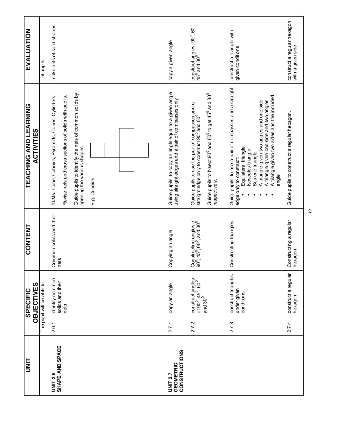| <b>TINU</b>                               |       | OBJECTIVES<br><b>SPECIFIC</b>                                                                     | <b>CONTENT</b>                                                                                       | <b>TEACHING AND LEARNING</b><br><b>ACTIVITIES</b>                                                                                            | EVALUATION                                                                                      |
|-------------------------------------------|-------|---------------------------------------------------------------------------------------------------|------------------------------------------------------------------------------------------------------|----------------------------------------------------------------------------------------------------------------------------------------------|-------------------------------------------------------------------------------------------------|
|                                           |       | The pupil will be able to                                                                         |                                                                                                      |                                                                                                                                              | Let pupils:                                                                                     |
| <b>SHAPE AND SPACE</b><br><b>UNIT 2.6</b> | 2.6.1 | identify common<br>solids and their                                                               | Common solids and their<br>nets                                                                      | TLMs: Cube, Cuboids, Pyramids, Cones, Cylinders.                                                                                             | make nets of solid shapes                                                                       |
|                                           |       | nets                                                                                              |                                                                                                      | Revise nets and cross sections of solids with pupils.                                                                                        |                                                                                                 |
|                                           |       |                                                                                                   |                                                                                                      | Guide pupils to identify the nets of common solids by<br>opening the various shapes.                                                         |                                                                                                 |
|                                           |       |                                                                                                   |                                                                                                      | E.g. Cuboids                                                                                                                                 |                                                                                                 |
|                                           |       |                                                                                                   |                                                                                                      |                                                                                                                                              |                                                                                                 |
|                                           |       |                                                                                                   |                                                                                                      |                                                                                                                                              |                                                                                                 |
|                                           |       |                                                                                                   |                                                                                                      |                                                                                                                                              |                                                                                                 |
| <b>GEOMETRIC</b><br><b>UNIT 2.7</b>       | 2.7.1 | copy an angle                                                                                     | Copying an angle                                                                                     | Guide pupils to copy an angle equal to a given angle<br>using straight edges and a pair of compasses only                                    | copy a given angle                                                                              |
| <b>CONSTRUCTIONS</b>                      |       |                                                                                                   |                                                                                                      |                                                                                                                                              |                                                                                                 |
|                                           | 2.7.2 | construct angles<br>of 90 <sup>0</sup> , 45 <sup>0</sup> , 60 <sup>0</sup><br>and 30 <sup>0</sup> | Constructing angles of:<br>90 <sup>°</sup> , 45 <sup>°</sup> , 60 <sup>°</sup> , and 30 <sup>°</sup> | Guide pupils to use the pair of compasses and a<br>straight edge only to construct $90^{\circ}$ and $60^{\circ}$ .                           | $\frac{\text{constant}}{45^\circ}$ and $\frac{\text{angle: 90}^\circ}{30^\circ}$ , $60^\circ$ , |
|                                           |       |                                                                                                   |                                                                                                      | Guide pupils to bisect 90 $^{\circ}$ and 60 $^{\circ}$ to get 45 $^{\circ}$ and 30 $^{\circ}$<br>respectively                                |                                                                                                 |
|                                           | 2.7.3 | construct triangles                                                                               | Constructing triangles                                                                               | Guide pupils to use a pair of compasses and a straight                                                                                       | construct a triangle with                                                                       |
|                                           |       | under given<br>conditions                                                                         |                                                                                                      | Equilateral triangle<br>Isosceles triangle<br>Scalene triangle<br>edge only to construct:                                                    | given conditions                                                                                |
|                                           |       |                                                                                                   |                                                                                                      | A triangle given two sides and the included<br>A triangle given one side and two angles<br>A triangle given two angles and one side<br>angle |                                                                                                 |
|                                           | 2.74  | construct a regular<br>hexagon                                                                    | Constructing a regular<br>hexagon                                                                    | Guide pupils to construct a regular hexagon.                                                                                                 | construct a regular hexagon<br>with a given side                                                |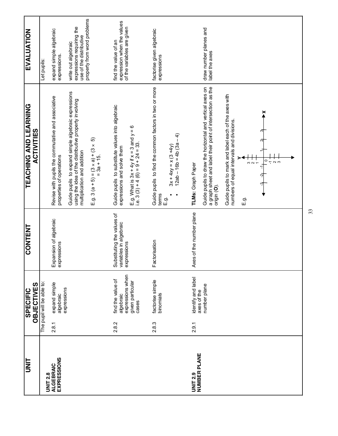| 2.8.1<br><b>EXPRESSIONS</b><br><b>ALGEBRAIC</b><br><b>UNIT 2.8</b> | <b>OBJECTIVES</b>                                                               | <b>CONTENT</b>                                                      | <u>TEACHING AND LEARNING</u><br><b>ACTIVITIES</b>                                                                                                                                                                                                                                                                                                                | <b>EVALUATION</b>                                                                                          |
|--------------------------------------------------------------------|---------------------------------------------------------------------------------|---------------------------------------------------------------------|------------------------------------------------------------------------------------------------------------------------------------------------------------------------------------------------------------------------------------------------------------------------------------------------------------------------------------------------------------------|------------------------------------------------------------------------------------------------------------|
|                                                                    | The pupil will be able to:                                                      |                                                                     |                                                                                                                                                                                                                                                                                                                                                                  | Let pupils:                                                                                                |
|                                                                    | expand simple<br>expressions<br>algebraic                                       | Expansion of algebraic<br>expressions                               | Revise with pupils the commutative and associative<br>properties of operations                                                                                                                                                                                                                                                                                   | expand simple algebraic<br>expressions.                                                                    |
|                                                                    |                                                                                 |                                                                     | Guide pupils to expand simple algebraic expressions<br>using the idea of the distributive property involving<br>6<br>E.g. 3 (a + 5) = $(3 \times a) + (3 \times a)$<br>multiplication and addition                                                                                                                                                               | property from word problems<br>expressions requiring the<br>use of the distributive<br>write out algebraic |
| 2.8.2                                                              | expressions when<br>find the value of<br>given particular<br>algebraic<br>cases | Substituting the values of<br>variables in algebraic<br>expressions | Guide pupils to substitute values into algebraic<br>E.g. What is $3x + 4y$ if $x = 3$ and $y = 6$<br>i.e. 3 (3) + 4 (6) = 9 + 24 = 33.<br>expressions and solve them                                                                                                                                                                                             | expression when the values<br>of the variables are given<br>find the value of an                           |
| 2.8.3                                                              | factorise simple<br>binomials                                                   | Factorisation                                                       | Guide pupils to find the common factors in two or more<br>$12ab - 16b = 4b(3a - 4)$<br>$3x + 4xy = x(3 + 4y)$<br>terms<br>E 9.                                                                                                                                                                                                                                   | factorise given algebraic<br>expressions                                                                   |
| 2.9.1<br>NUMBER PLANE<br><b>UNIT 2.9</b>                           | identify and label<br>number plane<br>axes of the                               | Axes of the number plane                                            | Guide pupils to draw the horizontal and vertical axes on<br>a graph sheet and label their point of intersection as the<br>Guide pupils to mark and label each of the axes with<br>$\tilde{\blacktriangle}$<br>numbers of equal intervals and divisions.<br>$\circ$<br>$\frac{1}{2}$ N $\frac{1}{2}$<br>$\frac{1}{2}$<br>TLMs: Graph Paper<br>origin (O).<br>E.g. | draw number planes and<br>label the axes                                                                   |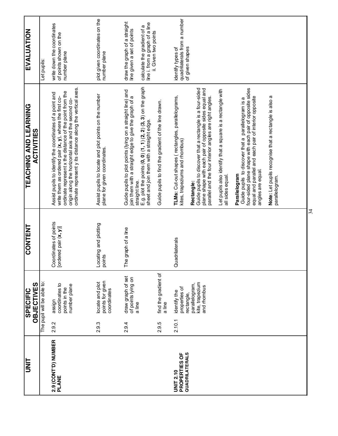| lim<br>S                                            |           | <b>OBJECTIVES</b><br><b>SPECIFIC</b>                           | <b>CONTENT</b>                                 | <u> LEVCHING VAD FEVBINING</u><br><b>ACTIVITIES</b>                                                                                                                                                                                                                                                                             | <b>EVALUATION</b>                                                                                                           |
|-----------------------------------------------------|-----------|----------------------------------------------------------------|------------------------------------------------|---------------------------------------------------------------------------------------------------------------------------------------------------------------------------------------------------------------------------------------------------------------------------------------------------------------------------------|-----------------------------------------------------------------------------------------------------------------------------|
|                                                     |           | The pupil will be able to:                                     |                                                |                                                                                                                                                                                                                                                                                                                                 | Let pupils:                                                                                                                 |
| 2.9 (CONT'D) NUMBER<br><b>PLANE</b>                 | 2.9.2     | coordinates to<br>number plane<br>points in the<br>assign      | Coordinates of points<br>[ordered pair (x, y)] | ordinate represent y its distance along the vertical axes.<br>ordinate represent x the distance of the point from the<br>Assist pupils to identify the coordinates of a point and<br>write them as ordered pair (x, y), where the first co-<br>origin along the horizontal axis and the second co-                              | write down the coordinates<br>of points shown on the<br>number plane                                                        |
|                                                     | 2.9.3     | points for given<br>locate and plot<br>coordinates             | Locating and plotting<br>points                | Assist pupils to locate and plot points on the number<br>plane for given coordinates.                                                                                                                                                                                                                                           | plot given coordinates on the<br>numberplane                                                                                |
|                                                     | 2.9.4     | draw graph of set<br>of points lying on<br>a line              | The graph of a line                            | E.g. plot the points $(\mathbf{0},\mathbf{0})$ $(\mathbf{1},\mathbf{1})$ $(\mathbf{2},\mathbf{2})$ $(\mathbf{3},\mathbf{3})$ on the graph<br>sheet and join them with a straight edge.<br>Guide pupils to plot points (lying on a straight line) and<br>join them with a straight edge to give the graph of a<br>straight line. | draw the graph of a straight<br>line i. from a graph of a line<br>calculate the gradient of a<br>line given a set of points |
|                                                     | ró<br>2.9 | find the gradient of<br>a line                                 |                                                | Guide pupils to find the gradient of the line drawn.                                                                                                                                                                                                                                                                            | ii. Given two points                                                                                                        |
| QUADRILATERALS<br>PROPERTIES OF<br><b>UNIT 2.10</b> | 2.10.1    | properties of<br>identify the                                  | Quadrilaterals                                 | TLMs: Cut-out shapes (rectangles, parallelograms,<br>kites, trapeziums and rhombus)                                                                                                                                                                                                                                             | quadrilaterals from a number<br>identify types of                                                                           |
|                                                     |           | kite, trapezium<br>and rhombus<br>parallelogram,<br>rectangle, |                                                | Guide pupils to discover that a rectangle is a four-sided<br>plane shape with each pair of opposite sides equal and<br>parallel and the four interior angles are right angles.<br>Rectangle:                                                                                                                                    | of given shapes                                                                                                             |
|                                                     |           |                                                                |                                                | Let pupils also identify that a square is a rectangle with<br>all sides equal.                                                                                                                                                                                                                                                  |                                                                                                                             |
|                                                     |           |                                                                |                                                | four-sided plane shape with each pair of opposite sides<br>equal and parallel and each pair of interior opposite<br>Guide pupils to discover that a parallelogram is a<br>angles are equal.<br>Parallelogram                                                                                                                    |                                                                                                                             |
|                                                     |           |                                                                |                                                | Note: Let pupils recognise that a rectangle is also a<br>parallelogram.                                                                                                                                                                                                                                                         |                                                                                                                             |
|                                                     |           |                                                                |                                                |                                                                                                                                                                                                                                                                                                                                 |                                                                                                                             |
|                                                     |           |                                                                | 34                                             |                                                                                                                                                                                                                                                                                                                                 |                                                                                                                             |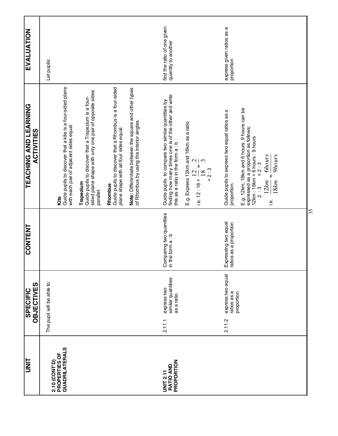| <b>UNIT</b>                                        | <b>OBJECTIVES</b><br><b>SPECIFIC</b>                      | <b>CONTENT</b>                                 | <b>TEACHING AND LEARNING</b><br><b>ACTIVITIES</b>                                                                                                                                                                                             | EVALUATION                                         |
|----------------------------------------------------|-----------------------------------------------------------|------------------------------------------------|-----------------------------------------------------------------------------------------------------------------------------------------------------------------------------------------------------------------------------------------------|----------------------------------------------------|
| 2.10 (CONT'D)                                      | The pupil will be able to:                                |                                                |                                                                                                                                                                                                                                               | Let pupils:                                        |
| QUADRILATERALS<br>PROPERTIES OF                    |                                                           |                                                | Guide pupils to discover that a kite is a four-sided plane<br>with each pair of adjacent sides equal.<br>Kite                                                                                                                                 |                                                    |
|                                                    |                                                           |                                                | sided plane shape with only one pair of opposite sides<br>Guide pupils to discover that a Trapezium is a four-<br>Trapezium<br>parallel.                                                                                                      |                                                    |
|                                                    |                                                           |                                                | Guide pupils to discover that a Rhombus is a four-sided<br>plane shape with all four sides equal.<br>Rhombus                                                                                                                                  |                                                    |
|                                                    |                                                           |                                                | Note: Differentiate between the square and other types<br>of Rhombus by using the interior angles.                                                                                                                                            |                                                    |
| PROPORTION<br><b>RATIO AND</b><br><b>UNIT 2.11</b> | similar quantities<br>express two<br>as a ratio<br>2.11.1 | Comparing two quantities<br>in the form a : b  | finding how many times one is of the other and write<br>Guide pupils to compare two similar quantities by<br>this as a ratio in the form a : b                                                                                                | find the ratio of one given<br>quantity to another |
|                                                    |                                                           |                                                | E.g. Express 12km and 18km as a ratio<br>$\mathcal{L}$<br>$\mathfrak{c}$<br>$= 2:3$<br>$\overline{5}$<br>18<br>i.e. 12 : 18 = $\frac{1}{2}$                                                                                                   |                                                    |
|                                                    | express two equal<br>ratios as a<br>proportion<br>2.11.2  | Expressing two equal<br>ratios as a proportion | Guide pupils to express two equal ratios as a<br>proportion.                                                                                                                                                                                  | express given ratios as a<br>proportion            |
|                                                    |                                                           |                                                | E.g. 12km, 18km and 6 hours, 9 hours can be<br>expressed as a proportion as follows;<br>12km : 18km = 6 hours : 9 hours<br>2 : 3 = 2 : 3<br><b>Ghours</b><br><b>9hours</b><br>$\frac{1}{2}$<br>12km<br>18km<br>$\underline{\dot{\mathbb{Q}}}$ |                                                    |
|                                                    |                                                           | 35                                             |                                                                                                                                                                                                                                               |                                                    |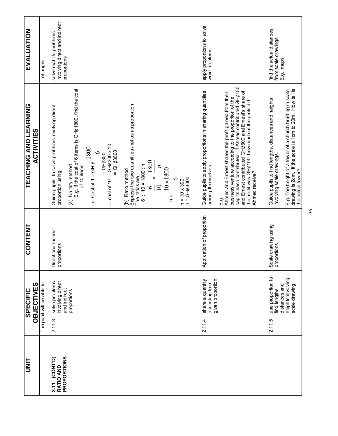| <b>TINIT</b>                                               | <b>OBJECTIVES</b><br><b>SPECIFIC</b>                             | <b>CONTENT</b>                     | TEACHING AND LEARNING<br><b>ACTIVITIES</b>                                                                                                                                                                                                                                                                   | EVALUATION                                                               |
|------------------------------------------------------------|------------------------------------------------------------------|------------------------------------|--------------------------------------------------------------------------------------------------------------------------------------------------------------------------------------------------------------------------------------------------------------------------------------------------------------|--------------------------------------------------------------------------|
|                                                            | The pupil will be able to:                                       |                                    |                                                                                                                                                                                                                                                                                                              | Let pupils:                                                              |
| <b>PROPORTIONS</b><br>(CONT'D)<br><b>RATIO AND</b><br>2.11 | solve problems<br>involving direct<br>and indirect<br>2.11.3     | Direct and Indirect<br>proportions | Guide pupils to solve problems involving direct<br>proportion using:                                                                                                                                                                                                                                         | involving direct and indirect<br>solve real life problems<br>proportions |
|                                                            | proportions                                                      |                                    | E.g. If the cost of 6 items is GH $\phi$ 1800, find the cost<br>of 10 items;<br>(a) Unitary method                                                                                                                                                                                                           |                                                                          |
|                                                            |                                                                  |                                    | 1800<br>$\circ$<br>i.e. Cost of $1 = GH \phi$ .                                                                                                                                                                                                                                                              |                                                                          |
|                                                            |                                                                  |                                    | $\therefore$ cost of 10 = GH <sub>c</sub> 300 x 10<br>$=$ GH¢3000<br>$=$ GH <sub>0</sub> 300                                                                                                                                                                                                                 |                                                                          |
|                                                            |                                                                  |                                    | Express the two quantities / ratios as proportion.<br>The ratios are<br>6 : 10 = 1800 : n<br>(b) Ratio method                                                                                                                                                                                                |                                                                          |
|                                                            |                                                                  |                                    | $\frac{6}{9}$ = $\frac{1800}{9}$<br>$\overline{\phantom{a}}$<br>$\subseteq$                                                                                                                                                                                                                                  |                                                                          |
|                                                            |                                                                  |                                    | $10 \times 1800$<br>$\circ$<br>$\frac{1}{2}$                                                                                                                                                                                                                                                                 |                                                                          |
|                                                            |                                                                  |                                    | $n = 10 \times 300$<br>$n = GH¢3000$                                                                                                                                                                                                                                                                         |                                                                          |
|                                                            | given proportion<br>share a quantity<br>according to a<br>2.11.4 | Application of proportion          | Guide pupils to apply proportions in sharing quantities<br>among themselves.                                                                                                                                                                                                                                 | apply proportions to solve<br>word problems                              |
|                                                            |                                                                  |                                    | business venture according to the proportion of the<br>capital each contributed. If Ahmed contributed GH¢100<br>and Ernest contributed GH¢800 and Ernest's share of<br>Ahmed and Emest shared the profit gained from their<br>the profit was GH¢100, how much of the profit did<br>Ahmed receive?<br>ć.<br>E |                                                                          |
|                                                            | use proportion to<br>distances and<br>find lengths,<br>2.11.5    | Scale drawing using<br>proportions | Guide pupils to find lengths, distances and heights<br>involving scale drawings.                                                                                                                                                                                                                             | find the actual distances<br>from scale drawings<br>E.g. maps            |
|                                                            | heights involving<br>scale drawing                               |                                    | drawing is 2cm. If the scale is 1cm to 20m. How tall is<br>E.g. The height of a tower of a church building in scale<br>the actual tower?                                                                                                                                                                     |                                                                          |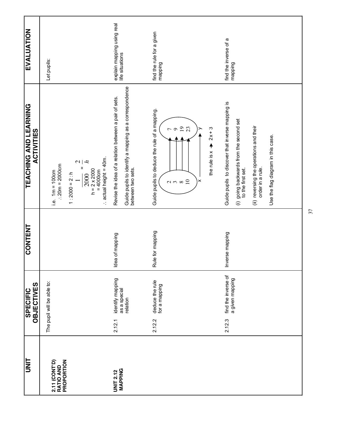| UNIT                                            | OBJECTIVES<br><b>SPECIFIC</b>                          | <b>CONTENT</b>   | <b>TEACHING AND LEARNING</b><br><b>ACTIVITIES</b>                                                                                         | <b>EVALUATION</b>                             |
|-------------------------------------------------|--------------------------------------------------------|------------------|-------------------------------------------------------------------------------------------------------------------------------------------|-----------------------------------------------|
| PROPORTION<br><b>2.11 (CONT'D)</b><br>RATIO AND | The pupil will be able to:                             |                  | $\therefore$ 20 $m = 2000$ cm<br>i.e. $1m = 100cm$                                                                                        | Let pupils:                                   |
|                                                 |                                                        |                  | $\therefore$ actual height = 40m.<br>ł,<br>$\sim$<br>$\mathbf{I}$<br>$h = 2 \times 2000$<br>$= 4000 \text{cm}$<br>$1:2000 = 2: h$<br>2000 |                                               |
| MAPPING<br><b>UNIT 2.12</b>                     | identify mapping<br>as a special<br>relation<br>2.12.1 | Idea of mapping  | Guide pupils to identify a mapping as a correspondence<br>Revise the idea of a relation between a pair of sets.<br>between two sets.      | explain mapping using real<br>life situations |
|                                                 | deduce the rule<br>for a mapping<br>2.12.2             | Rule for mapping | Guide pupils to deduce the rule of a mapping.<br>19<br>$2x + 3$<br>the rule is $x +$<br>$\alpha \wedge \infty$ $\Omega$<br>×              | find the rule for a given<br>mapping          |
|                                                 | find the inverse of<br>a given mapping<br>2.12.3       | Inverse mapping  | Guide pupils to discover that inverse mapping is<br>(i) going backwards from the second set<br>to the first set.                          | find the inverse of a<br>mapping              |
|                                                 |                                                        |                  | (ii) reversing the operations and their<br>order in a rule.<br>Use the flag diagram in this case.                                         |                                               |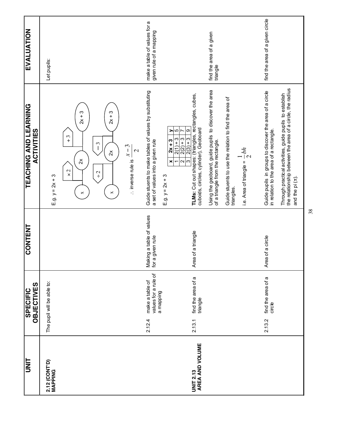| UNIT                                |        | <b>OBJECTIVES</b><br><b>SPECIFIC</b>                 | <b>CONTENT</b>                                | TEACHING AND LEARNING<br><b>ACTIVITIES</b>                                                                                                                                                                                                             | EVALUATION                                              |
|-------------------------------------|--------|------------------------------------------------------|-----------------------------------------------|--------------------------------------------------------------------------------------------------------------------------------------------------------------------------------------------------------------------------------------------------------|---------------------------------------------------------|
| 2.12 (CONT'D)<br>MAPPING            |        | The pupil will be able to:                           |                                               | E.g. $y = 2x + 3$                                                                                                                                                                                                                                      | Let pupils:                                             |
|                                     |        |                                                      |                                               | $2x + 3$<br>ო<br>$2x + 7$<br>$\sim$<br>$^{+}$<br>$\mathfrak{c}$<br>$\tilde{2}$<br>$\lambda$<br>$\mathcal{L}$<br>$\div 2$<br>$\times$<br>$\boldsymbol{\times}$<br>×                                                                                     |                                                         |
|                                     |        |                                                      |                                               | $x-3$<br>$\mathbf{\Omega}$<br>: inverse rule is                                                                                                                                                                                                        |                                                         |
|                                     | 2.12.4 | values for a rule of<br>make a table of<br>a mapping | Making a table of values<br>a given rule<br>ğ | Guide stuents to make tables of values by substituting<br>a set of values into a given rule                                                                                                                                                            | make a table of values for a<br>given rule of a mapping |
| AREA AND VOLUME<br><b>UNIT 2.13</b> | 2.13.1 | find the area of a<br>triangle                       | Area of a triangle                            | TLMs: Cut out shapes: (triangles, rectangles, cubes,<br>cuboids, circles, cylinder), Geoboard<br>$\circ$<br>Ю<br>><br>r<br>$2(3) + 3$<br>$2(2) + 3$<br>$2(1) + 3$<br>$2x + 3$<br>$\infty$<br>$\times$<br>$\boldsymbol{\sim}$<br>ᡪ<br>E.g. $y = 2x + 3$ |                                                         |
|                                     |        |                                                      |                                               | Using the geoboard, guide pupils to discover the area<br>of a triangle from the rectangle.                                                                                                                                                             | find the area of a given<br>triangle                    |
|                                     |        |                                                      |                                               | Guide stuents to use the relation to find the area of<br>$rac{1}{2}bh$<br>i.e. Area of triangle =<br>triangles.                                                                                                                                        |                                                         |
|                                     | 2.13.2 | find the area of a<br>circle                         | Area of a circle                              | Guide pupils  in groups to discover the area of a circle<br>in relation to the area of a rectangle.                                                                                                                                                    | find the area of a given circle                         |
|                                     |        |                                                      |                                               | Through practical activities, guide pupils to establish<br>the relationship between the area of a circle, the radius<br>and the pi $(\pi)$ .                                                                                                           |                                                         |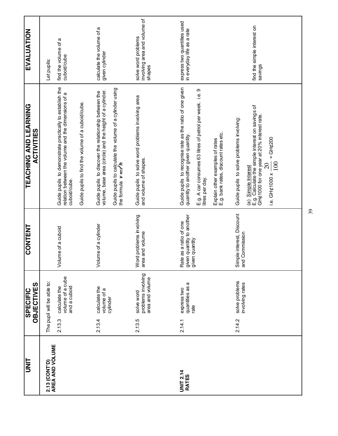| lli                                     |        | <b>OBJECTIVES</b><br><b>SPECIFIC</b>              | <b>CONTENT</b>                                                        | <u>TEACHING AND LEARNING</u><br><b>ACTIVITIES</b>                                                                                                                                                                  | <b>EVALUATION</b>                                         |
|-----------------------------------------|--------|---------------------------------------------------|-----------------------------------------------------------------------|--------------------------------------------------------------------------------------------------------------------------------------------------------------------------------------------------------------------|-----------------------------------------------------------|
| <b>AREA AND VOLUME</b><br>2.13 (CONT'D) |        | The pupil will be able to:                        |                                                                       |                                                                                                                                                                                                                    | Let pupils:                                               |
|                                         | 2.13.3 | volume of a cube<br>and a cuboid<br>calculate the | Volume of a cuboid                                                    | Guide pupils to demonstrate practically to establish the<br>relation between the volume and the dimensions of a<br>cuboid/cube.                                                                                    | find the volume of a<br>cuboid/cube                       |
|                                         |        |                                                   |                                                                       | Guide pupils to find the volume of a cuboid/cube.                                                                                                                                                                  |                                                           |
|                                         | 2.13.4 | calculate the<br>volume of a<br>cylinder          | Volume of a cylinder                                                  | Guide pupils to calculate the volume of a cylinder using<br>volume, base area (circle) and the height of a cylinder.<br>Guide pupils to discover the relationship between the<br>the formula v = xr <sup>2</sup> h | calculate the volume of a<br>given cylinder               |
|                                         | 2.13.5 | solve word                                        | Word problems involving                                               | Guide pupils to solve word problems involving area                                                                                                                                                                 | solve word problems                                       |
|                                         |        | problems involving<br>area and volume             | area and volume                                                       | and volume of shapes.                                                                                                                                                                                              | involving area and volume of<br>shapes                    |
|                                         |        |                                                   |                                                                       |                                                                                                                                                                                                                    |                                                           |
| <b>UNIT 2.14</b><br><b>RATES</b>        | 2.14.1 | quantities as a<br>express two<br>rate            | Rate as a ratio of one<br>given quantity to another<br>given quantity | Guide pupils to recognise rate as the ratio of one given<br>quantity to another given quantity.                                                                                                                    | express two quantities used<br>in everyday life as a rate |
|                                         |        |                                                   |                                                                       | E.g. A car consumes 63 litres of petrol per week. i.e. 9<br>litres per day.                                                                                                                                        |                                                           |
|                                         |        |                                                   |                                                                       | Explain other examples of rates<br>E.g. bank rates, discount rates etc.                                                                                                                                            |                                                           |
|                                         | 2.14.2 | solve problems<br>involving rates                 | Simple interest, Discount<br>and Commission                           | Guide pupils to solve problems involving:                                                                                                                                                                          |                                                           |
|                                         |        |                                                   |                                                                       | E.g. Calculate the simple interest on savings of<br>GH¢1000 for one year at 20% interest rate.<br>$=$ GH <sub>0</sub> 200<br>$\frac{100}{1}$<br>i.e. GH¢1000 x $\frac{20}{1}$<br>(a) Simple Interest               | find the simple interest on<br>savings                    |
|                                         |        |                                                   |                                                                       |                                                                                                                                                                                                                    |                                                           |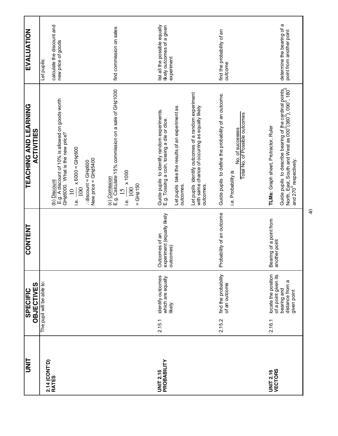| EVALUATION                                 | calculate the discount and<br>new price of goods<br>Let pupils:         |                                                                                                                                        | find commission on sales                                                                                          | list all the possible equally<br>likely outcomes of a given<br>experiment                                                                                   |                                                                                                                     | find the probability of an<br>outcome                                                                                              | a<br>determine the bearing of<br>point from another point                                                                                                                                                                                          |
|--------------------------------------------|-------------------------------------------------------------------------|----------------------------------------------------------------------------------------------------------------------------------------|-------------------------------------------------------------------------------------------------------------------|-------------------------------------------------------------------------------------------------------------------------------------------------------------|---------------------------------------------------------------------------------------------------------------------|------------------------------------------------------------------------------------------------------------------------------------|----------------------------------------------------------------------------------------------------------------------------------------------------------------------------------------------------------------------------------------------------|
| TEACHING AND LEARNING<br><b>ACTIVITIES</b> | E.g. A discount of 10% is allowed on goods worth<br>(b) <u>Discount</u> | GH¢6000. What is the new price?<br>$\frac{100}{100}$ x 6000 = GH¢600<br>New price = GH¢5400<br>$:$ discount = GH $\phi$ 600<br>نه<br>: | E.g. Calculate 15% commission on a sale of GH¢1000<br>$\frac{15}{100}$ × 1000<br>(c) Comission<br>$=$ GH¢150<br>ڣ | Let pupils take the results of an experiment as<br>Guide pupils to identify random experiments.<br>E.g. Tossing a coin, tossing a die or dice.<br>outcomes. | Let pupils identify outcomes of a random experiment<br>with same chance of occurring as equally likely<br>outcomes. | Guide pupils to define the probability of an outcome.<br>Total No. of Possible outcomes<br>No. of successes<br>i.e. Probability is | Guide pupils to describe bearing of the cardinal points,<br>North, East, South and West as 000 <sup>0</sup> (360 <sup>0</sup> ), 090 <sup>0</sup> , 180 <sup>0</sup><br>and 270 <sup>0</sup> respectively.<br>TLMs: Graph sheet, Protractor, Ruler |
| <b>CONTENT</b>                             |                                                                         |                                                                                                                                        |                                                                                                                   | experiment (equally likely<br>outcomes)<br>Outcomes of an                                                                                                   |                                                                                                                     | Probability of an outcome                                                                                                          | Bearing of a point from<br>another point                                                                                                                                                                                                           |
| <b>OBJECTIVES</b><br><b>SPECIFIC</b>       | The pupil will be able to:                                              |                                                                                                                                        |                                                                                                                   | identify outcomes<br>which are equally<br>likely                                                                                                            |                                                                                                                     | find the probability<br>of an outcome                                                                                              | locate the position<br>of a point given its<br>distance from a<br>bearing and<br>given point                                                                                                                                                       |
|                                            |                                                                         |                                                                                                                                        |                                                                                                                   | 2.15.1                                                                                                                                                      |                                                                                                                     | 2.15.2                                                                                                                             | 2.16.1                                                                                                                                                                                                                                             |
| <b>UNIT</b>                                | 2.14 (CONT'D)<br><b>RATES</b>                                           |                                                                                                                                        |                                                                                                                   | PROBABILITY<br><b>UNIT 2.15</b>                                                                                                                             |                                                                                                                     |                                                                                                                                    | <b>VECTORS</b><br><b>UNIT 2.16</b>                                                                                                                                                                                                                 |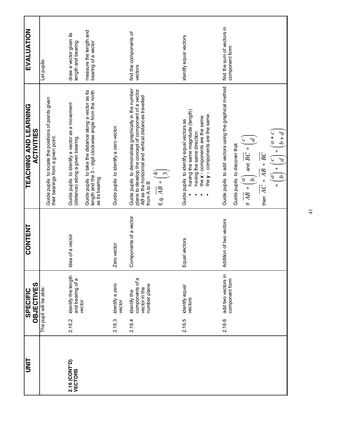| <b>UNIT</b>                     | <b>OBJECTIVES</b><br><b>SPECIFIC</b>                                       | <b>CONTENT</b>          | <b>TEACHING AND LEARNING</b><br><b>ACTIVITIES</b>                                                                                                                                                                                                                                                                                                                                                                                       | <b>EVALUATION</b>                                                                              |
|---------------------------------|----------------------------------------------------------------------------|-------------------------|-----------------------------------------------------------------------------------------------------------------------------------------------------------------------------------------------------------------------------------------------------------------------------------------------------------------------------------------------------------------------------------------------------------------------------------------|------------------------------------------------------------------------------------------------|
|                                 | The pupil will be able:                                                    |                         | Guide pupils to locate the positions of points given<br>their bearings from a given point.                                                                                                                                                                                                                                                                                                                                              | Let pupils:                                                                                    |
| 2.16 (CONT'D)<br><b>VECTORS</b> | identify the length<br>and bearing of a<br>vector<br>2.16.2                | Idea of a vector        | Guide pupils to take the distance along a vector as its<br>length and the 3 – digit clockwise angle from the north<br>Guide pupils to identify a vector as a movement<br>(distance) along a given bearing.<br>as its bearing                                                                                                                                                                                                            | measure the length and<br>draw a vector given its<br>bearing of a vector<br>length and bearing |
|                                 | identify a zero<br>vector<br>2.16.3                                        | Zero vector             | Guide pupils to identify a zero vector.                                                                                                                                                                                                                                                                                                                                                                                                 |                                                                                                |
|                                 | components of a<br>number plane<br>vector in the<br>identify the<br>2.16.4 | Components of a vector  | Guide pupils to demonstrate graphically in the number<br>plane to develop the concept of component of a vector<br>AB as the horizontal and vertical distances travelled<br>E.g. $AB =$<br>from A to B                                                                                                                                                                                                                                   | find the components of<br>vectors                                                              |
|                                 | identify equal<br>vectors<br>2.16.5                                        | Equal vectors           | having the same magnitude (length)<br>the $y$ - components are the same<br>the x - components are the same<br>Guide pupils to identify equal vectors as<br>having the same direction                                                                                                                                                                                                                                                    | identify equal vectors                                                                         |
|                                 | add two vectors in<br>component form<br>2.16.6                             | Addition of two vectors | Guide pupils to add vectors using the graphical method<br>$\begin{pmatrix} a \\ b \end{pmatrix} + \begin{pmatrix} c \\ c \end{pmatrix} = \begin{pmatrix} a + c \\ b + d \end{pmatrix} =$<br>If $\overrightarrow{AB} = \begin{pmatrix} a \\ b \end{pmatrix}$ and $\overrightarrow{BC} = \begin{pmatrix} c \\ d \end{pmatrix}$<br>Guide pupils to discover that<br>then $\overrightarrow{AC} = \overrightarrow{AB} + \overrightarrow{BC}$ | find the sum of vectors in<br>component form                                                   |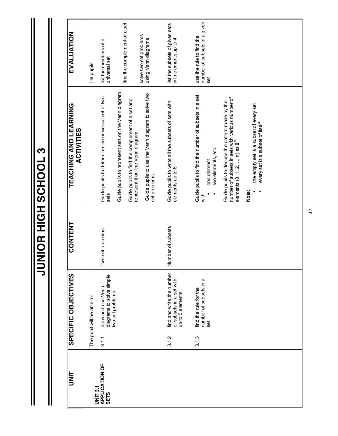**JUNIOR HIGH SCHOOL 3 JUNIOR HIGH SCHOOL 3**

Ш

| <b>UNIT</b>                   |       | <b>SPECIFIC OBJECTIVES</b>                                                | <b>CONTENT</b>    | TEACHING AND LEARNING<br><b>ACTIVITIES</b>                                                                                                     | EVALUATION                                                      |
|-------------------------------|-------|---------------------------------------------------------------------------|-------------------|------------------------------------------------------------------------------------------------------------------------------------------------|-----------------------------------------------------------------|
| <b>UNIT 3.1</b>               |       | The pupil will be able to:                                                |                   |                                                                                                                                                | Let pupils:                                                     |
| APPLICATION OF<br><b>SEIS</b> | 3.1.1 | diagrams to solve simple<br>draw and use Venn                             | Two set problems  | Guide pupils to determine the universal set of two<br>sets                                                                                     | list the members of a<br>universal set                          |
|                               |       | two set problems                                                          |                   | Guide pupils to represent sets on the Venn diagram                                                                                             | find the complement of a set                                    |
|                               |       |                                                                           |                   | Guide pupils to find the complement of a set and<br>represent it on the Venn diagram                                                           | solve two set problems                                          |
|                               |       |                                                                           |                   | Guide pupils to use the Venn diagram to solve two<br>set problems                                                                              | using Venn diagrams                                             |
|                               | 3.12  | find and write the number<br>of subsets in a set with<br>up to 5 elements | Number of subsets | Guide pupils to write all the subsets of sets with<br>elements up to 5                                                                         | list the subsets of given sets<br>with elements up to 4         |
|                               | 3.1.3 | number of subsets in a<br>find the rule for the<br>set                    |                   | Guide pupils to find the number of subsets in a set<br>two elements, etc<br>one element<br>with                                                | number of subsets in a given<br>use the rule to find the<br>set |
|                               |       |                                                                           |                   | number of subsets in sets with various number of<br>elements (0, 1, 2,, n) as 2 <sup>n</sup><br>Guide pupils to deduce the pattern made by the |                                                                 |
|                               |       |                                                                           |                   | the empty set is a subset of every set<br>every set is a subset of itself<br>Note:                                                             |                                                                 |
|                               |       |                                                                           |                   |                                                                                                                                                |                                                                 |
|                               |       |                                                                           |                   |                                                                                                                                                |                                                                 |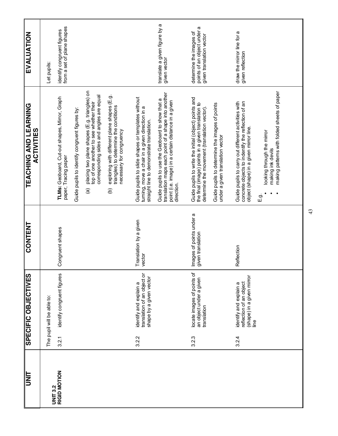| <b>TINU</b>     |       | <b>SPECIFIC OBJECTIVES</b>                                                             | CONTENT                                       | TEACHING AND LEARNING<br><b>ACTIVITIES</b>                                                                                                                                  | EVALUATION                                                                         |
|-----------------|-------|----------------------------------------------------------------------------------------|-----------------------------------------------|-----------------------------------------------------------------------------------------------------------------------------------------------------------------------------|------------------------------------------------------------------------------------|
| <b>UNIT 3.2</b> |       | The pupil will be able to:                                                             |                                               |                                                                                                                                                                             | Let pupils:                                                                        |
| RIGID MOTION    | 3.2.1 | identify congruent figures                                                             | Congruent shapes                              | TLMs: Geoboard, Cut-out shapes, Mirror, Graph<br>paper, Tracing paper                                                                                                       | from a set of plane shapes<br>identify congruent figures                           |
|                 |       |                                                                                        |                                               | Guide pupils to identify congruent figures by:                                                                                                                              |                                                                                    |
|                 |       |                                                                                        |                                               | placing two plane shapes (E.g. triangles) on<br>top of one another to see whether their<br>corresponding sides and angles are equal<br>$\widehat{\mathbf{e}}$               |                                                                                    |
|                 |       |                                                                                        |                                               | exploring with different plane shapes (E.g.<br>triangles) to determine the conditions<br>necessary for congruency<br>ê                                                      |                                                                                    |
|                 | 3.2.2 | translation of an object or<br>shape by a given vector<br>identify and explain a       | Translation by a given<br>vector              | Guide pupils to slide shapes or templates without<br>turning, move a chair in a given direction in a<br>straight line to demonstrate translation.                           |                                                                                    |
|                 |       |                                                                                        |                                               | translation maps each point of a shape into another<br>Guide pupils to use the Geoboard to show that a<br>point (i.e. image) in a certain distance in a given<br>direction. | translate a given figure by a<br>given vector                                      |
|                 | 3.2.3 | locate images of points of<br>an object under a given<br>translation                   | Images of points under a<br>given translation | Guide pupils to write the initial (object) points and<br>the final (image) points in a given translation to<br>determine the movement (translation vector).                 | determine the images of<br>points of an object under a<br>given translation vector |
|                 |       |                                                                                        |                                               | Guide pupils to determine the images of points<br>under a given translation vector                                                                                          |                                                                                    |
|                 | 3.2.4 | (shape) in a given mirror<br>reflection of an object<br>identify and explain a<br>line | Reflection                                    | concrete objects to indentify the reflection of an<br>Guide pupils to carry out different activities with<br>object (shape) in a given mirror line.                         | draw the mirror line for a<br>given reflection                                     |
|                 |       |                                                                                        |                                               | making patterns with folded sheets of paper<br>looking through the mirror<br>making ink devils<br>က်<br>မြ                                                                  |                                                                                    |
|                 |       |                                                                                        |                                               |                                                                                                                                                                             |                                                                                    |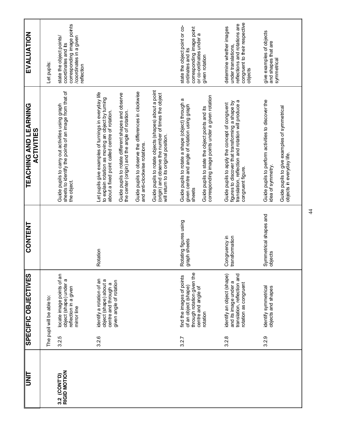| UNIT                         |                     | SPECIFIC OBJECTIVES                                                                                                | <b>CONTENT</b>                         | <b>TEACHING AND LEARNING</b><br><b>ACTIVITIES</b>                                                                                                                                                                                                                      | EVALUATION                                                                                                                   |
|------------------------------|---------------------|--------------------------------------------------------------------------------------------------------------------|----------------------------------------|------------------------------------------------------------------------------------------------------------------------------------------------------------------------------------------------------------------------------------------------------------------------|------------------------------------------------------------------------------------------------------------------------------|
|                              |                     | The pupil will be able to:                                                                                         |                                        |                                                                                                                                                                                                                                                                        | Let pupils:                                                                                                                  |
| RIGID MOTION<br>3.2 (CONT'D) | 3.2.5               | locate image points of an<br>object (shape) under a<br>reflection in a given<br>mirror line                        |                                        | sheets to identify the points of an image from that of<br>Guide pupils to carry out activities using graph<br>the object.                                                                                                                                              | corresponding image points<br>state the object points/<br>/coordinates in a given<br>coordinates and its<br>reflection       |
|                              | 3.2.6               | identify a rotation of an<br>object (shape) about a<br>given angle of rotation<br>centre and through a             | Rotation                               | Let pupils give examples of turnings in everyday life<br>Guide pupils to rotate different shapes and observe<br>to explain rotation as moving an object by turning<br>about a fixed point called centre of rotation.<br>the center (origin) and the angle of rotation. |                                                                                                                              |
|                              |                     |                                                                                                                    |                                        | Guide pupils to rotate objects (shapes) about a point<br>Guide pupils to observe the differences in clockwise<br>(origin) and observe the number of times the object<br>will return to its original position.<br>and anti-clockwise rotations.                         |                                                                                                                              |
|                              | 3.2.7               | through rotation given the<br>find the images of points<br>of an object (shape)<br>centre and angle of<br>rotation | Rotating figures using<br>graph sheets | corresponding image points under a given rotation<br>Guide pupils to rotate a shape (object) through a<br>given centre and angle of rotation using graph<br>Guide pupils to state the object points and its<br>sheets                                                  | state the object point or co-<br>corresponding image point<br>or co-ordinates under a<br>ordinates and its<br>given rotation |
|                              | 3.2.8               | translation, reflection and<br>identify an object (shape)<br>and its image under a<br>rotation as congruent        | Congruency in<br>transformation        | translation, reflection and rotation will produce a<br>figures to discover that transforming a shape by<br>Guide pupils to apply the concept of congruent<br>congruent figure.                                                                                         | congruent to their respective<br>reflections and rotations are<br>determine whether images<br>under translations,<br>objects |
|                              | Ō.<br>$\frac{2}{3}$ | identify symmetrical<br>objects and shapes                                                                         | Symmetrical shapes and<br>objects      | Guide pupils to perform activities to discover the<br>Guide pupils to give examples of symmetrical<br>objects in everyday life.<br>idea of symmetry.                                                                                                                   | give examples of objects<br>and shapes that are<br>symmetrical                                                               |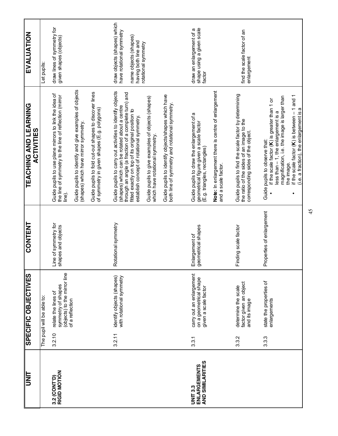| lim                                                 |        | <b>SPECIFIC OBJECTIVES</b>                                                                   | CONTENT                                    | TEACHING AND LEARNING<br><b>ACTIVITIES</b>                                                                                                                                                                                                                                    | EVALUATION                                                                                                                      |
|-----------------------------------------------------|--------|----------------------------------------------------------------------------------------------|--------------------------------------------|-------------------------------------------------------------------------------------------------------------------------------------------------------------------------------------------------------------------------------------------------------------------------------|---------------------------------------------------------------------------------------------------------------------------------|
|                                                     |        | The pupil will be able to:                                                                   |                                            |                                                                                                                                                                                                                                                                               | Let pupils:                                                                                                                     |
| <b>RIGID MOTION</b><br>3.2 (CONT'D)                 | 3.2.10 | (objects) to the mirror line<br>symmetry of shapes<br>relate the lines of<br>of a reflection | Line of symmetry for<br>shapes and objects | Guide pupils to use plane mirrors to link the idea of<br>the line of symmetry to the line of reflection (mirror<br>line).                                                                                                                                                     | draw lines of symmetry for<br>given shapes (objects)                                                                            |
|                                                     |        |                                                                                              |                                            | Guide pupils to identify and give examples of objects<br>(shapes) which have mirror symmetry.                                                                                                                                                                                 |                                                                                                                                 |
|                                                     |        |                                                                                              |                                            | Guide pupils to fold cut-out shapes to discover lines<br>of symmetry in given shapes (E.g. polygons)                                                                                                                                                                          |                                                                                                                                 |
|                                                     | 3.2.11 | identify objects (shapes)<br>with rotational symmetry                                        | Rotational symmetry                        | Guide pupils to carry out activities to identify objects<br>through an angle (a fraction of a complete turn) and<br>(shapes) which can be rotated about a centre<br>fitted exactly on top of its original position to<br>establish concept of rotational symmetry.            | draw objects (shapes) which<br>have rotational symmetry<br>name objects (shapes)<br>having both line and<br>rotational symmetry |
|                                                     |        |                                                                                              |                                            | Guide pupils to give examples of objects (shapes)<br>which have rotational symmetry.                                                                                                                                                                                          |                                                                                                                                 |
|                                                     |        |                                                                                              |                                            | Guide pupils to identify objects/shapes which have<br>both line of symmetry and rotational symmetry.                                                                                                                                                                          |                                                                                                                                 |
| ENLARGEMENTS<br>AND SIMILARITIES<br><b>UNIT 3.3</b> | 3.3.1  | carry out an enlargement<br>on a geometrical shape<br>given a scale factor                   | geometrical shapes<br>Enlargement of       | Guide pupils to draw the enlargement of a<br>geometrical figure given a scale factor<br>(E.g. triangles, rectangles)                                                                                                                                                          | shape using a given scale<br>draw an enlargement of a<br>factor                                                                 |
|                                                     |        |                                                                                              |                                            | Note: In enlargement there is centre of enlargement<br>and a scale factor.                                                                                                                                                                                                    |                                                                                                                                 |
|                                                     | 3.3.2  | factor given an object<br>determine the scale<br>and its image                               | Finding scale factor                       | Guide pupils to find the scale factor by determining<br>the ratio of the sides of an image to the<br>corresponding sides of the object.                                                                                                                                       | find the scale factor of an<br>enlargement                                                                                      |
|                                                     | 3.3.3  | state the properties of<br>enlargements                                                      | Properties of enlargement                  | if the scale factor (K) is between - 1 and 1<br>magnification, i.e. the image is larger than<br>if the scale factor (K) is greater than 1 or<br>(i.e. a fraction), the enlargement is a<br>less than - 1, the enlargement is a<br>Guide pupils to observe that:<br>the image. |                                                                                                                                 |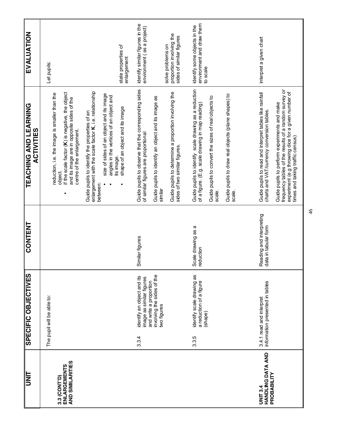| UNIT                                                       | <b>SPECIFIC OBJECTIVES</b>                                                                                                             | CONTENT                                          | TEACHING AND LEARNING<br><b>ACTIVITIES</b>                                                                                                                                                                                                                                                                | EVALUATION                                                                                                                                 |
|------------------------------------------------------------|----------------------------------------------------------------------------------------------------------------------------------------|--------------------------------------------------|-----------------------------------------------------------------------------------------------------------------------------------------------------------------------------------------------------------------------------------------------------------------------------------------------------------|--------------------------------------------------------------------------------------------------------------------------------------------|
| AND SIMILARITIES<br>ENLARGEMENTS<br>3.3 (CONT'D)           | The pupil will be able to:                                                                                                             |                                                  | if the scale factor (K) is negative, the object<br>reduction, i.e. the image is smaller than the<br>and its image are in opposite sides of the<br>centre of the enlargement.<br>object.                                                                                                                   | Let pupils:                                                                                                                                |
|                                                            |                                                                                                                                        |                                                  | enlargement with the scale factor K, i.e. relationship<br>size of sides of an object and its image<br>angles in the vertices of an object and<br>shape of an object and its image<br>Guide pupils to identify the properties of an<br>its image.<br>between:                                              | state properties of<br>enlargement                                                                                                         |
|                                                            | involving the sides of the<br>identify an object and its<br>image as similar figures<br>and write a proportion<br>two figures<br>3.3.4 | Similar figures                                  | Guide pupils to observe that the corresponding sides<br>Guide pupils to determine a proportion involving the<br>Guide pupils to identify an object and its image as<br>of similar figures are proportional<br>sides of two similar figures.<br>similar                                                    | identify similar figures in the<br>environment (as a project)<br>proportion involving the<br>sides of similar figures<br>solve problems on |
|                                                            | identify scale drawing as<br>a reduction of a figure<br>(shape)<br>3.3.5                                                               | Scale drawing as a<br>reduction                  | Guide pupils to identify scale drawing as a reduction<br>Guide pupils to draw real objects (plane shapes) to<br>Guide pupils to convert the sizes of real objects to<br>of a figure. (E.g. scale drawing in map reading)<br>scale.<br>scale.                                                              | environment and draw them<br>identify some objects in the<br>to scale                                                                      |
| <b>HANDLING DATA AND</b><br>PROBABILITY<br><b>UNIT 3.4</b> | information presented in tables<br>3.4.1 read and interpret                                                                            | Reading and interpreting<br>data in tabular form | frequency tables of the results of a random survey or<br>experiment (e.g throwing dice for a given number of<br>Guide pupils to read and interpret tables like rainfall<br>Guide pupils to perform experiments and make<br>charts and VAT/currency conversion tables.<br>times and taking traffic census) | interpret a given chart                                                                                                                    |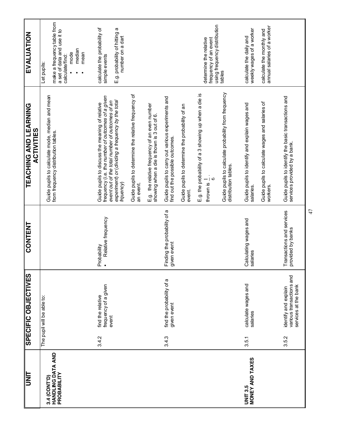| <b>TINIT</b>                                     |       | SPECIFIC OBJECTIVES                                                      | CONTENT                                        | TEACHING AND LEARNING<br><b>ACTIVITIES</b>                                                                                                                                                                                                                                       | EVALUATION                                                                                                             |
|--------------------------------------------------|-------|--------------------------------------------------------------------------|------------------------------------------------|----------------------------------------------------------------------------------------------------------------------------------------------------------------------------------------------------------------------------------------------------------------------------------|------------------------------------------------------------------------------------------------------------------------|
| HANDLING DATA AND<br>PROBABILITY<br>3.4 (CONT'D) |       | The pupil will be able to:                                               |                                                | Guide pupils to calculate mode, median and mean<br>from frequency distribution tables.                                                                                                                                                                                           | make a frequency table from<br>a set of data and use it to<br>median<br>mode<br>mean<br>calculate/find:<br>Let pupils: |
|                                                  | 3.4.2 | frequency of a given<br>find the relative<br>event                       | Relative frequency<br>Probability              | Guide pupils to determine the relative frequency of<br>frequency (i.e. the number of outcomes of a given<br>experiment) or (dividing a frequency by the total<br>event out of the total number of outcomes of an<br>Guide pupils to discuss the meaning of relative<br>frquency) | calculate the probability of<br>E.g. probability of hitting a<br>number on a dart<br>simple events                     |
|                                                  | 3.4.3 | find the probability of a<br>given event                                 | Finding the probability of a<br>given event    | Guide pupils to carry out various experiments and<br>E.g. the relative frequency of an even number<br>Guide pupils to determine the probability of an<br>showing when a die is thown is 3 out of 6.<br>find out the possible outcomes.<br>an event.<br>event.                    |                                                                                                                        |
|                                                  |       |                                                                          |                                                | Guide pupils to calculate probability from frequency<br>E.g. the probability of a 3 showing up when a die is<br>distribution tables.<br>thrown is $\frac{1}{6}$ .                                                                                                                | using frequency distribution<br>frequency of an event<br>determine the relative<br>tables                              |
| MONEY AND TAXES<br><b>UNIT 3.5</b>               | 3.5.1 | calculate wages and<br>salaries                                          | Calculating wages and<br>salaries              | Guide pupils to calculate wages and salaries of<br>Guide pupils to identify and explain wages and<br>workers.<br>salaries.                                                                                                                                                       | annual salaries of a worker<br>weekly wages of a worker<br>calculate the monthly and<br>calculate the daily and        |
|                                                  | 3.5.2 | various transactions and<br>services at the bank<br>identify and explain | Transactions and services<br>provided by banks | Guide pupils to identify the basic transactions and<br>services provided by a bank.                                                                                                                                                                                              |                                                                                                                        |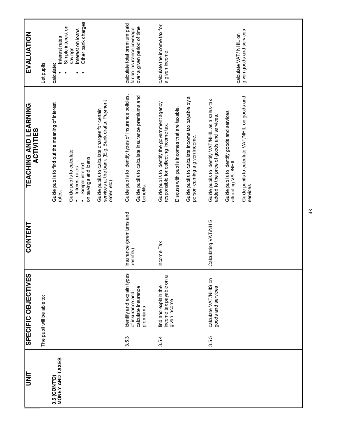| <b>TINU</b>                     |                            | <b>SPECIFIC OBJECTIVES</b>                                            | <b>CONTENT</b>                       | TEACHING AND LEARNING<br>TEACHING AND LEARNING                                                                                            | EVALUATION                                                                               |
|---------------------------------|----------------------------|-----------------------------------------------------------------------|--------------------------------------|-------------------------------------------------------------------------------------------------------------------------------------------|------------------------------------------------------------------------------------------|
|                                 | The pupil will be able to: |                                                                       |                                      |                                                                                                                                           | Let pupils                                                                               |
| MONEY AND TAXES<br>3.5 (CONT'D) |                            |                                                                       |                                      | Guide pupils to find out the meaning of interest<br>rates.                                                                                | Simple interest on<br>Interest rates<br>calculate:                                       |
|                                 |                            |                                                                       |                                      | Guide pupils to calculate:<br>on savings and loans<br>Simple interest<br>· Interest rates                                                 | Other bank charges<br>Interest on loans<br>savings                                       |
|                                 |                            |                                                                       |                                      | services at the bank (E.g. Bank drafts, Payment<br>Guide pupils to calculate charges for certain<br>order, etc)                           |                                                                                          |
|                                 | premiums<br>3.5.3          | identify and explain types<br>calculate insurance<br>of insurance and | Insurance (premiums and<br>benefits) | Guide pupils to identify types of insurance policies<br>Guide pupils to calculate insurance premiums and<br>benefits.                     | calculate total premium paid<br>over a given period of time<br>for an insurance coverage |
|                                 | given income<br>3.5.4      | income tax payable on a<br>find and explain the                       | Income Tax                           | Guide pupils to identify the government agency<br>Discuss with pupils incomes that are taxable.<br>responsible for collecting income tax. | calculate the income tax for<br>a given income                                           |
|                                 |                            |                                                                       |                                      | Guide pupils to calculate income tax payable by a<br>person eaming a given income.                                                        |                                                                                          |
|                                 | 3.5.5                      | calculate VAT/NHIS on<br>goods and services                           | Calculating VAT/NHIS                 | Guide pupils to identify VAT/NHIL as a sales-tax<br>added to the price of goods and services.                                             |                                                                                          |
|                                 |                            |                                                                       |                                      | Guide pupils to identify goods and services<br>attracting VAT/NHIL                                                                        | calculate VAT/ NHIL on                                                                   |
|                                 |                            |                                                                       |                                      | Guide pupils to calculate VAT/NHIL on goods and<br>services.                                                                              | given goods and services                                                                 |
|                                 |                            |                                                                       |                                      |                                                                                                                                           |                                                                                          |
|                                 |                            |                                                                       |                                      |                                                                                                                                           |                                                                                          |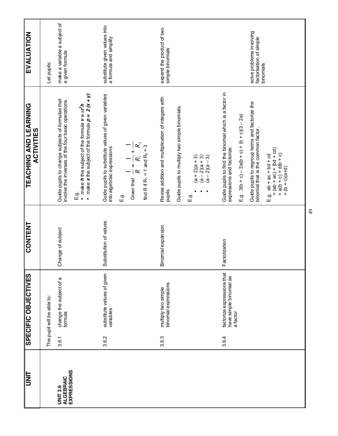| UNIT                                                      |       | <b>SPECIFIC OBJECTIVES</b>                                        | CONTENT                | TEACHING AND LEARNING<br>ACTIVITIES                                                                                                               | EVALUATION                                                       |
|-----------------------------------------------------------|-------|-------------------------------------------------------------------|------------------------|---------------------------------------------------------------------------------------------------------------------------------------------------|------------------------------------------------------------------|
|                                                           |       | The pupil will be able to:                                        |                        |                                                                                                                                                   | Let pupils:                                                      |
| <b>EXPRESSIONS</b><br><b>ALGEBRAIC</b><br><b>UNIT 3.6</b> | 3.6.1 | change the subject of a<br>formula                                | Change of subject      | Guide pupils to change subjects of formulae that<br>involve the inverses of the four basic operations.                                            | make a variable a subject of<br>a given formula                  |
|                                                           |       |                                                                   |                        | • make $h$ the subject of the formula $v = \pi r^2 h$<br>• make $x$ the subject of the formula $p = 2(x + y)$<br>E.g.                             |                                                                  |
|                                                           | 3.6.2 | substitute values of given<br>variables                           | Substitution of values | Guide pupils to substitute values of given variables<br>into algebraic expressions                                                                | substitute given values into<br>a formula and simplify           |
|                                                           |       |                                                                   |                        | $R_{\rm 2}$<br>find R if R <sub>1</sub> = 1 and R <sub>2</sub> = 3<br>Lists<br>Given that $\frac{1}{R} = \frac{1}{R_1} + \frac{1}{R_2}$<br>ë<br>⊞ |                                                                  |
|                                                           | 3.6.3 | binomial expressions<br>multiply two simple                       | Binomial expansion     | Revise addition and multiplication of integers with<br>pupils                                                                                     | expand the product of two<br>simple binomials                    |
|                                                           |       |                                                                   |                        | Guide pupils to multiply two simple binomials.                                                                                                    |                                                                  |
|                                                           |       |                                                                   |                        | $(a + 2)(a + 3)$<br>$(a - 2)(a + 3)$<br>$(a - 2)(a - 3)$<br>.<br>هنا                                                                              |                                                                  |
|                                                           | 3.6.4 | factorize expressions that<br>have simple binomial as<br>a factor | Factorization          | Guide pupils to find the binomial which is a factor in<br>expressions and factorize.                                                              |                                                                  |
|                                                           |       |                                                                   |                        | E.g. $3(b + c) - 2a(b + c) = (b + c)(3 - 2a)$                                                                                                     |                                                                  |
|                                                           |       |                                                                   |                        | Guide pupils to regroup terms and factorize the<br>binomial that is the common factor.                                                            | solve problems involving<br>factorisation of simple<br>binomials |
|                                                           |       |                                                                   |                        | $= (ab + ac) + (bd + cd)$<br>$= a(b + c) + d(b + c)$<br>$= (b + c)(a+d)$<br>$E.g.$ ab + ac + bd + cd                                              |                                                                  |
|                                                           |       |                                                                   |                        |                                                                                                                                                   |                                                                  |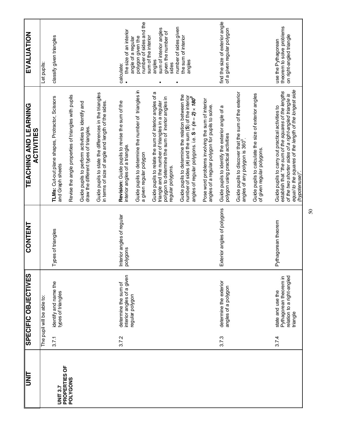| <b>UNL</b>                       |       | <b>SPECIFIC OBJECTIVES</b>                                       | CONTENT                                | TEACHING AND LEARNING<br><b>ACTIVITIES</b>                                                                                                                                                                            | EVALUATION                                                                              |
|----------------------------------|-------|------------------------------------------------------------------|----------------------------------------|-----------------------------------------------------------------------------------------------------------------------------------------------------------------------------------------------------------------------|-----------------------------------------------------------------------------------------|
|                                  |       | The pupil will be able to:                                       |                                        |                                                                                                                                                                                                                       | Let pupils:                                                                             |
| PROPERTIES OF<br><b>UNIT 3.7</b> | 3.7.1 | identify and name the<br>types of triangles                      | Types of triangles                     | TLMs: Cut-out plane shapes, Protractor, Scissors<br>and Graph sheets                                                                                                                                                  | classify given triangles                                                                |
| <b>POLYGONS</b>                  |       |                                                                  |                                        | Revise the angle properties of triangles with pupils                                                                                                                                                                  |                                                                                         |
|                                  |       |                                                                  |                                        | Guide pupils to perform activities to identify and<br>draw the different types of triangles.                                                                                                                          |                                                                                         |
|                                  |       |                                                                  |                                        | Guide pupils to state the differences in the triangles<br>in terms of size of angle and length of the sides.                                                                                                          |                                                                                         |
|                                  | 3.7.2 | interior angles of a given<br>determine the sum of               | Interior angles of regular<br>polygons | Revision: Guide pupils to revise the sum of the<br>interior angles of a triangle.                                                                                                                                     | the size of an interior<br>calculate:                                                   |
|                                  |       | regular polygon                                                  |                                        | Guide pupils to determine the number of triangles in<br>a given regular polygon                                                                                                                                       | number of sides and the<br>polygon given the<br>angle of a regular                      |
|                                  |       |                                                                  |                                        | Guide pupils to relate the sum of interior angles of a<br>triangle and the number of triangles in a regular<br>polygon to determine the sum of inerior angles in<br>regular polygons.                                 | sum of interior angles<br>given the number of<br>sum of the interior<br>angles<br>sides |
|                                  |       |                                                                  |                                        | Guide pupils to determine the relation between the<br>number of sides (n) and the sum (S) of the interior<br>angles of regular polygons. i.e. $\texttt{S} = (\textit{n} - \textit{2}) \times \textit{180}^\textit{0}$ | number of sides given<br>the sum of interior<br>angles                                  |
|                                  |       |                                                                  |                                        | Pose word problems involving the sum of interior<br>angles of a regular polygon for pupils to solve.                                                                                                                  |                                                                                         |
|                                  | 3.7.3 | determine the exterior<br>angles of a polygon                    | Exterior angles of polygons            | Guide pupils to identify the exterior angle of a<br>polygon using practical activities                                                                                                                                | find the size of exterior angle<br>of a given regular polygon                           |
|                                  |       |                                                                  |                                        | Guide pupils to discover that the sum of the exterior<br>angles of any polygon is 360°.                                                                                                                               |                                                                                         |
|                                  |       |                                                                  |                                        | Guide pupils to calculate the size of exterior angles<br>of given regular polygons.                                                                                                                                   |                                                                                         |
|                                  | 3.74  | state and use the                                                | Pythagorean theorem                    | Guide pupils to carry out practical activities to                                                                                                                                                                     | use the Pythagorean                                                                     |
|                                  |       | relation to a right-angled<br>Pythagorean theorem in<br>triangle |                                        | establish that "the sum of the squares of the lengths<br>of the two shorter sides of a right-angled triangle is                                                                                                       | theorem to solve problems<br>on right-angled triangle                                   |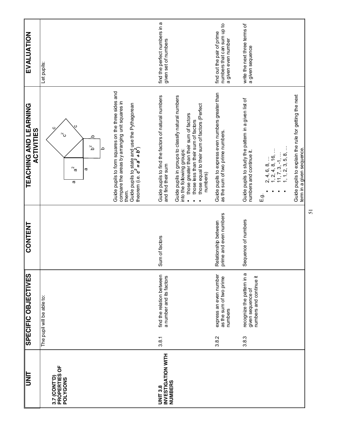| <b>UNT</b>                                       |       | SPECIFIC OBJECTIVES                                                        | CONTENT                                        | TEACHING AND LEARNING<br><b>ACTIVITIES</b>                                                                                                                                                                          | EVALUATION                                                                      |
|--------------------------------------------------|-------|----------------------------------------------------------------------------|------------------------------------------------|---------------------------------------------------------------------------------------------------------------------------------------------------------------------------------------------------------------------|---------------------------------------------------------------------------------|
|                                                  |       | The pupil will be able to:                                                 |                                                |                                                                                                                                                                                                                     | Let pupils:                                                                     |
| Ъ<br>PROPERTIES<br>3.7 (CONT'D)<br>POLYGONS      |       |                                                                            |                                                | $\sim$                                                                                                                                                                                                              |                                                                                 |
|                                                  |       |                                                                            |                                                | ٩<br>$\mathsf{S}^2$<br>$\alpha$<br>ω<br>æ                                                                                                                                                                           |                                                                                 |
|                                                  |       |                                                                            |                                                | Guide pupils to form squares on the three sides and<br>$\circ$                                                                                                                                                      |                                                                                 |
|                                                  |       |                                                                            |                                                | compare the areas by arranging unit squares in<br>Guide pupils to state and use the Pythagorean<br>theorem (i.e. $\bm{c^2} = \bm{a^2} + \bm{b^2})$<br>them.                                                         |                                                                                 |
|                                                  |       |                                                                            |                                                |                                                                                                                                                                                                                     |                                                                                 |
| INVESTIGATION WITH<br>NUMBERS<br><b>UNIT 3.8</b> | 3.8.1 | find the relation between<br>a number and its factors                      | Sum of factors                                 | Guide pupils to find the factors of natural numbers<br>and find their sum                                                                                                                                           | find the perfect numbers in a<br>given set of numbers                           |
|                                                  |       |                                                                            |                                                | Guide pupils in groups to classify natural numbers<br>those equal to their sum of factors (Perfect<br>those greater than their sum of factors<br>those less than their sum of factors<br>into the following groups: |                                                                                 |
|                                                  |       |                                                                            |                                                | numbers)                                                                                                                                                                                                            |                                                                                 |
|                                                  | 3.8.2 | express an even number<br>as the sum of two prime<br>numbers               | prime and even numbers<br>Relationship between | Guide pupils to express even numbers greater than<br>as the sum of two prime numbers.                                                                                                                               | numbers that can sum up to<br>find out the pair of prime<br>a given even number |
|                                                  |       |                                                                            |                                                |                                                                                                                                                                                                                     |                                                                                 |
|                                                  | 3.8.3 | recognize the pattern in a<br>numbers and continue it<br>given sequence of | Sequence of numbers                            | Guide pupils to study the pattern in a given list of<br>numbers and continue it.                                                                                                                                    | write the next three terms of<br>a given sequence                               |
|                                                  |       |                                                                            |                                                | بة<br>⊞                                                                                                                                                                                                             |                                                                                 |
|                                                  |       |                                                                            |                                                | $11, 7, 3, -1, $<br>1, 1, 2, 3, 5, 8,<br>$2, 4, 6, 8, $<br>1, 2, 4, 8, 16,                                                                                                                                          |                                                                                 |
|                                                  |       |                                                                            |                                                | Guide pupils to explain the rule for getting the next<br>term in a given sequence.                                                                                                                                  |                                                                                 |